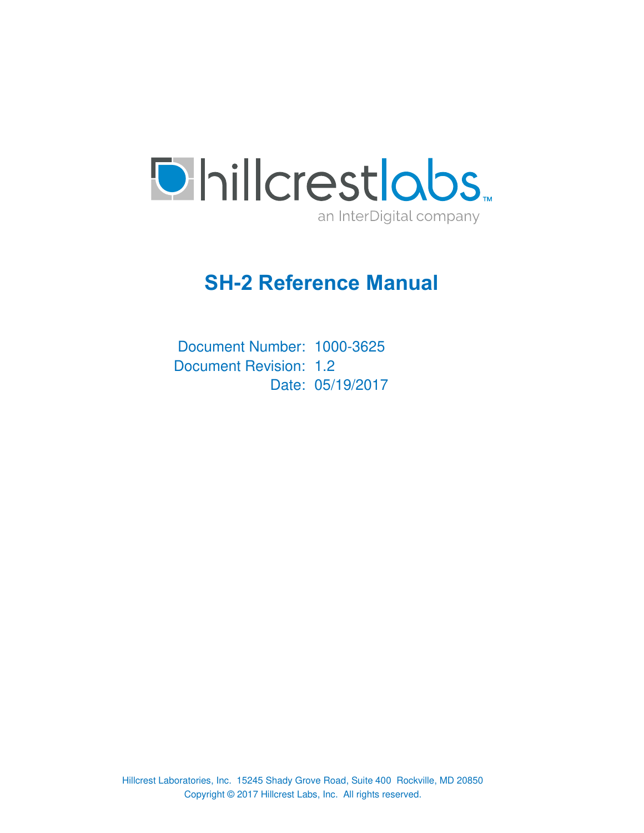

# **SH-2 Reference Manual**

Document Number: 1000-3625 Document Revision: 1.2 Date: 05/19/2017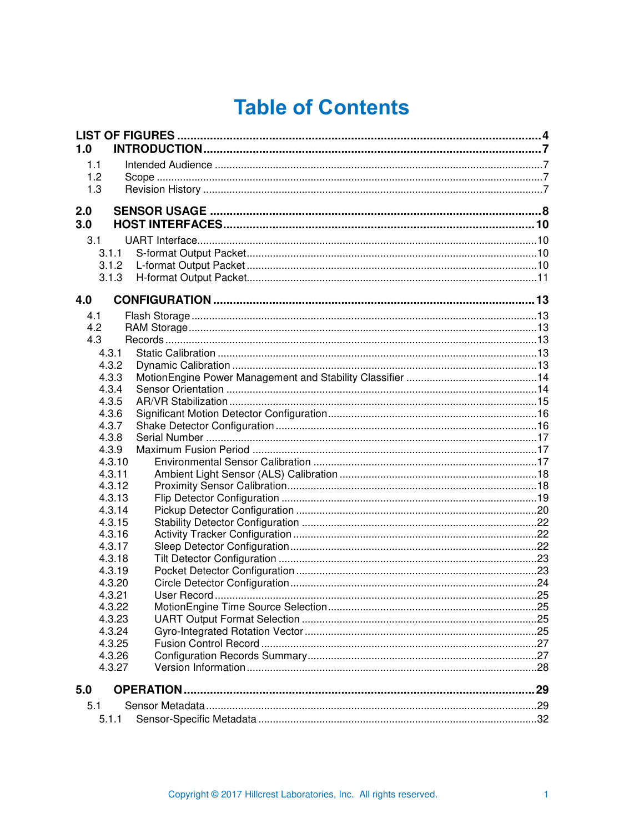# **Table of Contents**

| 1.0 |                  |    |
|-----|------------------|----|
| 1.1 |                  |    |
| 1.2 |                  |    |
| 1.3 |                  |    |
|     |                  |    |
| 2.0 |                  |    |
| 3.0 |                  |    |
| 3.1 |                  |    |
|     | 3.1.1            |    |
|     | 3.1.2            |    |
|     | 3.1.3            |    |
| 4.0 |                  |    |
| 4.1 |                  |    |
| 4.2 |                  |    |
| 4.3 |                  |    |
|     | 4.3.1            |    |
|     | 4.3.2            |    |
|     | 4.3.3            |    |
|     | 4.3.4            |    |
|     | 4.3.5            |    |
|     | 4.3.6            |    |
|     | 4.3.7<br>4.3.8   |    |
|     | 4.3.9            |    |
|     | 4.3.10           |    |
|     | 4.3.11           |    |
|     | 4.3.12           |    |
|     | 4.3.13           |    |
|     | 4.3.14           |    |
|     | 4.3.15           |    |
|     | 4.3.16           |    |
|     | 4.3.17           |    |
|     | 4.3.18           |    |
|     | 4.3.19           |    |
|     | 4.3.20           |    |
|     | 4.3.21           |    |
|     | 4.3.22           |    |
|     | 4.3.23           |    |
|     | 4.3.24<br>4.3.25 |    |
|     | 4.3.26           |    |
|     | 4.3.27           |    |
|     |                  |    |
| 5.0 |                  | 29 |
| 5.1 |                  |    |
|     | 5.1.1            |    |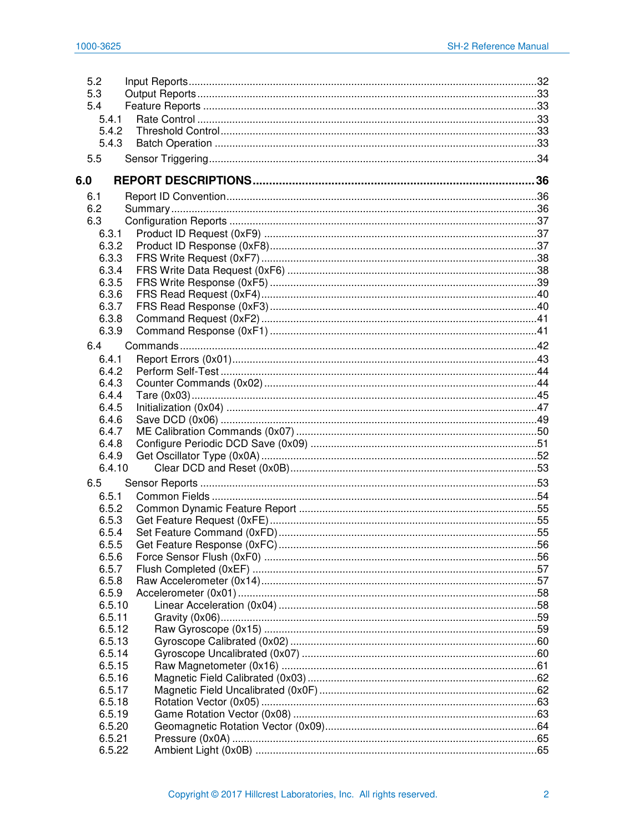| 5.2    |  |
|--------|--|
| 5.3    |  |
| 5.4    |  |
| 5.4.1  |  |
| 5.4.2  |  |
| 5.4.3  |  |
| 5.5    |  |
| 6.0    |  |
|        |  |
| 6.1    |  |
| 6.2    |  |
| 6.3    |  |
| 6.3.1  |  |
| 6.3.2  |  |
| 6.3.3  |  |
| 6.3.4  |  |
| 6.3.5  |  |
| 6.3.6  |  |
| 6.3.7  |  |
| 6.3.8  |  |
| 6.3.9  |  |
| 6.4    |  |
| 6.4.1  |  |
| 6.4.2  |  |
| 6.4.3  |  |
| 6.4.4  |  |
| 6.4.5  |  |
| 6.4.6  |  |
| 6.4.7  |  |
| 6.4.8  |  |
| 6.4.9  |  |
| 6.4.10 |  |
| 6.5    |  |
| 6.5.1  |  |
| 6.5.2  |  |
| 6.5.3  |  |
| 6.5.4  |  |
| 6.5.5  |  |
| 6.5.6  |  |
| 6.5.7  |  |
| 6.5.8  |  |
| 6.5.9  |  |
| 6.5.10 |  |
| 6.5.11 |  |
| 6.5.12 |  |
| 6.5.13 |  |
| 6.5.14 |  |
| 6.5.15 |  |
| 6.5.16 |  |
| 6.5.17 |  |
| 6.5.18 |  |
| 6.5.19 |  |
| 6.5.20 |  |
| 6.5.21 |  |
| 6.5.22 |  |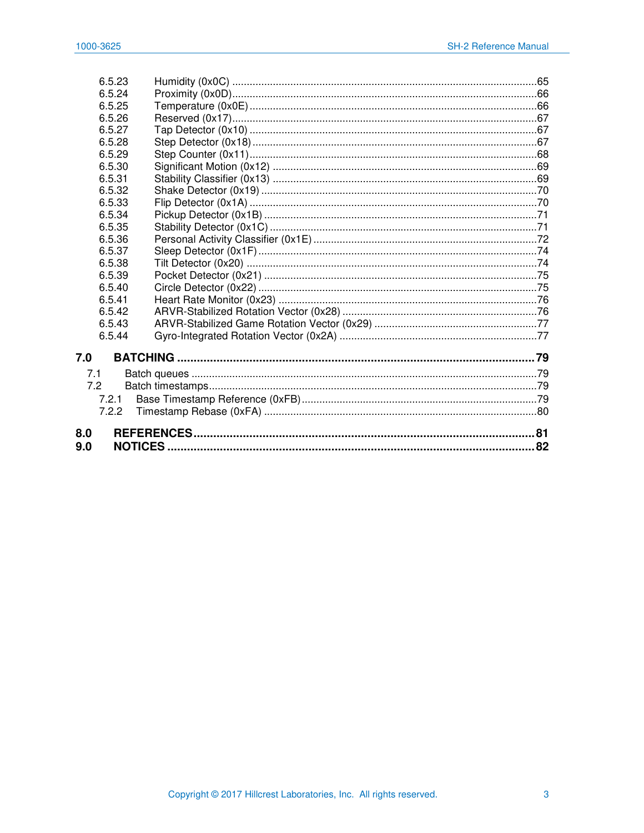| 6.5.23 |                 |  |
|--------|-----------------|--|
| 6.5.24 |                 |  |
| 6.5.25 |                 |  |
| 6.5.26 |                 |  |
| 6.5.27 |                 |  |
| 6.5.28 |                 |  |
| 6.5.29 |                 |  |
| 6.5.30 |                 |  |
| 6.5.31 |                 |  |
| 6.5.32 |                 |  |
| 6.5.33 |                 |  |
| 6.5.34 |                 |  |
| 6.5.35 |                 |  |
| 6.5.36 |                 |  |
| 6.5.37 |                 |  |
| 6.5.38 |                 |  |
| 6.5.39 |                 |  |
| 6.5.40 |                 |  |
| 6.5.41 |                 |  |
| 6.5.42 |                 |  |
| 6.5.43 |                 |  |
| 6.5.44 |                 |  |
| 7.0    | <b>BATCHING</b> |  |
|        |                 |  |
| 7.1    |                 |  |
| 7.2    |                 |  |
| 7.2.1  |                 |  |
| 7.2.2  |                 |  |
| 8.0    |                 |  |
| 9.0    |                 |  |
|        |                 |  |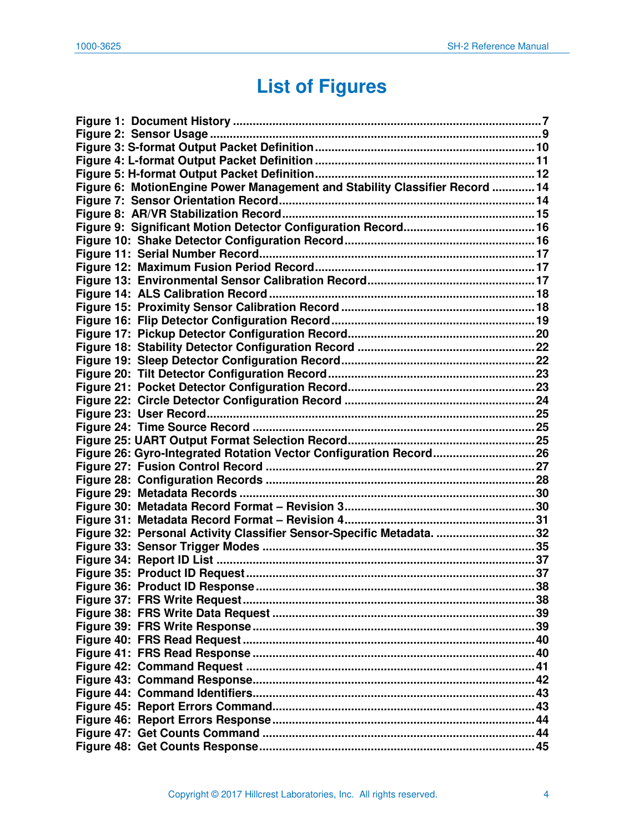# **List of Figures**

<span id="page-4-0"></span>

| Figure 6: MotionEngine Power Management and Stability Classifier Record  14 |     |
|-----------------------------------------------------------------------------|-----|
|                                                                             |     |
|                                                                             |     |
|                                                                             |     |
|                                                                             |     |
|                                                                             |     |
|                                                                             |     |
|                                                                             |     |
|                                                                             |     |
|                                                                             |     |
|                                                                             |     |
|                                                                             |     |
|                                                                             |     |
|                                                                             |     |
|                                                                             |     |
|                                                                             |     |
|                                                                             |     |
|                                                                             |     |
|                                                                             |     |
|                                                                             |     |
| Figure 26: Gyro-Integrated Rotation Vector Configuration Record 26          |     |
|                                                                             |     |
|                                                                             |     |
|                                                                             |     |
|                                                                             |     |
|                                                                             |     |
| Figure 32: Personal Activity Classifier Sensor-Specific Metadata. 32        |     |
|                                                                             |     |
|                                                                             |     |
|                                                                             |     |
|                                                                             | .38 |
|                                                                             |     |
|                                                                             |     |
|                                                                             |     |
|                                                                             |     |
|                                                                             |     |
|                                                                             |     |
|                                                                             |     |
|                                                                             |     |
|                                                                             |     |
|                                                                             |     |
|                                                                             |     |
|                                                                             |     |
|                                                                             |     |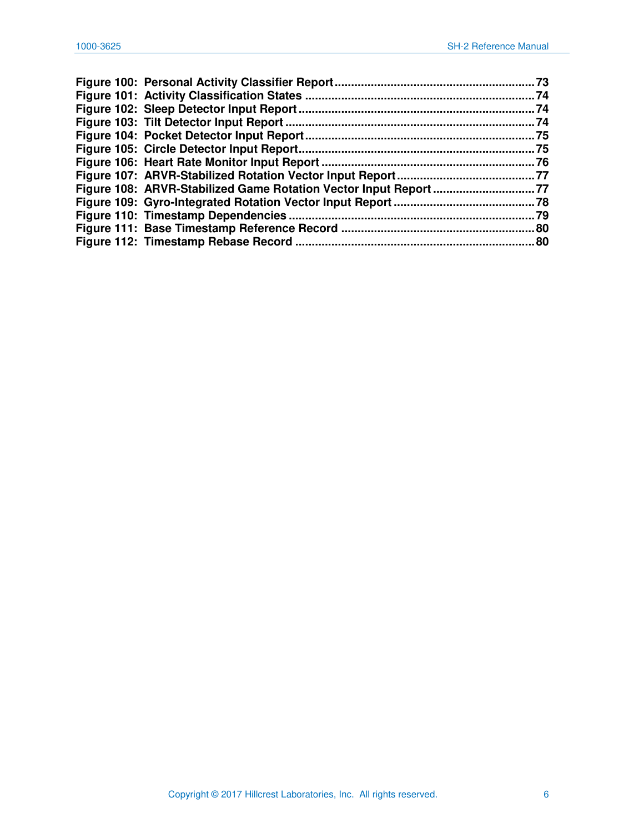| Figure 108: ARVR-Stabilized Game Rotation Vector Input Report 77 |     |
|------------------------------------------------------------------|-----|
|                                                                  |     |
|                                                                  |     |
|                                                                  |     |
|                                                                  | .80 |
|                                                                  |     |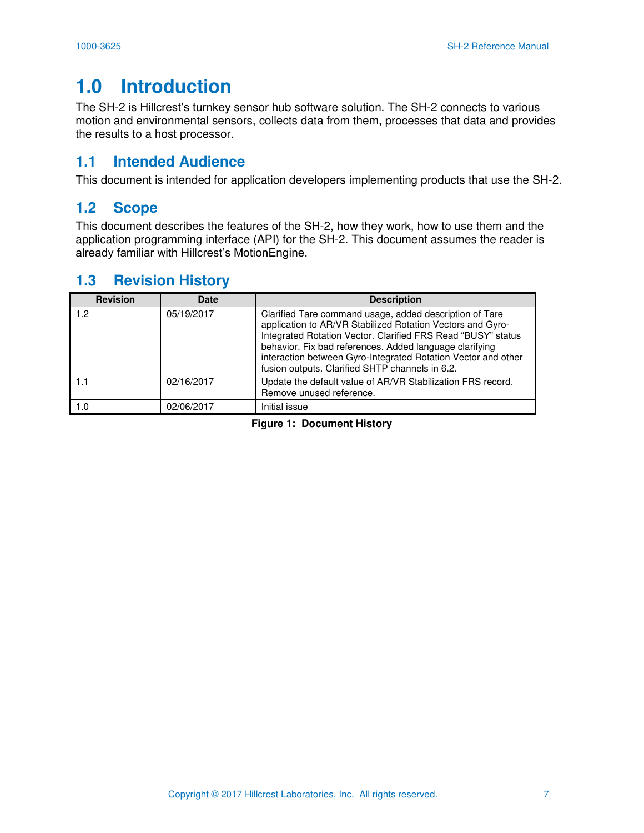## <span id="page-7-0"></span>**1.0 Introduction**

The SH-2 is Hillcrest's turnkey sensor hub software solution. The SH-2 connects to various motion and environmental sensors, collects data from them, processes that data and provides the results to a host processor.

## <span id="page-7-1"></span>**1.1 Intended Audience**

This document is intended for application developers implementing products that use the SH-2.

### <span id="page-7-2"></span>**1.2 Scope**

This document describes the features of the SH-2, how they work, how to use them and the application programming interface (API) for the SH-2. This document assumes the reader is already familiar with Hillcrest's MotionEngine.

#### <span id="page-7-3"></span>**1.3 Revision History**

<span id="page-7-4"></span>

| <b>Revision</b> | <b>Date</b> | <b>Description</b>                                                                                                                                                                                                                                                                                                                                                   |
|-----------------|-------------|----------------------------------------------------------------------------------------------------------------------------------------------------------------------------------------------------------------------------------------------------------------------------------------------------------------------------------------------------------------------|
| 1.2             | 05/19/2017  | Clarified Tare command usage, added description of Tare<br>application to AR/VR Stabilized Rotation Vectors and Gyro-<br>Integrated Rotation Vector. Clarified FRS Read "BUSY" status<br>behavior. Fix bad references. Added language clarifying<br>interaction between Gyro-Integrated Rotation Vector and other<br>fusion outputs. Clarified SHTP channels in 6.2. |
| 1.1             | 02/16/2017  | Update the default value of AR/VR Stabilization FRS record.<br>Remove unused reference.                                                                                                                                                                                                                                                                              |
| 1.0             | 02/06/2017  | Initial issue                                                                                                                                                                                                                                                                                                                                                        |

**Figure 1: Document History**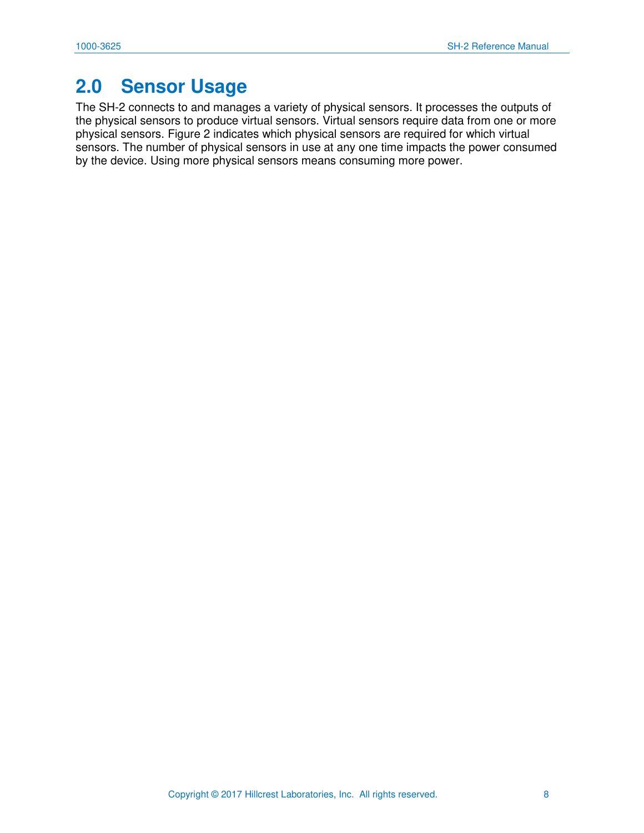## <span id="page-8-0"></span>**2.0 Sensor Usage**

The SH-2 connects to and manages a variety of physical sensors. It processes the outputs of the physical sensors to produce virtual sensors. Virtual sensors require data from one or more physical sensors. [Figure 2](#page-9-0) indicates which physical sensors are required for which virtual sensors. The number of physical sensors in use at any one time impacts the power consumed by the device. Using more physical sensors means consuming more power.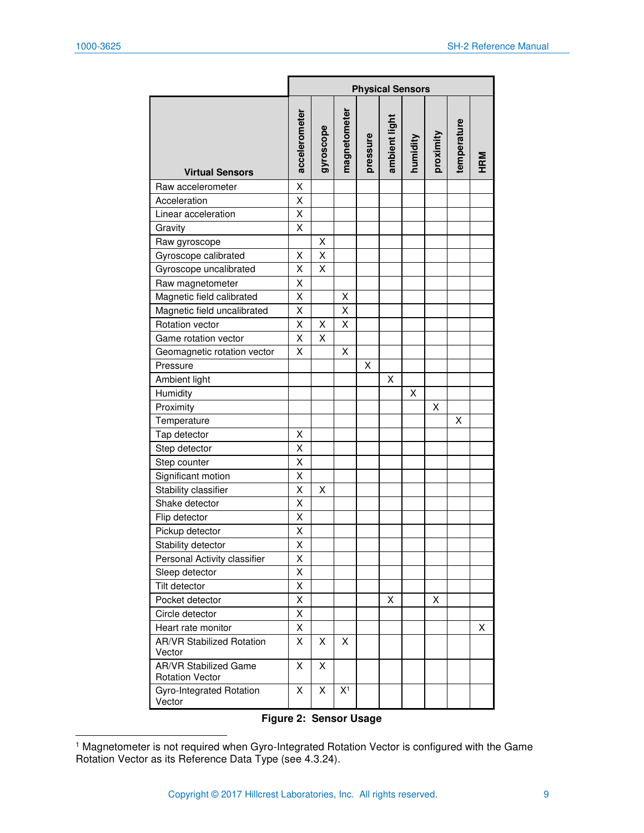|                                                        |               | <b>Physical Sensors</b> |                |          |               |          |           |             |     |
|--------------------------------------------------------|---------------|-------------------------|----------------|----------|---------------|----------|-----------|-------------|-----|
| <b>Virtual Sensors</b>                                 | accelerometer | gyroscope               | magnetometer   | pressure | ambient light | humidity | proximity | temperature | HRM |
| Raw accelerometer                                      | X             |                         |                |          |               |          |           |             |     |
| Acceleration                                           | X             |                         |                |          |               |          |           |             |     |
| Linear acceleration                                    | X             |                         |                |          |               |          |           |             |     |
| Gravity                                                | Χ             |                         |                |          |               |          |           |             |     |
| Raw gyroscope                                          |               | Χ                       |                |          |               |          |           |             |     |
| Gyroscope calibrated                                   | Χ             | Χ                       |                |          |               |          |           |             |     |
| Gyroscope uncalibrated                                 | Χ             | X                       |                |          |               |          |           |             |     |
| Raw magnetometer                                       | X             |                         |                |          |               |          |           |             |     |
| Magnetic field calibrated                              | Χ             |                         | х              |          |               |          |           |             |     |
| Magnetic field uncalibrated                            | Χ             |                         | Χ              |          |               |          |           |             |     |
| Rotation vector                                        | Χ             | Χ                       | Χ              |          |               |          |           |             |     |
| Game rotation vector                                   | Χ             | Χ                       |                |          |               |          |           |             |     |
| Geomagnetic rotation vector                            | Χ             |                         | X              |          |               |          |           |             |     |
| Pressure                                               |               |                         |                | X        |               |          |           |             |     |
| Ambient light                                          |               |                         |                |          | Χ             |          |           |             |     |
| Humidity                                               |               |                         |                |          |               | Χ        |           |             |     |
| Proximity                                              |               |                         |                |          |               |          | х         |             |     |
| Temperature                                            |               |                         |                |          |               |          |           | Χ           |     |
| Tap detector                                           | Χ             |                         |                |          |               |          |           |             |     |
| Step detector                                          | Χ             |                         |                |          |               |          |           |             |     |
| Step counter                                           | Χ             |                         |                |          |               |          |           |             |     |
| Significant motion                                     | Χ             |                         |                |          |               |          |           |             |     |
| Stability classifier                                   | X             | X                       |                |          |               |          |           |             |     |
| Shake detector                                         | X             |                         |                |          |               |          |           |             |     |
| Flip detector                                          | X             |                         |                |          |               |          |           |             |     |
| Pickup detector                                        | Χ             |                         |                |          |               |          |           |             |     |
| Stability detector                                     | X             |                         |                |          |               |          |           |             |     |
| Personal Activity classifier                           | х             |                         |                |          |               |          |           |             |     |
| Sleep detector                                         | Χ             |                         |                |          |               |          |           |             |     |
| Tilt detector                                          | Χ             |                         |                |          |               |          |           |             |     |
| Pocket detector                                        | X             |                         |                |          | X             |          | X         |             |     |
| Circle detector                                        | Χ             |                         |                |          |               |          |           |             |     |
| Heart rate monitor                                     | Χ             |                         |                |          |               |          |           |             | х   |
| <b>AR/VR Stabilized Rotation</b><br>Vector             | X             | X                       | X              |          |               |          |           |             |     |
| <b>AR/VR Stabilized Game</b><br><b>Rotation Vector</b> | X             | X                       |                |          |               |          |           |             |     |
| Gyro-Integrated Rotation<br>Vector                     | X             | X                       | X <sup>1</sup> |          |               |          |           |             |     |

#### **Figure 2: Sensor Usage**

<span id="page-9-0"></span> 1 Magnetometer is not required when Gyro-Integrated Rotation Vector is configured with the Game Rotation Vector as its Reference Data Type (see [4.3.24\)](#page-25-3).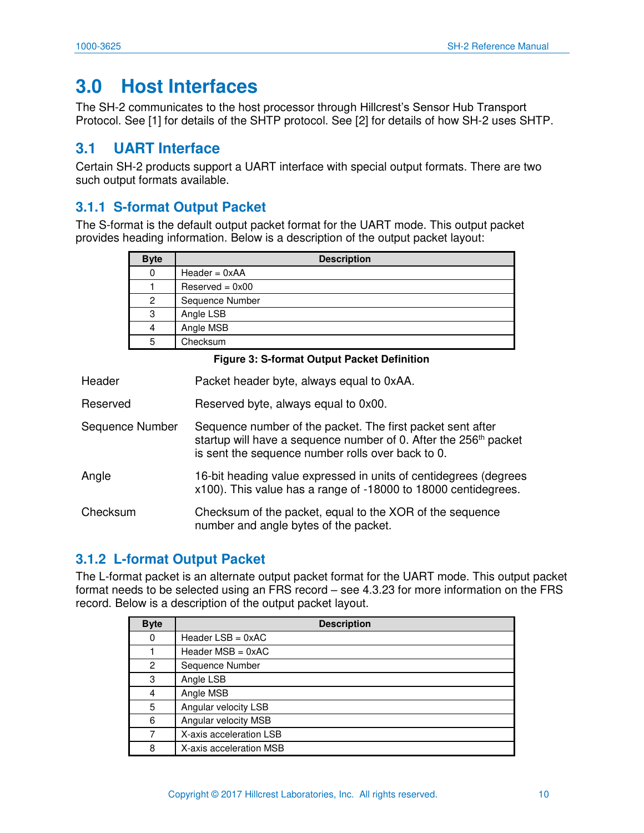## <span id="page-10-0"></span>**3.0 Host Interfaces**

The SH-2 communicates to the host processor through Hillcrest's Sensor Hub Transport Protocol. See [\[1\]](#page-81-1) for details of the SHTP protocol. See [\[2\]](#page-81-2) for details of how SH-2 uses SHTP.

### <span id="page-10-1"></span>**3.1 UART Interface**

Certain SH-2 products support a UART interface with special output formats. There are two such output formats available.

#### <span id="page-10-2"></span>**3.1.1 S-format Output Packet**

The S-format is the default output packet format for the UART mode. This output packet provides heading information. Below is a description of the output packet layout:

| <b>Byte</b> | <b>Description</b> |
|-------------|--------------------|
| 0           | $Header = 0xAA$    |
|             | $Reserved = 0x00$  |
| 2           | Sequence Number    |
| 3           | Angle LSB          |
| 4           | Angle MSB          |
| 5           | Checksum           |

#### **Figure 3: S-format Output Packet Definition**

<span id="page-10-4"></span>

| Header | Packet header byte, always equal to 0xAA. |
|--------|-------------------------------------------|
|--------|-------------------------------------------|

- Reserved Reserved byte, always equal to 0x00.
- Sequence Number Sequence number of the packet. The first packet sent after startup will have a sequence number of 0. After the 256<sup>th</sup> packet is sent the sequence number rolls over back to 0.
- Angle 16-bit heading value expressed in units of centidegrees (degrees x100). This value has a range of -18000 to 18000 centidegrees.

Checksum Checksum of the packet, equal to the XOR of the sequence number and angle bytes of the packet.

#### <span id="page-10-3"></span>**3.1.2 L-format Output Packet**

The L-format packet is an alternate output packet format for the UART mode. This output packet format needs to be selected using an FRS record – see [4.3.23](#page-25-2) for more information on the FRS record. Below is a description of the output packet layout.

| <b>Byte</b> | <b>Description</b>         |
|-------------|----------------------------|
| 0           | Header $LSB = 0 \times AC$ |
|             | Header $MSB = 0 \times AC$ |
| 2           | Sequence Number            |
| 3           | Angle LSB                  |
| 4           | Angle MSB                  |
| 5           | Angular velocity LSB       |
| 6           | Angular velocity MSB       |
|             | X-axis acceleration LSB    |
| 8           | X-axis acceleration MSB    |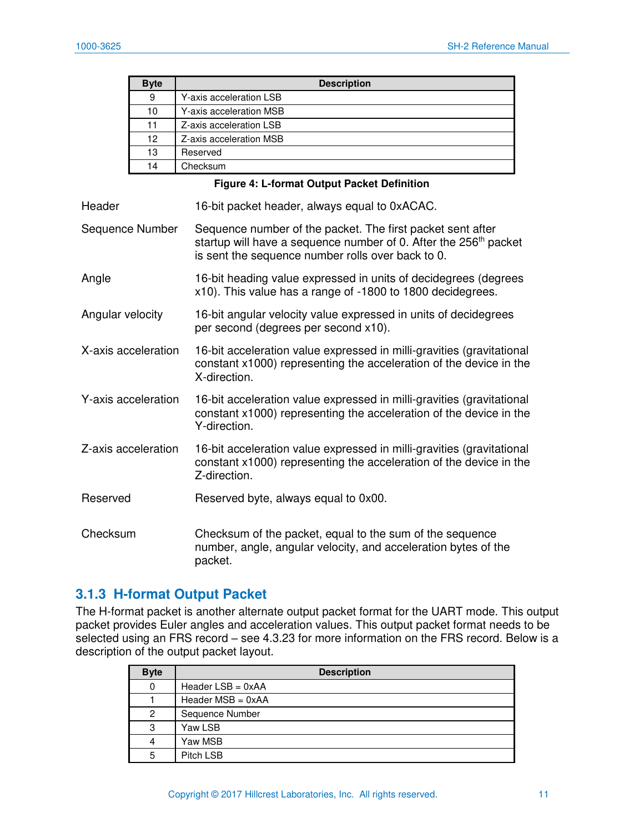| <b>Byte</b> | <b>Description</b>      |  |
|-------------|-------------------------|--|
| 9           | Y-axis acceleration LSB |  |
| 10          | Y-axis acceleration MSB |  |
| 11          | Z-axis acceleration LSB |  |
| 12          | Z-axis acceleration MSB |  |
| 13          | Reserved                |  |
| 14          | Checksum                |  |

#### **Figure 4: L-format Output Packet Definition**

<span id="page-11-1"></span>

| Header              | 16-bit packet header, always equal to 0xACAC.                                                                                                                                                   |
|---------------------|-------------------------------------------------------------------------------------------------------------------------------------------------------------------------------------------------|
| Sequence Number     | Sequence number of the packet. The first packet sent after<br>startup will have a sequence number of 0. After the 256 <sup>th</sup> packet<br>is sent the sequence number rolls over back to 0. |
| Angle               | 16-bit heading value expressed in units of decidegrees (degrees<br>x10). This value has a range of -1800 to 1800 decidegrees.                                                                   |
| Angular velocity    | 16-bit angular velocity value expressed in units of decidegrees<br>per second (degrees per second x10).                                                                                         |
| X-axis acceleration | 16-bit acceleration value expressed in milli-gravities (gravitational<br>constant x1000) representing the acceleration of the device in the<br>X-direction.                                     |
| Y-axis acceleration | 16-bit acceleration value expressed in milli-gravities (gravitational<br>constant x1000) representing the acceleration of the device in the<br>Y-direction.                                     |
| Z-axis acceleration | 16-bit acceleration value expressed in milli-gravities (gravitational<br>constant x1000) representing the acceleration of the device in the<br>Z-direction.                                     |
| Reserved            | Reserved byte, always equal to 0x00.                                                                                                                                                            |
| Checksum            | Checksum of the packet, equal to the sum of the sequence<br>number, angle, angular velocity, and acceleration bytes of the<br>packet.                                                           |

#### <span id="page-11-0"></span>**3.1.3 H-format Output Packet**

The H-format packet is another alternate output packet format for the UART mode. This output packet provides Euler angles and acceleration values. This output packet format needs to be selected using an FRS record – see [4.3.23](#page-25-2) for more information on the FRS record. Below is a description of the output packet layout.

| <b>Byte</b> | <b>Description</b>  |
|-------------|---------------------|
| $\mathbf 0$ | Header $LSB = 0xAA$ |
|             | Header $MSB = 0xAA$ |
| 2           | Sequence Number     |
| 3           | Yaw LSB             |
| 4           | Yaw MSB             |
| 5           | Pitch LSB           |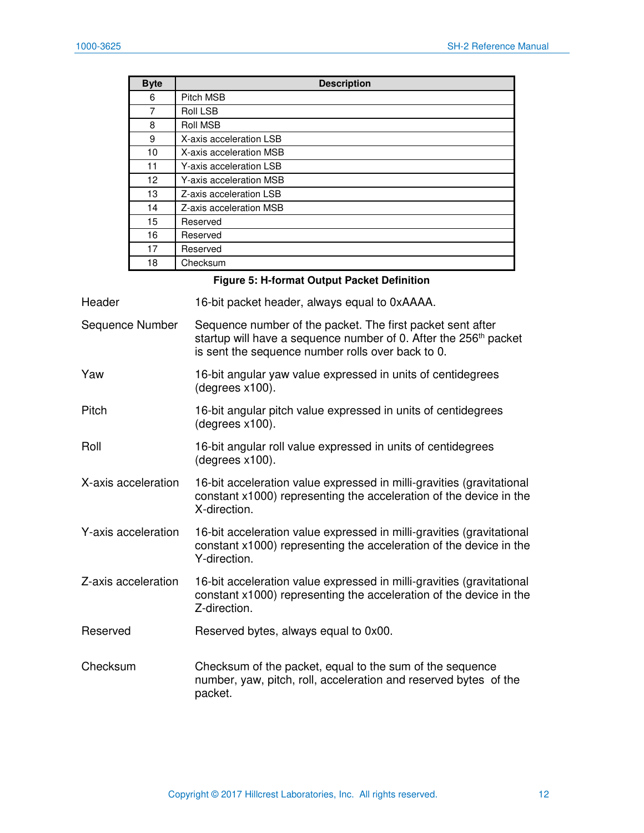| <b>Byte</b> | <b>Description</b>      |
|-------------|-------------------------|
| 6           | Pitch MSB               |
| 7           | Roll LSB                |
| 8           | <b>Roll MSB</b>         |
| 9           | X-axis acceleration LSB |
| 10          | X-axis acceleration MSB |
| 11          | Y-axis acceleration LSB |
| 12          | Y-axis acceleration MSB |
| 13          | Z-axis acceleration LSB |
| 14          | Z-axis acceleration MSB |
| 15          | Reserved                |
| 16          | Reserved                |
| 17          | Reserved                |
| 18          | Checksum                |

#### **Figure 5: H-format Output Packet Definition**

<span id="page-12-0"></span>

| Header              | 16-bit packet header, always equal to 0xAAAA.                                                                                                                                                   |
|---------------------|-------------------------------------------------------------------------------------------------------------------------------------------------------------------------------------------------|
| Sequence Number     | Sequence number of the packet. The first packet sent after<br>startup will have a sequence number of 0. After the 256 <sup>th</sup> packet<br>is sent the sequence number rolls over back to 0. |
| Yaw                 | 16-bit angular yaw value expressed in units of centidegrees<br>$(degrees x100)$ .                                                                                                               |
| Pitch               | 16-bit angular pitch value expressed in units of centidegrees<br>(degrees x100).                                                                                                                |
| Roll                | 16-bit angular roll value expressed in units of centidegrees<br>(degrees x100).                                                                                                                 |
| X-axis acceleration | 16-bit acceleration value expressed in milli-gravities (gravitational<br>constant x1000) representing the acceleration of the device in the<br>X-direction.                                     |
| Y-axis acceleration | 16-bit acceleration value expressed in milli-gravities (gravitational<br>constant x1000) representing the acceleration of the device in the<br>Y-direction.                                     |
| Z-axis acceleration | 16-bit acceleration value expressed in milli-gravities (gravitational<br>constant x1000) representing the acceleration of the device in the<br>Z-direction.                                     |
| Reserved            | Reserved bytes, always equal to 0x00.                                                                                                                                                           |
| Checksum            | Checksum of the packet, equal to the sum of the sequence<br>number, yaw, pitch, roll, acceleration and reserved bytes of the<br>packet.                                                         |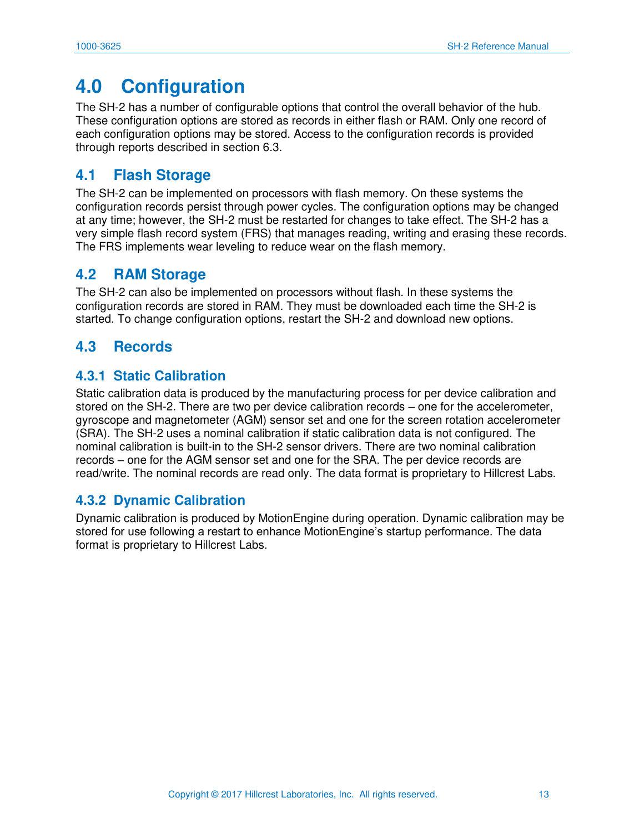## <span id="page-13-0"></span>**4.0 Configuration**

The SH-2 has a number of configurable options that control the overall behavior of the hub. These configuration options are stored as records in either flash or RAM. Only one record of each configuration options may be stored. Access to the configuration records is provided through reports described in section [6.3.](#page-37-0)

## <span id="page-13-1"></span>**4.1 Flash Storage**

The SH-2 can be implemented on processors with flash memory. On these systems the configuration records persist through power cycles. The configuration options may be changed at any time; however, the SH-2 must be restarted for changes to take effect. The SH-2 has a very simple flash record system (FRS) that manages reading, writing and erasing these records. The FRS implements wear leveling to reduce wear on the flash memory.

### <span id="page-13-2"></span>**4.2 RAM Storage**

The SH-2 can also be implemented on processors without flash. In these systems the configuration records are stored in RAM. They must be downloaded each time the SH-2 is started. To change configuration options, restart the SH-2 and download new options.

### <span id="page-13-3"></span>**4.3 Records**

#### <span id="page-13-4"></span>**4.3.1 Static Calibration**

Static calibration data is produced by the manufacturing process for per device calibration and stored on the SH-2. There are two per device calibration records – one for the accelerometer, gyroscope and magnetometer (AGM) sensor set and one for the screen rotation accelerometer (SRA). The SH-2 uses a nominal calibration if static calibration data is not configured. The nominal calibration is built-in to the SH-2 sensor drivers. There are two nominal calibration records – one for the AGM sensor set and one for the SRA. The per device records are read/write. The nominal records are read only. The data format is proprietary to Hillcrest Labs.

#### <span id="page-13-5"></span>**4.3.2 Dynamic Calibration**

Dynamic calibration is produced by MotionEngine during operation. Dynamic calibration may be stored for use following a restart to enhance MotionEngine's startup performance. The data format is proprietary to Hillcrest Labs.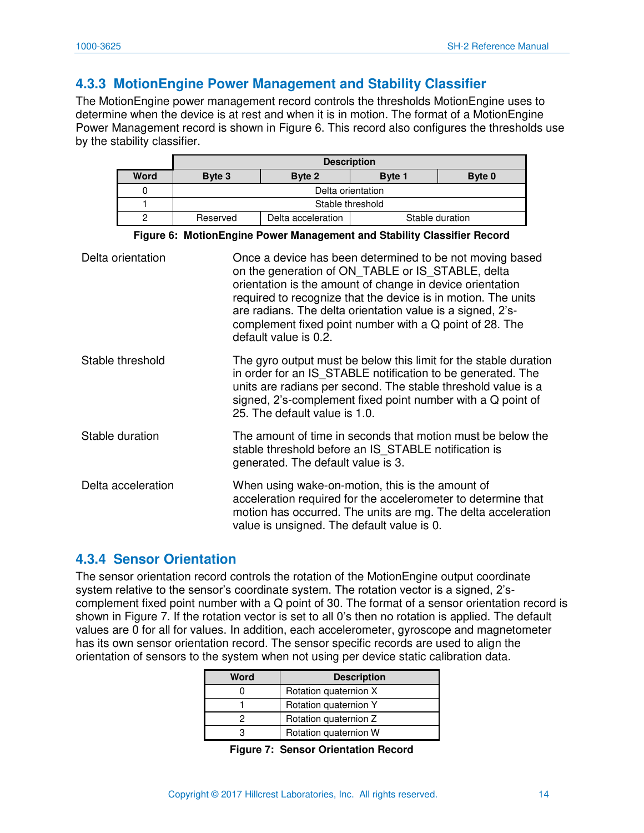#### <span id="page-14-0"></span>**4.3.3 MotionEngine Power Management and Stability Classifier**

The MotionEngine power management record controls the thresholds MotionEngine uses to determine when the device is at rest and when it is in motion. The format of a MotionEngine Power Management record is shown in [Figure 6.](#page-14-2) This record also configures the thresholds use by the stability classifier.

|      | <b>Description</b> |                    |               |                 |
|------|--------------------|--------------------|---------------|-----------------|
| Word | Byte 3             | Byte 2             | <b>Byte 1</b> | Byte 0          |
|      | Delta orientation  |                    |               |                 |
|      | Stable threshold   |                    |               |                 |
|      | Reserved           | Delta acceleration |               | Stable duration |

**Figure 6: MotionEngine Power Management and Stability Classifier Record** 

<span id="page-14-2"></span>

| Delta orientation  | Once a device has been determined to be not moving based<br>on the generation of ON TABLE or IS STABLE, delta<br>orientation is the amount of change in device orientation<br>required to recognize that the device is in motion. The units<br>are radians. The delta orientation value is a signed, 2's-<br>complement fixed point number with a Q point of 28. The<br>default value is 0.2. |
|--------------------|-----------------------------------------------------------------------------------------------------------------------------------------------------------------------------------------------------------------------------------------------------------------------------------------------------------------------------------------------------------------------------------------------|
| Stable threshold   | The gyro output must be below this limit for the stable duration<br>in order for an IS STABLE notification to be generated. The<br>units are radians per second. The stable threshold value is a<br>signed, 2's-complement fixed point number with a Q point of<br>25. The default value is 1.0.                                                                                              |
| Stable duration    | The amount of time in seconds that motion must be below the<br>stable threshold before an IS STABLE notification is<br>generated. The default value is 3.                                                                                                                                                                                                                                     |
| Delta acceleration | When using wake-on-motion, this is the amount of<br>acceleration required for the accelerometer to determine that<br>motion has occurred. The units are mg. The delta acceleration<br>value is unsigned. The default value is 0.                                                                                                                                                              |

#### <span id="page-14-1"></span>**4.3.4 Sensor Orientation**

The sensor orientation record controls the rotation of the MotionEngine output coordinate system relative to the sensor's coordinate system. The rotation vector is a signed, 2'scomplement fixed point number with a Q point of 30. The format of a sensor orientation record is shown in [Figure 7.](#page-14-3) If the rotation vector is set to all 0's then no rotation is applied. The default values are 0 for all for values. In addition, each accelerometer, gyroscope and magnetometer has its own sensor orientation record. The sensor specific records are used to align the orientation of sensors to the system when not using per device static calibration data.

<span id="page-14-3"></span>

| Word | <b>Description</b>    |
|------|-----------------------|
|      | Rotation quaternion X |
|      | Rotation quaternion Y |
|      | Rotation quaternion Z |
|      | Rotation quaternion W |

**Figure 7: Sensor Orientation Record**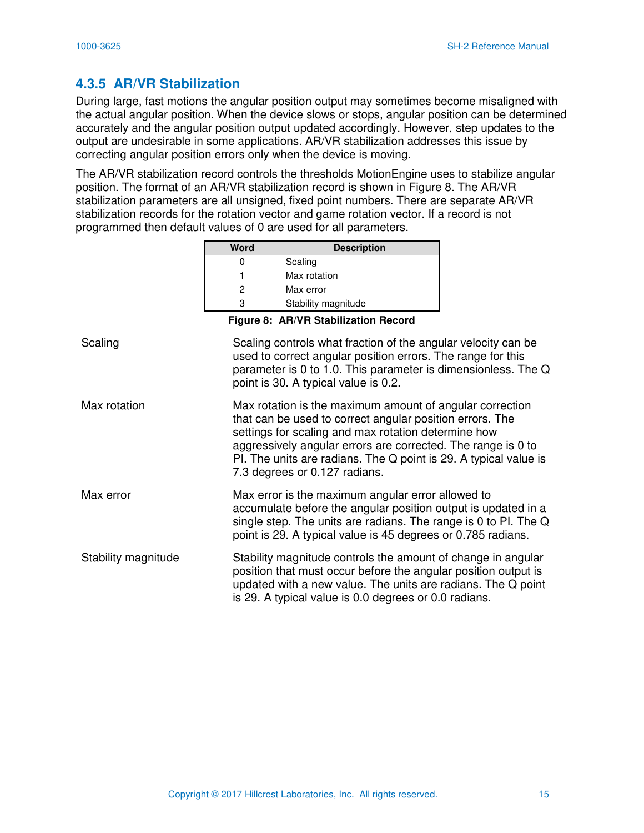### <span id="page-15-0"></span>**4.3.5 AR/VR Stabilization**

During large, fast motions the angular position output may sometimes become misaligned with the actual angular position. When the device slows or stops, angular position can be determined accurately and the angular position output updated accordingly. However, step updates to the output are undesirable in some applications. AR/VR stabilization addresses this issue by correcting angular position errors only when the device is moving.

The AR/VR stabilization record controls the thresholds MotionEngine uses to stabilize angular position. The format of an AR/VR stabilization record is shown in [Figure 8.](#page-15-1) The AR/VR stabilization parameters are all unsigned, fixed point numbers. There are separate AR/VR stabilization records for the rotation vector and game rotation vector. If a record is not programmed then default values of 0 are used for all parameters.

| Word | <b>Description</b>  |
|------|---------------------|
|      | Scaling             |
|      | Max rotation        |
|      | Max error           |
|      | Stability magnitude |

**Figure 8: AR/VR Stabilization Record** 

<span id="page-15-1"></span>

| Scaling             | Scaling controls what fraction of the angular velocity can be<br>used to correct angular position errors. The range for this<br>parameter is 0 to 1.0. This parameter is dimensionless. The Q<br>point is 30. A typical value is 0.2.                                                                                                            |
|---------------------|--------------------------------------------------------------------------------------------------------------------------------------------------------------------------------------------------------------------------------------------------------------------------------------------------------------------------------------------------|
| Max rotation        | Max rotation is the maximum amount of angular correction<br>that can be used to correct angular position errors. The<br>settings for scaling and max rotation determine how<br>aggressively angular errors are corrected. The range is 0 to<br>PI. The units are radians. The Q point is 29. A typical value is<br>7.3 degrees or 0.127 radians. |
| Max error           | Max error is the maximum angular error allowed to<br>accumulate before the angular position output is updated in a<br>single step. The units are radians. The range is 0 to PI. The Q<br>point is 29. A typical value is 45 degrees or 0.785 radians.                                                                                            |
| Stability magnitude | Stability magnitude controls the amount of change in angular<br>position that must occur before the angular position output is<br>updated with a new value. The units are radians. The Q point<br>is 29. A typical value is 0.0 degrees or 0.0 radians.                                                                                          |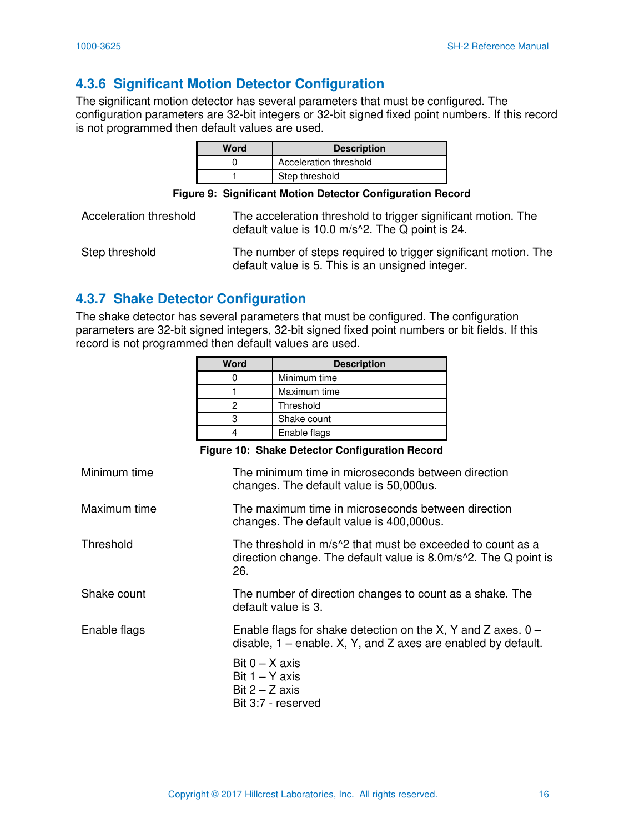## <span id="page-16-0"></span>**4.3.6 Significant Motion Detector Configuration**

The significant motion detector has several parameters that must be configured. The configuration parameters are 32-bit integers or 32-bit signed fixed point numbers. If this record is not programmed then default values are used.

| Word | <b>Description</b>     |
|------|------------------------|
|      | Acceleration threshold |
|      | Step threshold         |

<span id="page-16-2"></span>

| Acceleration threshold | The acceleration threshold to trigger significant motion. The<br>default value is 10.0 $m/s$ <sup>2</sup> . The Q point is 24. |
|------------------------|--------------------------------------------------------------------------------------------------------------------------------|
| Step threshold         | The number of steps required to trigger significant motion. The<br>default value is 5. This is an unsigned integer.            |

#### <span id="page-16-1"></span>**4.3.7 Shake Detector Configuration**

The shake detector has several parameters that must be configured. The configuration parameters are 32-bit signed integers, 32-bit signed fixed point numbers or bit fields. If this record is not programmed then default values are used.

|              | <b>Word</b> | <b>Description</b>                                 |
|--------------|-------------|----------------------------------------------------|
|              | 0           | Minimum time                                       |
|              |             | Maximum time                                       |
|              | 2           | Threshold                                          |
|              | 3           | Shake count                                        |
|              | 4           | Enable flags                                       |
|              |             | Figure 10: Shake Detector Configuration Record     |
| Minimum time |             | The minimum time in microseconds between direction |

<span id="page-16-3"></span>

|              | changes. The default value is 50,000us.                                                                                                                       |
|--------------|---------------------------------------------------------------------------------------------------------------------------------------------------------------|
| Maximum time | The maximum time in microseconds between direction<br>changes. The default value is 400,000us.                                                                |
| Threshold    | The threshold in m/s <sup>1</sup> 2 that must be exceeded to count as a<br>direction change. The default value is 8.0m/s <sup>2</sup> . The Q point is<br>26. |
| Shake count  | The number of direction changes to count as a shake. The<br>default value is 3.                                                                               |
| Enable flags | Enable flags for shake detection on the X, Y and Z axes. $0 -$<br>disable, $1$ – enable. X, Y, and Z axes are enabled by default.                             |
|              | Bit $0 - X$ axis<br>Bit $1 - Y$ axis<br>Bit $2 - Z$ axis<br>Bit 3:7 - reserved                                                                                |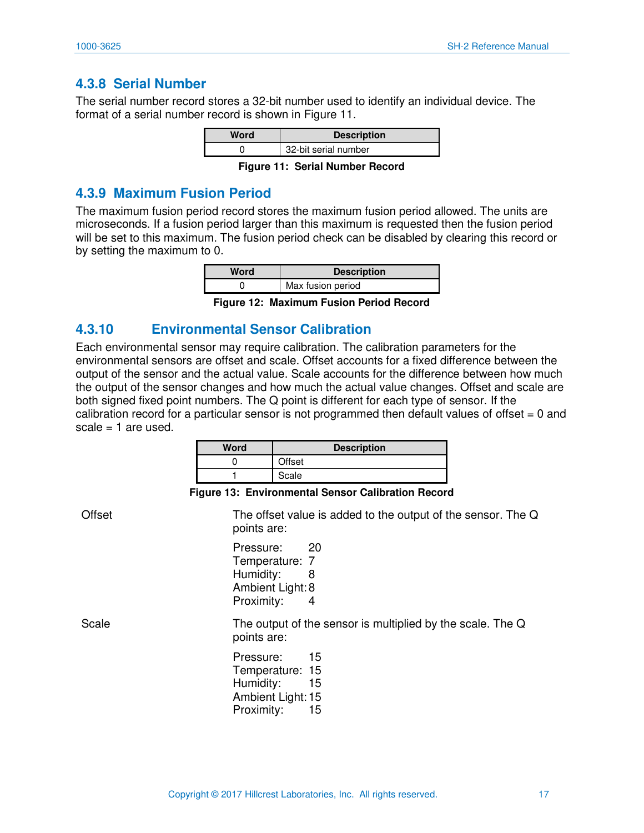#### <span id="page-17-0"></span>**4.3.8 Serial Number**

The serial number record stores a 32-bit number used to identify an individual device. The format of a serial number record is shown in Figure 11.

| Word | <b>Description</b>   |
|------|----------------------|
|      | 32-bit serial number |

**Figure 11: Serial Number Record** 

#### <span id="page-17-3"></span><span id="page-17-1"></span>**4.3.9 Maximum Fusion Period**

The maximum fusion period record stores the maximum fusion period allowed. The units are microseconds. If a fusion period larger than this maximum is requested then the fusion period will be set to this maximum. The fusion period check can be disabled by clearing this record or by setting the maximum to 0.

| Word | <b>Description</b> |
|------|--------------------|
|      | Max fusion period  |

**Figure 12: Maximum Fusion Period Record** 

#### <span id="page-17-4"></span><span id="page-17-2"></span>**4.3.10 Environmental Sensor Calibration**

Each environmental sensor may require calibration. The calibration parameters for the environmental sensors are offset and scale. Offset accounts for a fixed difference between the output of the sensor and the actual value. Scale accounts for the difference between how much the output of the sensor changes and how much the actual value changes. Offset and scale are both signed fixed point numbers. The Q point is different for each type of sensor. If the calibration record for a particular sensor is not programmed then default values of offset  $= 0$  and  $scale = 1$  are used.

| Word | <b>Description</b> |
|------|--------------------|
|      | Offset             |
|      | Scale              |

#### **Figure 13: Environmental Sensor Calibration Record**

<span id="page-17-5"></span>Offset The offset value is added to the output of the sensor. The Q points are:

> Pressure: 20 Temperature: 7 Humidity: 8 Ambient Light: 8 Proximity: 4

Scale The output of the sensor is multiplied by the scale. The Q points are:

> Pressure: 15 Temperature: 15 Humidity: 15 Ambient Light: 15 Proximity: 15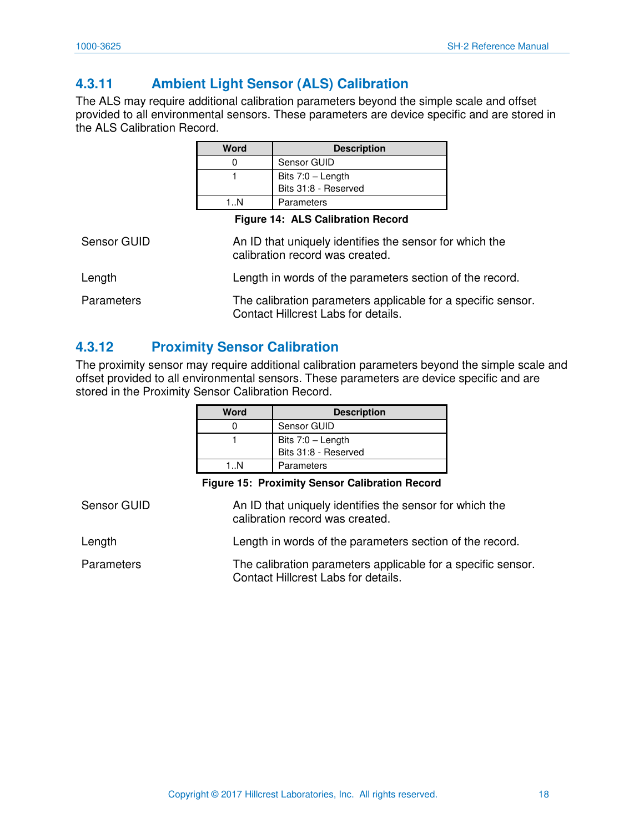## <span id="page-18-0"></span>**4.3.11 Ambient Light Sensor (ALS) Calibration**

The ALS may require additional calibration parameters beyond the simple scale and offset provided to all environmental sensors. These parameters are device specific and are stored in the ALS Calibration Record.

<span id="page-18-2"></span>

|             | <b>Word</b> | <b>Description</b>                                                                         |  |
|-------------|-------------|--------------------------------------------------------------------------------------------|--|
|             | 0           | Sensor GUID                                                                                |  |
|             |             | Bits $7:0$ – Length<br>Bits 31:8 - Reserved                                                |  |
|             | 1N          | Parameters                                                                                 |  |
|             |             | <b>Figure 14: ALS Calibration Record</b>                                                   |  |
| Sensor GUID |             | An ID that uniquely identifies the sensor for which the<br>calibration record was created. |  |
| Length      |             | Length in words of the parameters section of the record.                                   |  |

#### Parameters The calibration parameters applicable for a specific sensor. Contact Hillcrest Labs for details.

#### <span id="page-18-1"></span>**4.3.12 Proximity Sensor Calibration**

The proximity sensor may require additional calibration parameters beyond the simple scale and offset provided to all environmental sensors. These parameters are device specific and are stored in the Proximity Sensor Calibration Record.

| Word | <b>Description</b>   |
|------|----------------------|
|      | Sensor GUID          |
|      | Bits 7:0 - Length    |
|      | Bits 31:8 - Reserved |
| 1 N  | Parameters           |

**Figure 15: Proximity Sensor Calibration Record** 

<span id="page-18-3"></span>

| Sensor GUID | An ID that uniquely identifies the sensor for which the<br>calibration record was created.          |
|-------------|-----------------------------------------------------------------------------------------------------|
| Length      | Length in words of the parameters section of the record.                                            |
| Parameters  | The calibration parameters applicable for a specific sensor.<br>Contact Hillcrest Labs for details. |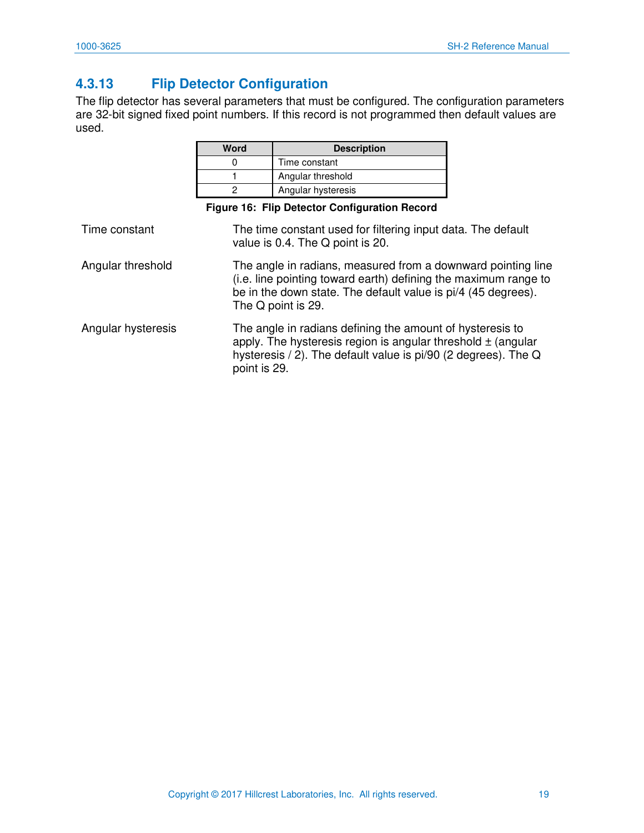## <span id="page-19-0"></span>**4.3.13 Flip Detector Configuration**

The flip detector has several parameters that must be configured. The configuration parameters are 32-bit signed fixed point numbers. If this record is not programmed then default values are used.

<span id="page-19-1"></span>

|                    | <b>Word</b>                                                                                                                                                                                                            | <b>Description</b>                                                                                                                                                                              |  |
|--------------------|------------------------------------------------------------------------------------------------------------------------------------------------------------------------------------------------------------------------|-------------------------------------------------------------------------------------------------------------------------------------------------------------------------------------------------|--|
|                    | 0                                                                                                                                                                                                                      | Time constant                                                                                                                                                                                   |  |
|                    |                                                                                                                                                                                                                        | Angular threshold                                                                                                                                                                               |  |
|                    | 2                                                                                                                                                                                                                      | Angular hysteresis                                                                                                                                                                              |  |
|                    |                                                                                                                                                                                                                        | Figure 16: Flip Detector Configuration Record                                                                                                                                                   |  |
| Time constant      |                                                                                                                                                                                                                        | The time constant used for filtering input data. The default<br>value is 0.4. The Q point is 20.                                                                                                |  |
| Angular threshold  | The angle in radians, measured from a downward pointing line<br>(i.e. line pointing toward earth) defining the maximum range to<br>be in the down state. The default value is pi/4 (45 degrees).<br>The Q point is 29. |                                                                                                                                                                                                 |  |
| Angular hysteresis | point is 29.                                                                                                                                                                                                           | The angle in radians defining the amount of hysteresis to<br>apply. The hysteresis region is angular threshold $\pm$ (angular<br>hysteresis / 2). The default value is pi/90 (2 degrees). The Q |  |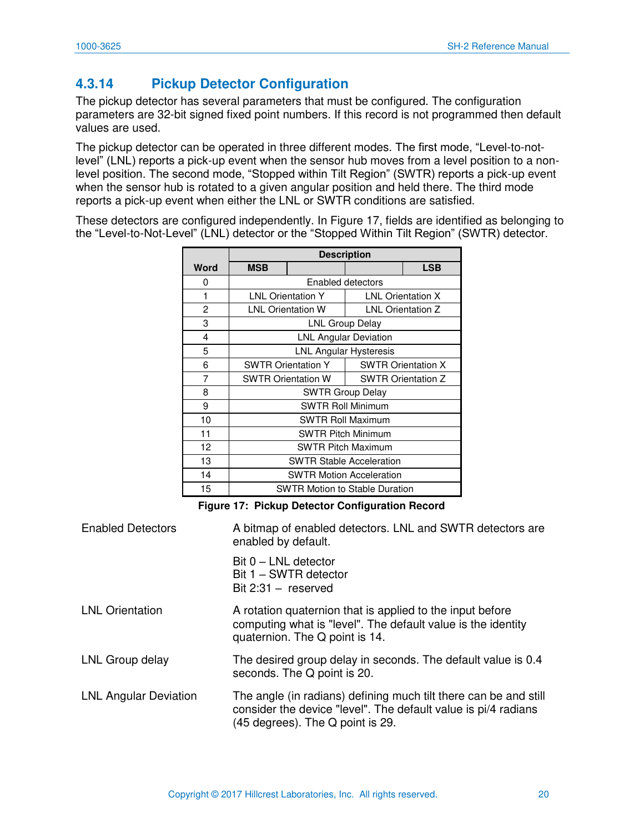## <span id="page-20-0"></span>**4.3.14 Pickup Detector Configuration**

The pickup detector has several parameters that must be configured. The configuration parameters are 32-bit signed fixed point numbers. If this record is not programmed then default values are used.

The pickup detector can be operated in three different modes. The first mode, "Level-to-notlevel" (LNL) reports a pick-up event when the sensor hub moves from a level position to a nonlevel position. The second mode, "Stopped within Tilt Region" (SWTR) reports a pick-up event when the sensor hub is rotated to a given angular position and held there. The third mode reports a pick-up event when either the LNL or SWTR conditions are satisfied.

These detectors are configured independently. In [Figure 17,](#page-20-1) fields are identified as belonging to the "Level-to-Not-Level" (LNL) detector or the "Stopped Within Tilt Region" (SWTR) detector.

|      | <b>Description</b>                                     |                              |  |                          |
|------|--------------------------------------------------------|------------------------------|--|--------------------------|
| Word | <b>MSB</b>                                             |                              |  | <b>LSB</b>               |
| 0    |                                                        | Enabled detectors            |  |                          |
| 1    | <b>LNL Orientation Y</b>                               |                              |  | <b>LNL Orientation X</b> |
| 2    | <b>LNL Orientation W</b>                               |                              |  | <b>LNL Orientation Z</b> |
| 3    |                                                        | <b>LNL Group Delay</b>       |  |                          |
| 4    |                                                        | <b>LNL Angular Deviation</b> |  |                          |
| 5    | <b>LNL Angular Hysteresis</b>                          |                              |  |                          |
| 6    | <b>SWTR Orientation Y</b><br><b>SWTR Orientation X</b> |                              |  |                          |
| 7    | <b>SWTR Orientation W</b><br><b>SWTR Orientation Z</b> |                              |  |                          |
| 8    | <b>SWTR Group Delay</b>                                |                              |  |                          |
| 9    | <b>SWTR Roll Minimum</b>                               |                              |  |                          |
| 10   | <b>SWTR Roll Maximum</b>                               |                              |  |                          |
| 11   | <b>SWTR Pitch Minimum</b>                              |                              |  |                          |
| 12   | <b>SWTR Pitch Maximum</b>                              |                              |  |                          |
| 13   | <b>SWTR Stable Acceleration</b>                        |                              |  |                          |
| 14   | <b>SWTR Motion Acceleration</b>                        |                              |  |                          |
| 15   | <b>SWTR Motion to Stable Duration</b>                  |                              |  |                          |

**Figure 17: Pickup Detector Configuration Record** 

<span id="page-20-1"></span>

| <b>Enabled Detectors</b>     | A bitmap of enabled detectors. LNL and SWTR detectors are<br>enabled by default.                                                                                       |
|------------------------------|------------------------------------------------------------------------------------------------------------------------------------------------------------------------|
|                              | $Bit 0 - LNL detector$<br>Bit 1 - SWTR detector<br>Bit $2:31 -$ reserved                                                                                               |
| <b>LNL Orientation</b>       | A rotation quaternion that is applied to the input before<br>computing what is "level". The default value is the identity<br>quaternion. The Q point is 14.            |
| LNL Group delay              | The desired group delay in seconds. The default value is 0.4<br>seconds. The Q point is 20.                                                                            |
| <b>LNL Angular Deviation</b> | The angle (in radians) defining much tilt there can be and still<br>consider the device "level". The default value is pi/4 radians<br>(45 degrees). The Q point is 29. |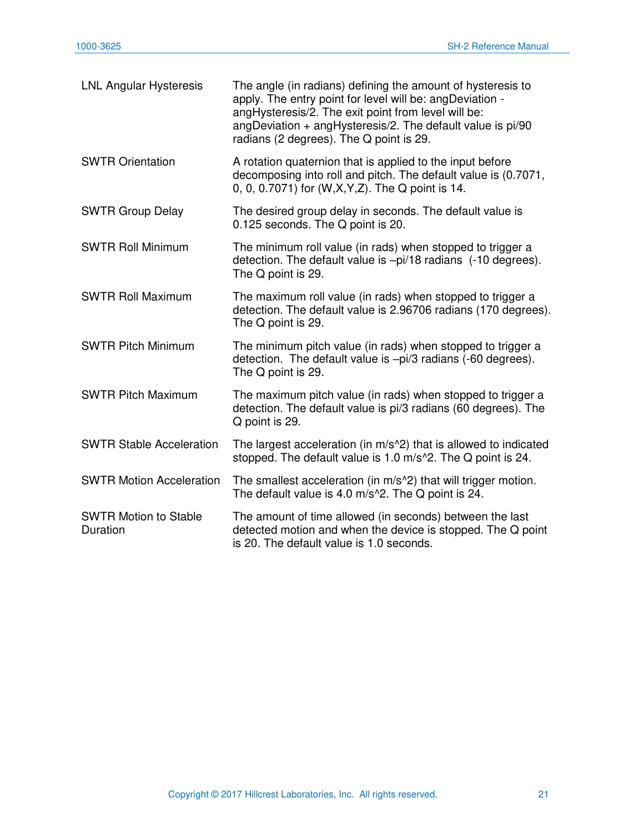| <b>LNL Angular Hysteresis</b>            | The angle (in radians) defining the amount of hysteresis to<br>apply. The entry point for level will be: angDeviation -<br>angHysteresis/2. The exit point from level will be:<br>angDeviation $+$ angHysteresis/2. The default value is $pi/90$<br>radians (2 degrees). The Q point is 29. |
|------------------------------------------|---------------------------------------------------------------------------------------------------------------------------------------------------------------------------------------------------------------------------------------------------------------------------------------------|
| <b>SWTR Orientation</b>                  | A rotation quaternion that is applied to the input before<br>decomposing into roll and pitch. The default value is (0.7071,<br>0, 0, 0.7071) for (W,X,Y,Z). The Q point is 14.                                                                                                              |
| <b>SWTR Group Delay</b>                  | The desired group delay in seconds. The default value is<br>0.125 seconds. The Q point is 20.                                                                                                                                                                                               |
| <b>SWTR Roll Minimum</b>                 | The minimum roll value (in rads) when stopped to trigger a<br>detection. The default value is -pi/18 radians (-10 degrees).<br>The Q point is 29.                                                                                                                                           |
| <b>SWTR Roll Maximum</b>                 | The maximum roll value (in rads) when stopped to trigger a<br>detection. The default value is 2.96706 radians (170 degrees).<br>The Q point is 29.                                                                                                                                          |
| <b>SWTR Pitch Minimum</b>                | The minimum pitch value (in rads) when stopped to trigger a<br>detection. The default value is -pi/3 radians (-60 degrees).<br>The Q point is 29.                                                                                                                                           |
| <b>SWTR Pitch Maximum</b>                | The maximum pitch value (in rads) when stopped to trigger a<br>detection. The default value is pi/3 radians (60 degrees). The<br>Q point is 29.                                                                                                                                             |
| <b>SWTR Stable Acceleration</b>          | The largest acceleration (in m/s <sup><math>\wedge</math>2)</sup> that is allowed to indicated<br>stopped. The default value is 1.0 m/s^2. The Q point is 24.                                                                                                                               |
| <b>SWTR Motion Acceleration</b>          | The smallest acceleration (in m/s <sup>1</sup> 2) that will trigger motion.<br>The default value is 4.0 m/s <sup>1</sup> 2. The Q point is 24.                                                                                                                                              |
| <b>SWTR Motion to Stable</b><br>Duration | The amount of time allowed (in seconds) between the last<br>detected motion and when the device is stopped. The Q point<br>is 20. The default value is 1.0 seconds.                                                                                                                         |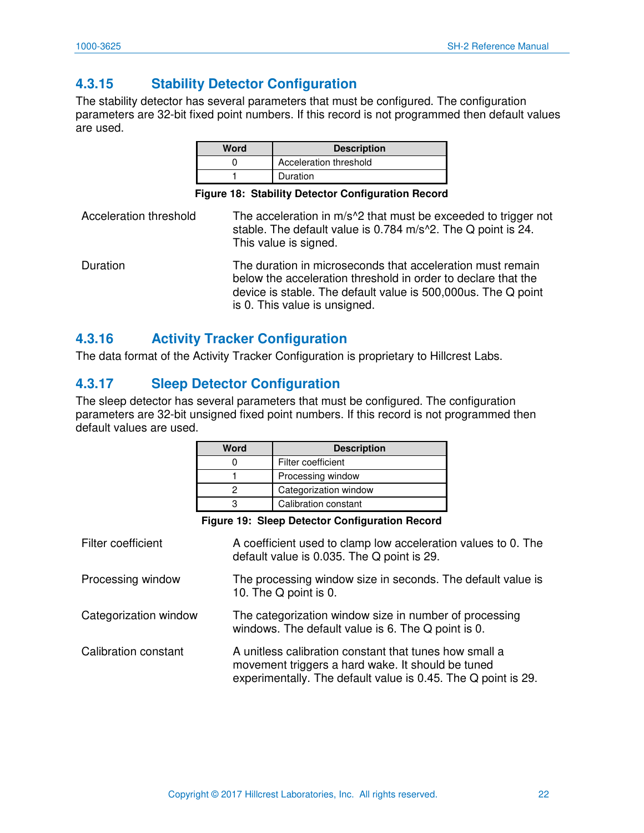## <span id="page-22-0"></span>**4.3.15 Stability Detector Configuration**

The stability detector has several parameters that must be configured. The configuration parameters are 32-bit fixed point numbers. If this record is not programmed then default values are used.

| Word | <b>Description</b>     |
|------|------------------------|
|      | Acceleration threshold |
|      | Duration               |

**Figure 18: Stability Detector Configuration Record** 

<span id="page-22-3"></span>Acceleration threshold The acceleration in  $m/s^2$  that must be exceeded to trigger not stable. The default value is 0.784 m/s^2. The Q point is 24. This value is signed. Duration The duration in microseconds that acceleration must remain below the acceleration threshold in order to declare that the device is stable. The default value is 500,000us. The Q point is 0. This value is unsigned.

#### <span id="page-22-1"></span>**4.3.16 Activity Tracker Configuration**

The data format of the Activity Tracker Configuration is proprietary to Hillcrest Labs.

#### <span id="page-22-2"></span>**4.3.17 Sleep Detector Configuration**

The sleep detector has several parameters that must be configured. The configuration parameters are 32-bit unsigned fixed point numbers. If this record is not programmed then default values are used.

| Word | <b>Description</b>    |
|------|-----------------------|
|      | Filter coefficient    |
|      | Processing window     |
|      | Categorization window |
|      | Calibration constant  |

**Figure 19: Sleep Detector Configuration Record** 

<span id="page-22-4"></span>

| Filter coefficient    | A coefficient used to clamp low acceleration values to 0. The<br>default value is 0.035. The Q point is 29.                                                                  |
|-----------------------|------------------------------------------------------------------------------------------------------------------------------------------------------------------------------|
| Processing window     | The processing window size in seconds. The default value is<br>10. The Q point is 0.                                                                                         |
| Categorization window | The categorization window size in number of processing<br>windows. The default value is 6. The Q point is 0.                                                                 |
| Calibration constant  | A unitless calibration constant that tunes how small a<br>movement triggers a hard wake. It should be tuned<br>experimentally. The default value is 0.45. The Q point is 29. |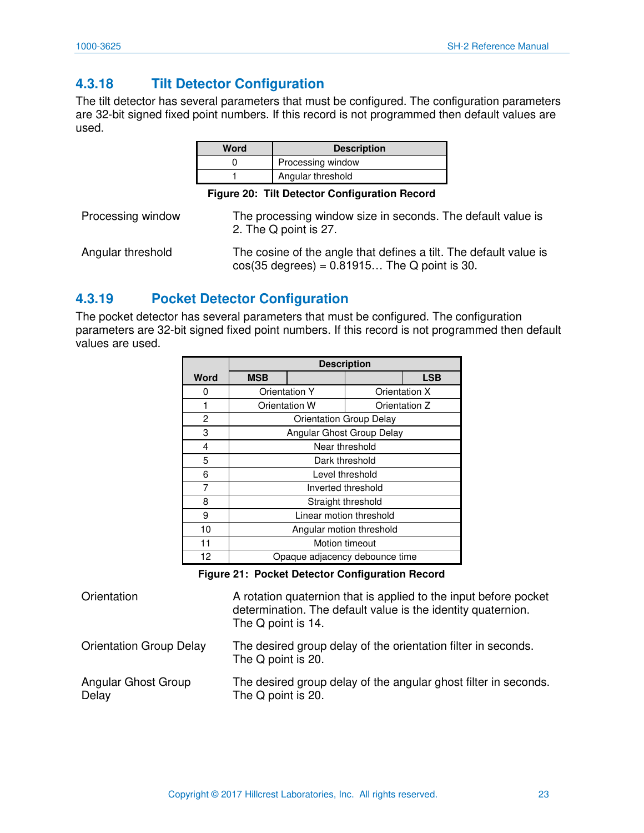## <span id="page-23-0"></span>**4.3.18 Tilt Detector Configuration**

The tilt detector has several parameters that must be configured. The configuration parameters are 32-bit signed fixed point numbers. If this record is not programmed then default values are used.

| Word | <b>Description</b> |
|------|--------------------|
|      | Processing window  |
|      | Angular threshold  |

**Figure 20: Tilt Detector Configuration Record** 

<span id="page-23-2"></span>

| Processing window | The processing window size in seconds. The default value is<br>2. The Q point is 27.                                        |
|-------------------|-----------------------------------------------------------------------------------------------------------------------------|
| Angular threshold | The cosine of the angle that defines a tilt. The default value is<br>$cos(35 \text{ degrees}) = 0.81915$ The Q point is 30. |

#### <span id="page-23-1"></span>**4.3.19 Pocket Detector Configuration**

The pocket detector has several parameters that must be configured. The configuration parameters are 32-bit signed fixed point numbers. If this record is not programmed then default values are used.

|      | <b>Description</b>             |                                |                    |               |
|------|--------------------------------|--------------------------------|--------------------|---------------|
| Word | <b>MSB</b>                     |                                |                    | <b>LSB</b>    |
| O    |                                | <b>Orientation Y</b>           |                    | Orientation X |
|      | Orientation W                  |                                |                    | Orientation Z |
| 2    |                                | <b>Orientation Group Delay</b> |                    |               |
| 3    |                                | Angular Ghost Group Delay      |                    |               |
| 4    |                                | Near threshold                 |                    |               |
| 5    |                                | Dark threshold                 |                    |               |
| 6    |                                | Level threshold                |                    |               |
| 7    |                                |                                | Inverted threshold |               |
| 8    |                                | Straight threshold             |                    |               |
| 9    |                                | Linear motion threshold        |                    |               |
| 10   |                                | Angular motion threshold       |                    |               |
| 11   |                                | Motion timeout                 |                    |               |
| 12   | Opaque adjacency debounce time |                                |                    |               |

**Figure 21: Pocket Detector Configuration Record** 

<span id="page-23-3"></span>

| Orientation                    | A rotation quaternion that is applied to the input before pocket<br>determination. The default value is the identity quaternion.<br>The Q point is 14. |
|--------------------------------|--------------------------------------------------------------------------------------------------------------------------------------------------------|
| <b>Orientation Group Delay</b> | The desired group delay of the orientation filter in seconds.<br>The Q point is 20.                                                                    |
| Angular Ghost Group<br>Delay   | The desired group delay of the angular ghost filter in seconds.<br>The Q point is 20.                                                                  |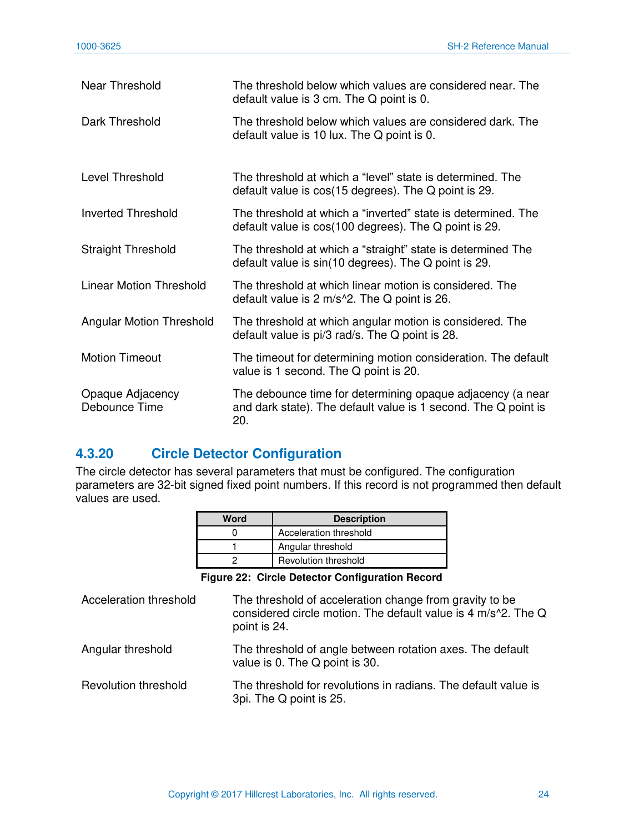| Near Threshold                    | The threshold below which values are considered near. The<br>default value is 3 cm. The Q point is 0.                               |
|-----------------------------------|-------------------------------------------------------------------------------------------------------------------------------------|
| Dark Threshold                    | The threshold below which values are considered dark. The<br>default value is 10 lux. The Q point is 0.                             |
| Level Threshold                   | The threshold at which a "level" state is determined. The<br>default value is $cos(15$ degrees). The Q point is 29.                 |
| <b>Inverted Threshold</b>         | The threshold at which a "inverted" state is determined. The<br>default value is $cos(100$ degrees). The Q point is 29.             |
| <b>Straight Threshold</b>         | The threshold at which a "straight" state is determined The<br>default value is sin(10 degrees). The Q point is 29.                 |
| Linear Motion Threshold           | The threshold at which linear motion is considered. The<br>default value is $2 \text{ m/s}$ <sup>2</sup> . The Q point is 26.       |
| <b>Angular Motion Threshold</b>   | The threshold at which angular motion is considered. The<br>default value is pi/3 rad/s. The Q point is 28.                         |
| <b>Motion Timeout</b>             | The timeout for determining motion consideration. The default<br>value is 1 second. The Q point is 20.                              |
| Opaque Adjacency<br>Debounce Time | The debounce time for determining opaque adjacency (a near<br>and dark state). The default value is 1 second. The Q point is<br>20. |

#### <span id="page-24-0"></span>**4.3.20 Circle Detector Configuration**

The circle detector has several parameters that must be configured. The configuration parameters are 32-bit signed fixed point numbers. If this record is not programmed then default values are used.

| Word | <b>Description</b>          |
|------|-----------------------------|
|      | Acceleration threshold      |
|      | Angular threshold           |
|      | <b>Revolution threshold</b> |

**Figure 22: Circle Detector Configuration Record** 

<span id="page-24-1"></span>

| Acceleration threshold      | The threshold of acceleration change from gravity to be<br>considered circle motion. The default value is 4 m/s^2. The Q<br>point is 24. |
|-----------------------------|------------------------------------------------------------------------------------------------------------------------------------------|
| Angular threshold           | The threshold of angle between rotation axes. The default<br>value is 0. The Q point is 30.                                              |
| <b>Revolution threshold</b> | The threshold for revolutions in radians. The default value is<br>3pi. The Q point is 25.                                                |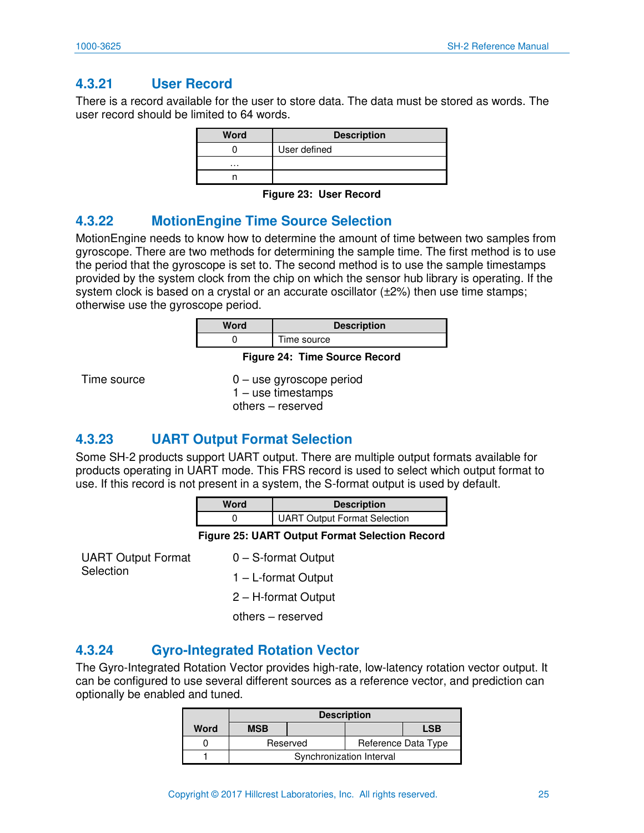#### <span id="page-25-0"></span>**4.3.21 User Record**

There is a record available for the user to store data. The data must be stored as words. The user record should be limited to 64 words.

| <b>Word</b> | <b>Description</b> |
|-------------|--------------------|
|             | User defined       |
| $\cdots$    |                    |
|             |                    |

**Figure 23: User Record** 

#### <span id="page-25-4"></span><span id="page-25-1"></span>**4.3.22 MotionEngine Time Source Selection**

MotionEngine needs to know how to determine the amount of time between two samples from gyroscope. There are two methods for determining the sample time. The first method is to use the period that the gyroscope is set to. The second method is to use the sample timestamps provided by the system clock from the chip on which the sensor hub library is operating. If the system clock is based on a crystal or an accurate oscillator  $(\pm 2\%)$  then use time stamps; otherwise use the gyroscope period.

| Word                          | <b>Description</b> |
|-------------------------------|--------------------|
|                               | Time source        |
| Figure 24: Time Source Record |                    |

<span id="page-25-5"></span>Time source 0 – use gyroscope period 1 – use timestamps others – reserved

#### <span id="page-25-2"></span>**4.3.23 UART Output Format Selection**

Some SH-2 products support UART output. There are multiple output formats available for products operating in UART mode. This FRS record is used to select which output format to use. If this record is not present in a system, the S-format output is used by default.

| Word | <b>Description</b>                  |
|------|-------------------------------------|
|      | <b>UART Output Format Selection</b> |

**Figure 25: UART Output Format Selection Record** 

<span id="page-25-6"></span>UART Output Format **Selection** 

0 – S-format Output

1 – L-format Output

2 – H-format Output

others – reserved

#### <span id="page-25-3"></span>**4.3.24 Gyro-Integrated Rotation Vector**

The Gyro-Integrated Rotation Vector provides high-rate, low-latency rotation vector output. It can be configured to use several different sources as a reference vector, and prediction can optionally be enabled and tuned.

|      | <b>Description</b>              |  |  |  |  |  |
|------|---------------------------------|--|--|--|--|--|
| Word | <b>MSB</b><br><b>LSB</b>        |  |  |  |  |  |
|      | Reference Data Type<br>Reserved |  |  |  |  |  |
|      | Synchronization Interval        |  |  |  |  |  |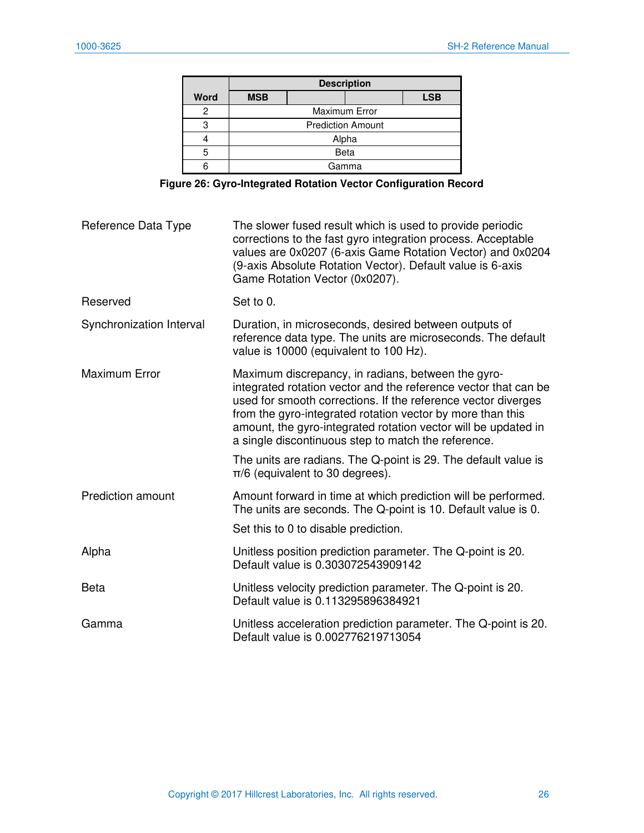|      | <b>Description</b>       |       |  |            |
|------|--------------------------|-------|--|------------|
| Word | <b>MSB</b>               |       |  | <b>LSB</b> |
| 2    | <b>Maximum Error</b>     |       |  |            |
| 3    | <b>Prediction Amount</b> |       |  |            |
|      | Alpha                    |       |  |            |
| 5    | <b>Beta</b>              |       |  |            |
|      |                          | Gamma |  |            |

**Figure 26: Gyro-Integrated Rotation Vector Configuration Record** 

<span id="page-26-0"></span>

| Reference Data Type      | The slower fused result which is used to provide periodic<br>corrections to the fast gyro integration process. Acceptable<br>values are 0x0207 (6-axis Game Rotation Vector) and 0x0204<br>(9-axis Absolute Rotation Vector). Default value is 6-axis<br>Game Rotation Vector (0x0207).                                                                                       |
|--------------------------|-------------------------------------------------------------------------------------------------------------------------------------------------------------------------------------------------------------------------------------------------------------------------------------------------------------------------------------------------------------------------------|
| Reserved                 | Set to 0.                                                                                                                                                                                                                                                                                                                                                                     |
| Synchronization Interval | Duration, in microseconds, desired between outputs of<br>reference data type. The units are microseconds. The default<br>value is 10000 (equivalent to 100 Hz).                                                                                                                                                                                                               |
| <b>Maximum Error</b>     | Maximum discrepancy, in radians, between the gyro-<br>integrated rotation vector and the reference vector that can be<br>used for smooth corrections. If the reference vector diverges<br>from the gyro-integrated rotation vector by more than this<br>amount, the gyro-integrated rotation vector will be updated in<br>a single discontinuous step to match the reference. |
|                          | The units are radians. The Q-point is 29. The default value is<br>$\pi/6$ (equivalent to 30 degrees).                                                                                                                                                                                                                                                                         |
| <b>Prediction amount</b> | Amount forward in time at which prediction will be performed.<br>The units are seconds. The Q-point is 10. Default value is 0.                                                                                                                                                                                                                                                |
|                          | Set this to 0 to disable prediction.                                                                                                                                                                                                                                                                                                                                          |
| Alpha                    | Unitless position prediction parameter. The Q-point is 20.<br>Default value is 0.303072543909142                                                                                                                                                                                                                                                                              |
| Beta                     | Unitless velocity prediction parameter. The Q-point is 20.<br>Default value is 0.113295896384921                                                                                                                                                                                                                                                                              |
| Gamma                    | Unitless acceleration prediction parameter. The Q-point is 20.<br>Default value is 0.002776219713054                                                                                                                                                                                                                                                                          |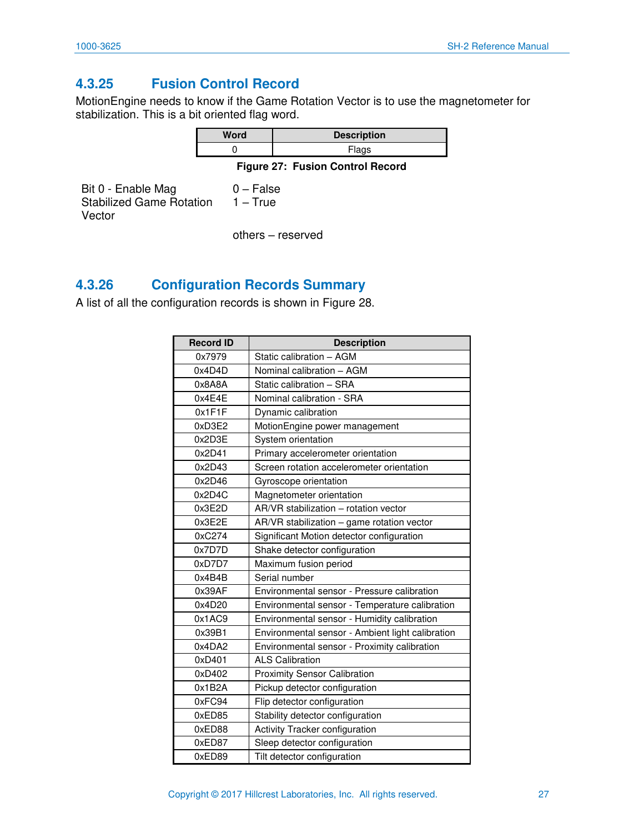#### <span id="page-27-0"></span>**4.3.25 Fusion Control Record**

MotionEngine needs to know if the Game Rotation Vector is to use the magnetometer for stabilization. This is a bit oriented flag word.

| Word | <b>Description</b> |  |
|------|--------------------|--|
|      | Flags              |  |

**Figure 27: Fusion Control Record** 

<span id="page-27-2"></span>Bit 0 - Enable Mag Stabilized Game Rotation Vector 0 – False 1 – True

others – reserved

#### <span id="page-27-1"></span>**4.3.26 Configuration Records Summary**

A list of all the configuration records is shown in [Figure 28.](#page-28-1)

| <b>Record ID</b> | <b>Description</b>                               |
|------------------|--------------------------------------------------|
| 0x7979           | Static calibration - AGM                         |
| 0x4D4D           | Nominal calibration - AGM                        |
| 0x8A8A           | Static calibration - SRA                         |
| 0x4E4E           | Nominal calibration - SRA                        |
| 0x1F1F           | Dynamic calibration                              |
| 0xD3E2           | MotionEngine power management                    |
| 0x2D3E           | System orientation                               |
| 0x2D41           | Primary accelerometer orientation                |
| 0x2D43           | Screen rotation accelerometer orientation        |
| 0x2D46           | Gyroscope orientation                            |
| 0x2D4C           | Magnetometer orientation                         |
| 0x3E2D           | AR/VR stabilization - rotation vector            |
| 0x3E2E           | AR/VR stabilization - game rotation vector       |
| 0xC274           | Significant Motion detector configuration        |
| 0x7D7D           | Shake detector configuration                     |
| 0xD7D7           | Maximum fusion period                            |
| 0x4B4B           | Serial number                                    |
| 0x39AF           | Environmental sensor - Pressure calibration      |
| 0x4D20           | Environmental sensor - Temperature calibration   |
| 0x1AC9           | Environmental sensor - Humidity calibration      |
| 0x39B1           | Environmental sensor - Ambient light calibration |
| 0x4DA2           | Environmental sensor - Proximity calibration     |
| 0xD401           | <b>ALS Calibration</b>                           |
| 0xD402           | <b>Proximity Sensor Calibration</b>              |
| 0x1B2A           | Pickup detector configuration                    |
| 0xFC94           | Flip detector configuration                      |
| 0xED85           | Stability detector configuration                 |
| 0xED88           | Activity Tracker configuration                   |
| 0xED87           | Sleep detector configuration                     |
| 0xED89           | Tilt detector configuration                      |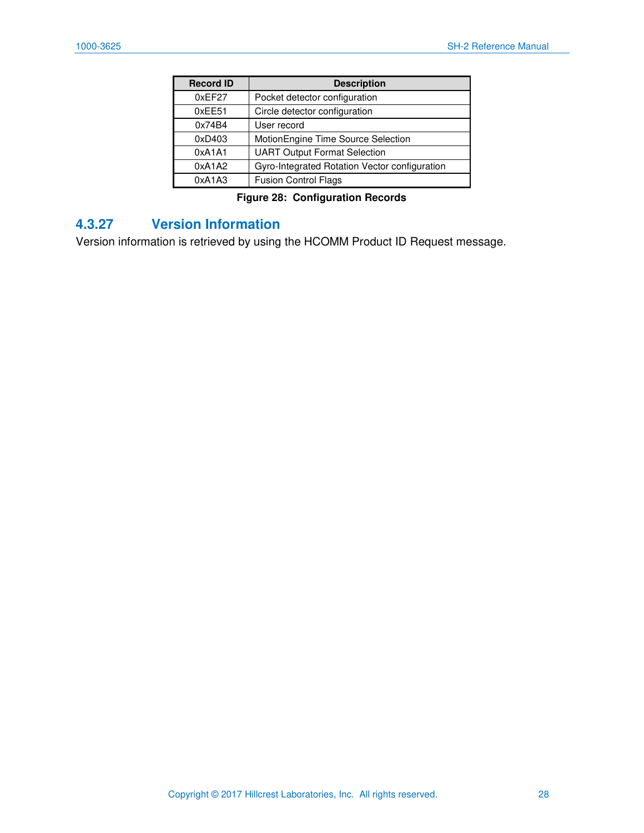| <b>Record ID</b> | <b>Description</b>                            |  |  |
|------------------|-----------------------------------------------|--|--|
| 0xEF27           | Pocket detector configuration                 |  |  |
| 0xEE51           | Circle detector configuration                 |  |  |
| 0x74B4           | User record                                   |  |  |
| 0xD403           | MotionEngine Time Source Selection            |  |  |
| 0xA1A1           | <b>UART Output Format Selection</b>           |  |  |
| 0xA1A2           | Gyro-Integrated Rotation Vector configuration |  |  |
| 0xA1A3           | <b>Fusion Control Flags</b>                   |  |  |

**Figure 28: Configuration Records** 

#### <span id="page-28-1"></span><span id="page-28-0"></span>**4.3.27 Version Information**

Version information is retrieved by using the HCOMM Product ID Request message.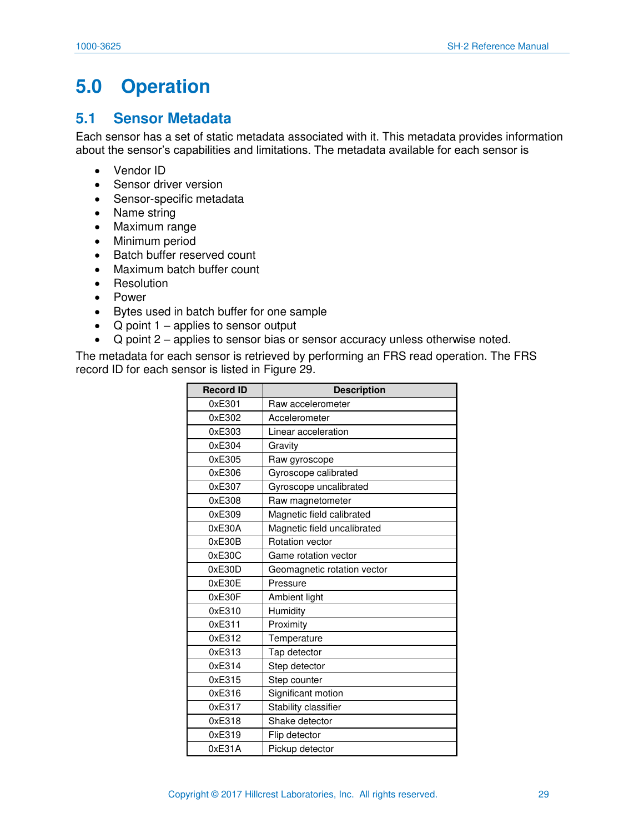## <span id="page-29-0"></span>**5.0 Operation**

#### <span id="page-29-1"></span>**5.1 Sensor Metadata**

Each sensor has a set of static metadata associated with it. This metadata provides information about the sensor's capabilities and limitations. The metadata available for each sensor is

- Vendor ID
- Sensor driver version
- Sensor-specific metadata
- Name string
- Maximum range
- Minimum period
- Batch buffer reserved count
- Maximum batch buffer count
- Resolution
- Power
- Bytes used in batch buffer for one sample
- Q point  $1$  applies to sensor output
- Q point 2 applies to sensor bias or sensor accuracy unless otherwise noted.

The metadata for each sensor is retrieved by performing an FRS read operation. The FRS record ID for each sensor is listed in Figure 29.

| <b>Record ID</b> | <b>Description</b>          |
|------------------|-----------------------------|
| 0xE301           | Raw accelerometer           |
| 0xE302           | Accelerometer               |
| 0xE303           | Linear acceleration         |
| 0xE304           | Gravity                     |
| 0xE305           | Raw gyroscope               |
| 0xE306           | Gyroscope calibrated        |
| 0xE307           | Gyroscope uncalibrated      |
| 0xE308           | Raw magnetometer            |
| 0xE309           | Magnetic field calibrated   |
| 0xE30A           | Magnetic field uncalibrated |
| 0xE30B           | Rotation vector             |
| 0xE30C           | Game rotation vector        |
| 0xE30D           | Geomagnetic rotation vector |
| 0xE30E           | Pressure                    |
| 0xE30F           | Ambient light               |
| 0xE310           | Humidity                    |
| 0xE311           | Proximity                   |
| 0xE312           | Temperature                 |
| 0xE313           | Tap detector                |
| 0xE314           | Step detector               |
| 0xE315           | Step counter                |
| 0xE316           | Significant motion          |
| 0xE317           | Stability classifier        |
| 0xE318           | Shake detector              |
| 0xE319           | Flip detector               |
| 0xE31A           | Pickup detector             |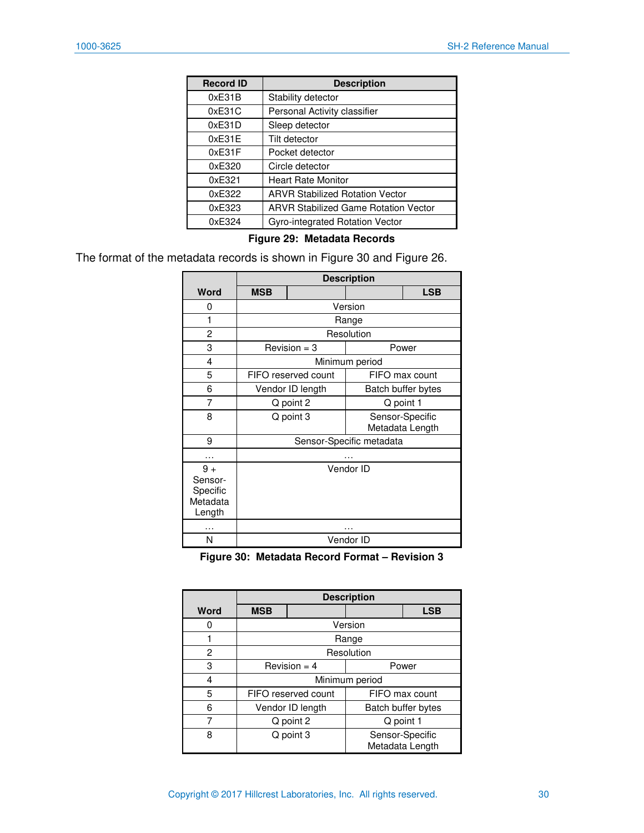| <b>Record ID</b> | <b>Description</b>                          |
|------------------|---------------------------------------------|
| 0xE31B           | Stability detector                          |
| 0xE31C           | Personal Activity classifier                |
| 0xE31D           | Sleep detector                              |
| 0xE31E           | Tilt detector                               |
| 0xE31F           | Pocket detector                             |
| 0xE320           | Circle detector                             |
| 0xE321           | <b>Heart Rate Monitor</b>                   |
| 0xE322           | <b>ARVR Stabilized Rotation Vector</b>      |
| 0xE323           | <b>ARVR Stabilized Game Rotation Vector</b> |
| 0xE324           | Gyro-integrated Rotation Vector             |

#### **Figure 29: Metadata Records**

<span id="page-30-0"></span>The format of the metadata records is shown in [Figure 30](#page-30-1) and Figure 26.

|                                                   | <b>Description</b>                              |                                        |                |                |
|---------------------------------------------------|-------------------------------------------------|----------------------------------------|----------------|----------------|
| Word                                              | <b>MSB</b>                                      |                                        |                | <b>LSB</b>     |
| 0                                                 |                                                 |                                        | Version        |                |
| 1                                                 |                                                 |                                        | Range          |                |
| 2                                                 |                                                 |                                        | Resolution     |                |
| 3                                                 |                                                 | $Revision = 3$                         |                | Power          |
| 4                                                 |                                                 |                                        | Minimum period |                |
| 5                                                 |                                                 | FIFO reserved count                    |                | FIFO max count |
| 6                                                 |                                                 | Vendor ID length<br>Batch buffer bytes |                |                |
| 7                                                 |                                                 | Q point 2                              | Q point 1      |                |
| 8                                                 | Q point 3<br>Sensor-Specific<br>Metadata Length |                                        |                |                |
| 9                                                 | Sensor-Specific metadata                        |                                        |                |                |
|                                                   |                                                 |                                        |                |                |
| $9+$<br>Sensor-<br>Specific<br>Metadata<br>Length |                                                 |                                        | Vendor ID      |                |
| .                                                 |                                                 |                                        | .              |                |
| N                                                 |                                                 |                                        | Vendor ID      |                |

**Figure 30: Metadata Record Format – Revision 3** 

<span id="page-30-1"></span>

|      | <b>Description</b>                              |  |            |                    |  |
|------|-------------------------------------------------|--|------------|--------------------|--|
| Word | <b>MSB</b><br><b>LSB</b>                        |  |            |                    |  |
|      |                                                 |  | Version    |                    |  |
|      |                                                 |  | Range      |                    |  |
| 2    |                                                 |  | Resolution |                    |  |
| 3    | Revision $=$ 4<br>Power                         |  |            |                    |  |
| 4    | Minimum period                                  |  |            |                    |  |
| 5    | FIFO reserved count<br>FIFO max count           |  |            |                    |  |
| 6    | Vendor ID length                                |  |            | Batch buffer bytes |  |
|      | Q point 2                                       |  | Q point 1  |                    |  |
| 8    | Q point 3<br>Sensor-Specific<br>Metadata Length |  |            |                    |  |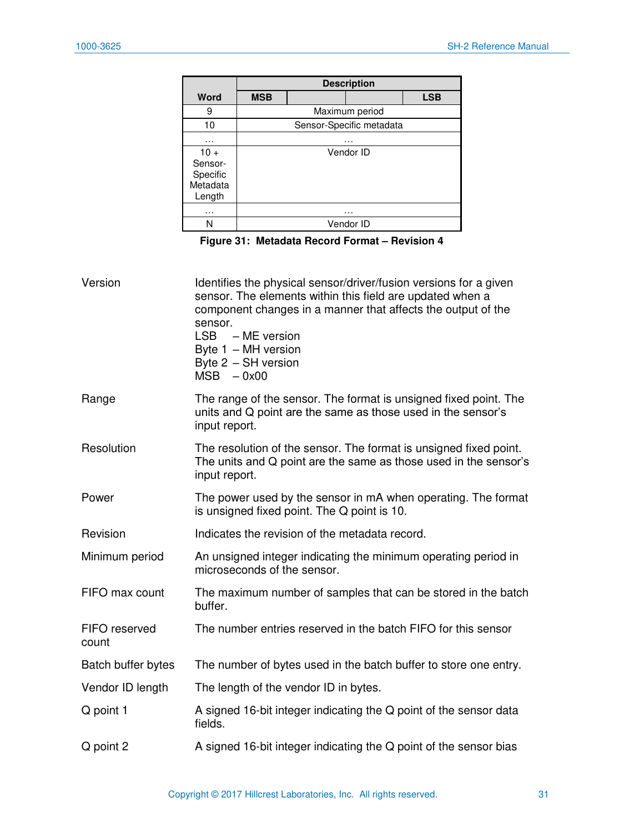|                                                     | <b>Description</b> |  |                          |            |
|-----------------------------------------------------|--------------------|--|--------------------------|------------|
| Word                                                | <b>MSB</b>         |  |                          | <b>LSB</b> |
| 9                                                   |                    |  | Maximum period           |            |
| 10                                                  |                    |  | Sensor-Specific metadata |            |
| .                                                   | .                  |  |                          |            |
| $10 +$<br>Sensor-<br>Specific<br>Metadata<br>Length |                    |  | Vendor ID                |            |
| .                                                   |                    |  | .                        |            |
|                                                     |                    |  | Vendor ID                |            |

**Figure 31: Metadata Record Format – Revision 4** 

<span id="page-31-0"></span>

| Version                | Identifies the physical sensor/driver/fusion versions for a given<br>sensor. The elements within this field are updated when a<br>component changes in a manner that affects the output of the<br>sensor.<br>LSB - ME version<br>Byte 1 - MH version<br>Byte 2 - SH version<br>$MSB - 0x00$ |
|------------------------|---------------------------------------------------------------------------------------------------------------------------------------------------------------------------------------------------------------------------------------------------------------------------------------------|
| Range                  | The range of the sensor. The format is unsigned fixed point. The<br>units and Q point are the same as those used in the sensor's<br>input report.                                                                                                                                           |
| Resolution             | The resolution of the sensor. The format is unsigned fixed point.<br>The units and Q point are the same as those used in the sensor's<br>input report.                                                                                                                                      |
| Power                  | The power used by the sensor in mA when operating. The format<br>is unsigned fixed point. The Q point is 10.                                                                                                                                                                                |
| Revision               | Indicates the revision of the metadata record.                                                                                                                                                                                                                                              |
| Minimum period         | An unsigned integer indicating the minimum operating period in<br>microseconds of the sensor.                                                                                                                                                                                               |
| FIFO max count         | The maximum number of samples that can be stored in the batch<br>buffer.                                                                                                                                                                                                                    |
| FIFO reserved<br>count | The number entries reserved in the batch FIFO for this sensor                                                                                                                                                                                                                               |
| Batch buffer bytes     | The number of bytes used in the batch buffer to store one entry.                                                                                                                                                                                                                            |
| Vendor ID length       | The length of the vendor ID in bytes.                                                                                                                                                                                                                                                       |
| Q point 1              | A signed 16-bit integer indicating the Q point of the sensor data<br>fields.                                                                                                                                                                                                                |
| Q point 2              | A signed 16-bit integer indicating the Q point of the sensor bias                                                                                                                                                                                                                           |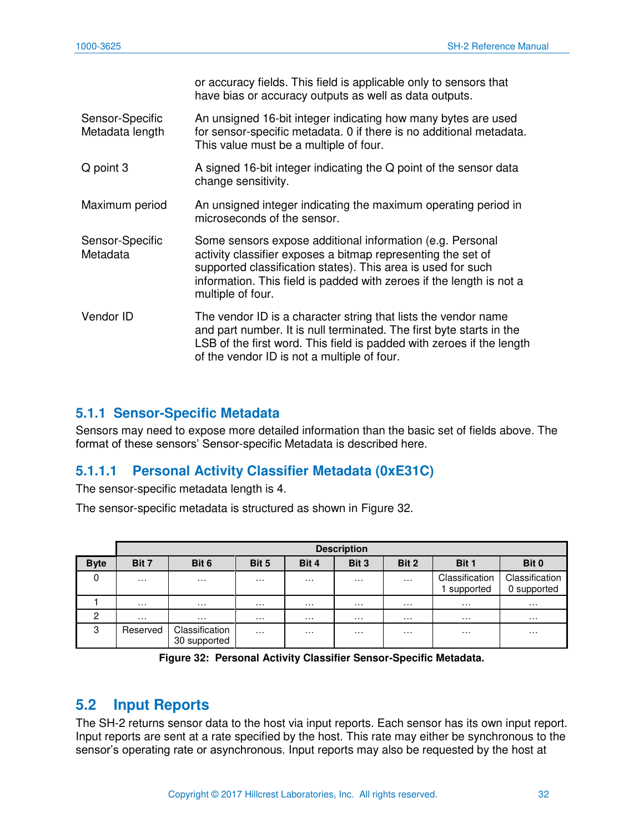|                                    | or accuracy fields. This field is applicable only to sensors that<br>have bias or accuracy outputs as well as data outputs.                                                                                                                                                            |
|------------------------------------|----------------------------------------------------------------------------------------------------------------------------------------------------------------------------------------------------------------------------------------------------------------------------------------|
| Sensor-Specific<br>Metadata length | An unsigned 16-bit integer indicating how many bytes are used<br>for sensor-specific metadata. 0 if there is no additional metadata.<br>This value must be a multiple of four.                                                                                                         |
| Q point 3                          | A signed 16-bit integer indicating the Q point of the sensor data<br>change sensitivity.                                                                                                                                                                                               |
| Maximum period                     | An unsigned integer indicating the maximum operating period in<br>microseconds of the sensor.                                                                                                                                                                                          |
| Sensor-Specific<br>Metadata        | Some sensors expose additional information (e.g. Personal<br>activity classifier exposes a bitmap representing the set of<br>supported classification states). This area is used for such<br>information. This field is padded with zeroes if the length is not a<br>multiple of four. |
| Vendor ID                          | The vendor ID is a character string that lists the vendor name<br>and part number. It is null terminated. The first byte starts in the<br>LSB of the first word. This field is padded with zeroes if the length<br>of the vendor ID is not a multiple of four.                         |

#### <span id="page-32-0"></span>**5.1.1 Sensor-Specific Metadata**

Sensors may need to expose more detailed information than the basic set of fields above. The format of these sensors' Sensor-specific Metadata is described here.

#### **5.1.1.1 Personal Activity Classifier Metadata (0xE31C)**

The sensor-specific metadata length is 4.

The sensor-specific metadata is structured as shown in [Figure 32.](#page-32-2)

|             | <b>Description</b> |                                |          |                      |                   |          |                             |                               |  |  |  |
|-------------|--------------------|--------------------------------|----------|----------------------|-------------------|----------|-----------------------------|-------------------------------|--|--|--|
| <b>Byte</b> | Bit 7              | Bit 6                          | Bit 5    | Bit 4                | Bit 3             | Bit 2    | Bit 1                       | Bit 0                         |  |  |  |
| 0           | .                  | $\cdots$                       | .        | .                    | .                 | $\cdots$ | Classification<br>supported | Classification<br>0 supported |  |  |  |
|             | .                  | $\cdots$                       | .        | .                    | .                 | .        | .                           | .                             |  |  |  |
| 2           | $\cdot\cdot\cdot$  | $\cdots$                       | $\cdots$ | $\cdots$             | $\cdot\cdot\cdot$ | $\cdots$ | $\cdots$                    | $\sim$ $\sim$                 |  |  |  |
| 3           | Reserved           | Classification<br>30 supported | $\cdots$ | $\sim$ $\sim$ $\sim$ | .                 | $\cdots$ | $\cdots$                    | $\cdots$                      |  |  |  |

**Figure 32: Personal Activity Classifier Sensor-Specific Metadata.** 

#### <span id="page-32-2"></span><span id="page-32-1"></span>**5.2 Input Reports**

The SH-2 returns sensor data to the host via input reports. Each sensor has its own input report. Input reports are sent at a rate specified by the host. This rate may either be synchronous to the sensor's operating rate or asynchronous. Input reports may also be requested by the host at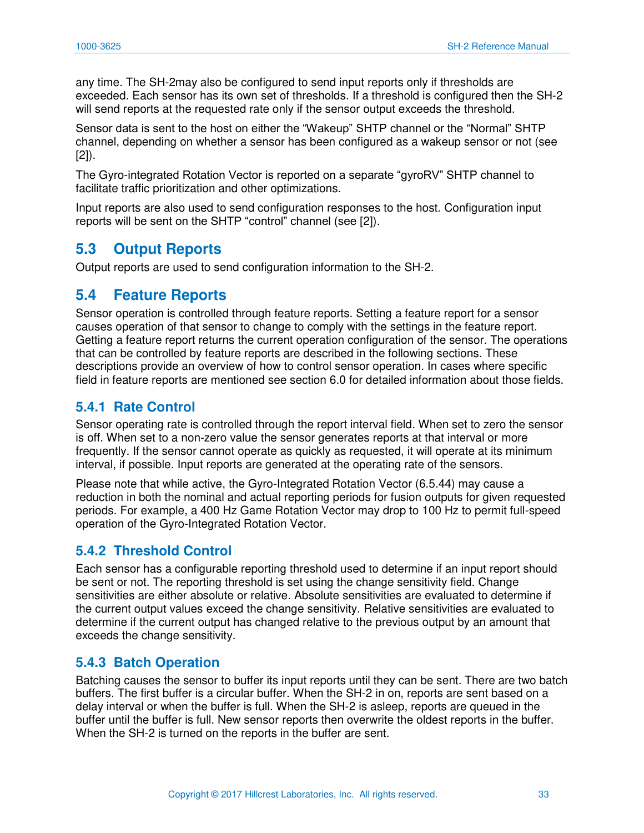any time. The SH-2may also be configured to send input reports only if thresholds are exceeded. Each sensor has its own set of thresholds. If a threshold is configured then the SH-2 will send reports at the requested rate only if the sensor output exceeds the threshold.

Sensor data is sent to the host on either the "Wakeup" SHTP channel or the "Normal" SHTP channel, depending on whether a sensor has been configured as a wakeup sensor or not (see [\[2\]](#page-81-2)).

The Gyro-integrated Rotation Vector is reported on a separate "gyroRV" SHTP channel to facilitate traffic prioritization and other optimizations.

Input reports are also used to send configuration responses to the host. Configuration input reports will be sent on the SHTP "control" channel (see [[2\]](#page-81-2)).

#### <span id="page-33-0"></span>**5.3 Output Reports**

Output reports are used to send configuration information to the SH-2.

#### <span id="page-33-1"></span>**5.4 Feature Reports**

Sensor operation is controlled through feature reports. Setting a feature report for a sensor causes operation of that sensor to change to comply with the settings in the feature report. Getting a feature report returns the current operation configuration of the sensor. The operations that can be controlled by feature reports are described in the following sections. These descriptions provide an overview of how to control sensor operation. In cases where specific field in feature reports are mentioned see section [6.0](#page-36-0) for detailed information about those fields.

#### <span id="page-33-2"></span>**5.4.1 Rate Control**

Sensor operating rate is controlled through the report interval field. When set to zero the sensor is off. When set to a non-zero value the sensor generates reports at that interval or more frequently. If the sensor cannot operate as quickly as requested, it will operate at its minimum interval, if possible. Input reports are generated at the operating rate of the sensors.

Please note that while active, the Gyro-Integrated Rotation Vector [\(6.5.44\)](#page-77-1) may cause a reduction in both the nominal and actual reporting periods for fusion outputs for given requested periods. For example, a 400 Hz Game Rotation Vector may drop to 100 Hz to permit full-speed operation of the Gyro-Integrated Rotation Vector.

#### <span id="page-33-3"></span>**5.4.2 Threshold Control**

Each sensor has a configurable reporting threshold used to determine if an input report should be sent or not. The reporting threshold is set using the change sensitivity field. Change sensitivities are either absolute or relative. Absolute sensitivities are evaluated to determine if the current output values exceed the change sensitivity. Relative sensitivities are evaluated to determine if the current output has changed relative to the previous output by an amount that exceeds the change sensitivity.

#### <span id="page-33-4"></span>**5.4.3 Batch Operation**

Batching causes the sensor to buffer its input reports until they can be sent. There are two batch buffers. The first buffer is a circular buffer. When the SH-2 in on, reports are sent based on a delay interval or when the buffer is full. When the SH-2 is asleep, reports are queued in the buffer until the buffer is full. New sensor reports then overwrite the oldest reports in the buffer. When the SH-2 is turned on the reports in the buffer are sent.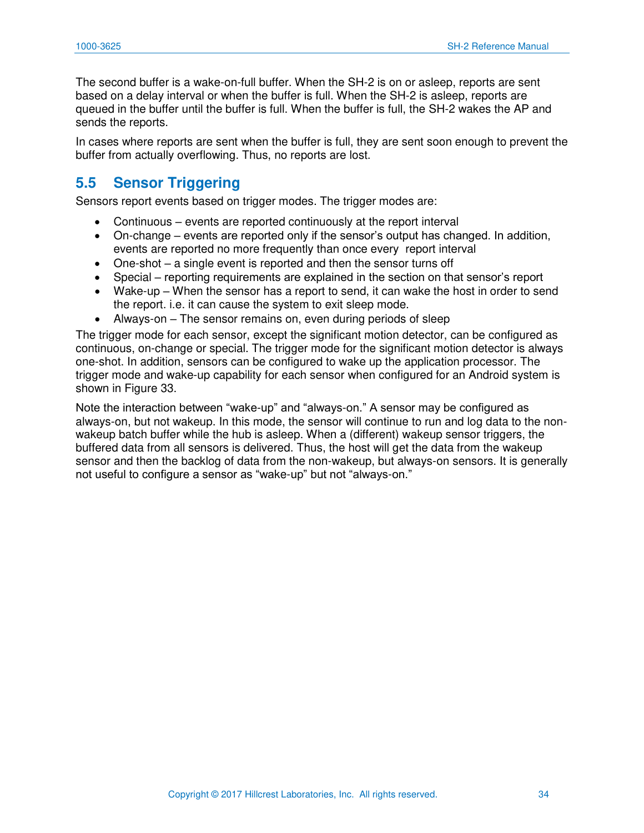The second buffer is a wake-on-full buffer. When the SH-2 is on or asleep, reports are sent based on a delay interval or when the buffer is full. When the SH-2 is asleep, reports are queued in the buffer until the buffer is full. When the buffer is full, the SH-2 wakes the AP and sends the reports.

In cases where reports are sent when the buffer is full, they are sent soon enough to prevent the buffer from actually overflowing. Thus, no reports are lost.

#### <span id="page-34-0"></span>**5.5 Sensor Triggering**

Sensors report events based on trigger modes. The trigger modes are:

- Continuous events are reported continuously at the report interval
- On-change events are reported only if the sensor's output has changed. In addition, events are reported no more frequently than once every report interval
- One-shot a single event is reported and then the sensor turns off
- Special reporting requirements are explained in the section on that sensor's report
- Wake-up When the sensor has a report to send, it can wake the host in order to send the report. i.e. it can cause the system to exit sleep mode.
- Always-on The sensor remains on, even during periods of sleep

The trigger mode for each sensor, except the significant motion detector, can be configured as continuous, on-change or special. The trigger mode for the significant motion detector is always one-shot. In addition, sensors can be configured to wake up the application processor. The trigger mode and wake-up capability for each sensor when configured for an Android system is shown in [Figure 33.](#page-35-0)

Note the interaction between "wake-up" and "always-on." A sensor may be configured as always-on, but not wakeup. In this mode, the sensor will continue to run and log data to the nonwakeup batch buffer while the hub is asleep. When a (different) wakeup sensor triggers, the buffered data from all sensors is delivered. Thus, the host will get the data from the wakeup sensor and then the backlog of data from the non-wakeup, but always-on sensors. It is generally not useful to configure a sensor as "wake-up" but not "always-on."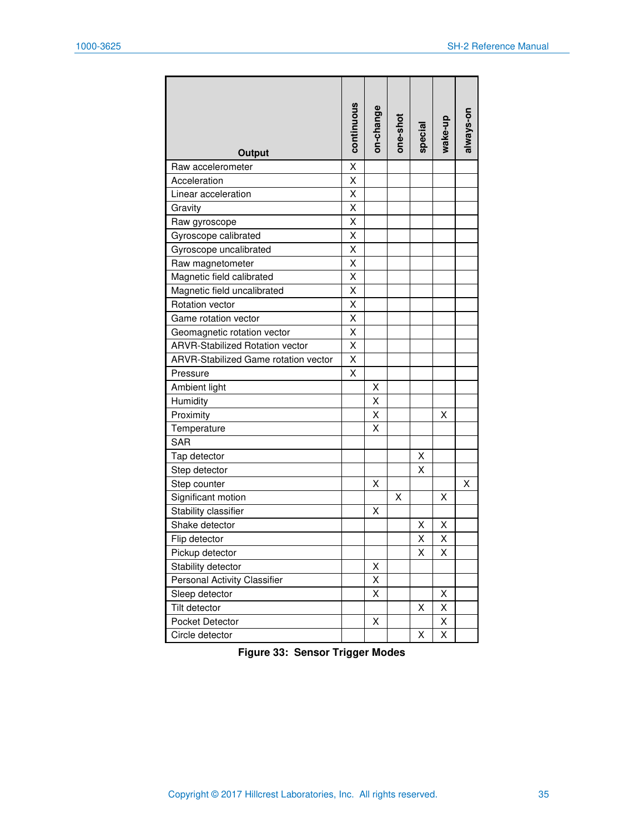| Output                                      | continuous | on-change | one-shot | special | wake-up | always-on |
|---------------------------------------------|------------|-----------|----------|---------|---------|-----------|
| Raw accelerometer                           | X          |           |          |         |         |           |
| Acceleration                                | X          |           |          |         |         |           |
| Linear acceleration                         | X          |           |          |         |         |           |
| Gravity                                     | Χ          |           |          |         |         |           |
| Raw gyroscope                               | X          |           |          |         |         |           |
| Gyroscope calibrated                        | Χ          |           |          |         |         |           |
| Gyroscope uncalibrated                      | X          |           |          |         |         |           |
| Raw magnetometer                            | Χ          |           |          |         |         |           |
| Magnetic field calibrated                   | Χ          |           |          |         |         |           |
| Magnetic field uncalibrated                 | Χ          |           |          |         |         |           |
| <b>Rotation vector</b>                      | X          |           |          |         |         |           |
| Game rotation vector                        | X          |           |          |         |         |           |
| Geomagnetic rotation vector                 | X          |           |          |         |         |           |
| <b>ARVR-Stabilized Rotation vector</b>      | Χ          |           |          |         |         |           |
| <b>ARVR-Stabilized Game rotation vector</b> | X          |           |          |         |         |           |
| Pressure                                    | X          |           |          |         |         |           |
| Ambient light                               |            | х         |          |         |         |           |
| Humidity                                    |            | X         |          |         |         |           |
| Proximity                                   |            | X         |          |         | X       |           |
| Temperature                                 |            | Χ         |          |         |         |           |
| <b>SAR</b>                                  |            |           |          |         |         |           |
| Tap detector                                |            |           |          | х       |         |           |
| Step detector                               |            |           |          | X       |         |           |
| Step counter                                |            | X         |          |         |         | X         |
| Significant motion                          |            |           | х        |         | X       |           |
| Stability classifier                        |            | X         |          |         |         |           |
| Shake detector                              |            |           |          | х       | х       |           |
| Flip detector                               |            |           |          | Χ       | X       |           |
| Pickup detector                             |            |           |          | х       | Χ       |           |
| Stability detector                          |            | X         |          |         |         |           |
| Personal Activity Classifier                |            | Χ         |          |         |         |           |
| Sleep detector                              |            | Χ         |          |         | Χ       |           |
| Tilt detector                               |            |           |          | Χ       | X       |           |
| Pocket Detector                             |            | Χ         |          |         | Χ       |           |
| Circle detector                             |            |           |          | Χ       | X       |           |

<span id="page-35-0"></span>**Figure 33: Sensor Trigger Modes**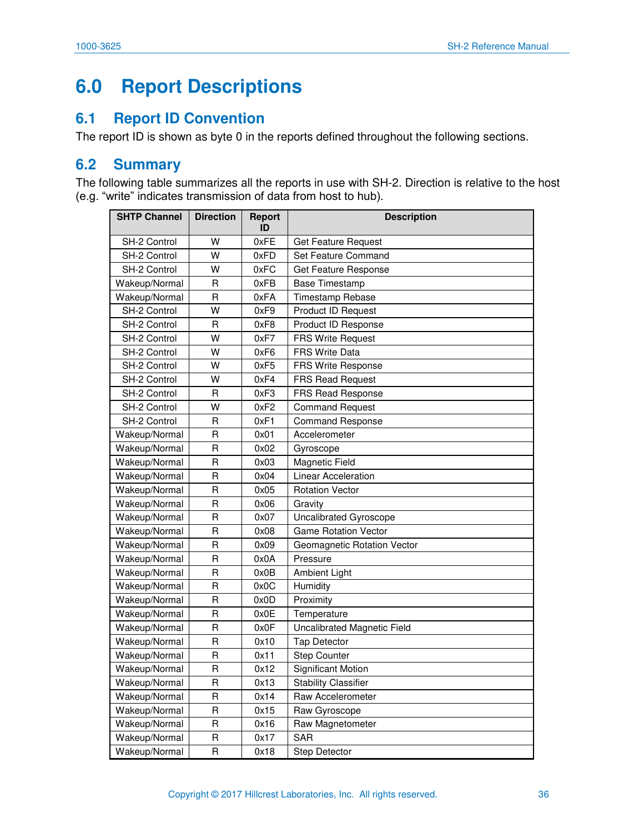# **6.0 Report Descriptions**

## **6.1 Report ID Convention**

The report ID is shown as byte 0 in the reports defined throughout the following sections.

## **6.2 Summary**

The following table summarizes all the reports in use with SH-2. Direction is relative to the host (e.g. "write" indicates transmission of data from host to hub).

| <b>SHTP Channel</b> | <b>Direction</b>        | <b>Report</b><br>ID | <b>Description</b>          |  |
|---------------------|-------------------------|---------------------|-----------------------------|--|
| SH-2 Control        | W                       | 0xFE                | Get Feature Request         |  |
| SH-2 Control        | W                       | 0xFD                | Set Feature Command         |  |
| SH-2 Control        | W                       | 0xFC                | Get Feature Response        |  |
| Wakeup/Normal       | R                       | 0xFB                | Base Timestamp              |  |
| Wakeup/Normal       | R                       | 0xFA                | <b>Timestamp Rebase</b>     |  |
| SH-2 Control        | W                       | 0xF9                | <b>Product ID Request</b>   |  |
| SH-2 Control        | R                       | 0xF8                | Product ID Response         |  |
| SH-2 Control        | W                       | 0xF7                | <b>FRS Write Request</b>    |  |
| SH-2 Control        | W                       | 0xF6                | <b>FRS Write Data</b>       |  |
| SH-2 Control        | W                       | 0xF5                | FRS Write Response          |  |
| SH-2 Control        | W                       | 0xF4                | <b>FRS Read Request</b>     |  |
| SH-2 Control        | R                       | 0xF3                | <b>FRS Read Response</b>    |  |
| SH-2 Control        | W                       | 0xF2                | <b>Command Request</b>      |  |
| SH-2 Control        | R                       | 0xF1                | <b>Command Response</b>     |  |
| Wakeup/Normal       | R                       | 0x01                | Accelerometer               |  |
| Wakeup/Normal       | R                       | 0x02                | Gyroscope                   |  |
| Wakeup/Normal       | R                       | 0x03                | Magnetic Field              |  |
| Wakeup/Normal       | R                       | 0x04                | Linear Acceleration         |  |
| Wakeup/Normal       | R                       | 0x05                | <b>Rotation Vector</b>      |  |
| Wakeup/Normal       | R                       | 0x06                | Gravity                     |  |
| Wakeup/Normal       | R                       | 0x07                | Uncalibrated Gyroscope      |  |
| Wakeup/Normal       | $\overline{R}$          | 0x08                | <b>Game Rotation Vector</b> |  |
| Wakeup/Normal       | R                       | 0x09                | Geomagnetic Rotation Vector |  |
| Wakeup/Normal       | R                       | 0x0A                | Pressure                    |  |
| Wakeup/Normal       | R                       | 0x0B                | Ambient Light               |  |
| Wakeup/Normal       | R                       | 0x0C                | Humidity                    |  |
| Wakeup/Normal       | R                       | 0x0D                | Proximity                   |  |
| Wakeup/Normal       | R                       | 0x0E                | Temperature                 |  |
| Wakeup/Normal       | R                       | 0x0F                | Uncalibrated Magnetic Field |  |
| Wakeup/Normal       | R                       | 0x10                | <b>Tap Detector</b>         |  |
| Wakeup/Normal       | R                       | 0x11                | <b>Step Counter</b>         |  |
| Wakeup/Normal       | $\mathsf{R}$            | 0x12                | Significant Motion          |  |
| Wakeup/Normal       | R                       | 0x13                | <b>Stability Classifier</b> |  |
| Wakeup/Normal       | R                       | 0x14                | Raw Accelerometer           |  |
| Wakeup/Normal       | R                       | 0x15                | Raw Gyroscope               |  |
| Wakeup/Normal       | $\overline{\mathsf{R}}$ | 0x16                | Raw Magnetometer            |  |
| Wakeup/Normal       | R                       | 0x17                | <b>SAR</b>                  |  |
| Wakeup/Normal       | $\overline{R}$          | 0x18                | Step Detector               |  |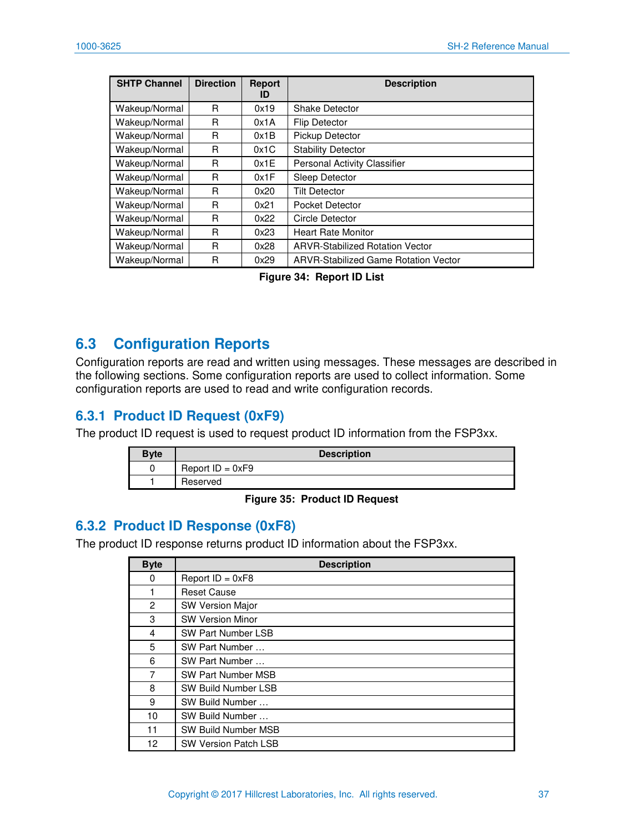| <b>SHTP Channel</b> | <b>Direction</b> | <b>Report</b><br>ID | <b>Description</b>                     |  |
|---------------------|------------------|---------------------|----------------------------------------|--|
| Wakeup/Normal       | R                | 0x19                | <b>Shake Detector</b>                  |  |
| Wakeup/Normal       | R                | 0x1A                | <b>Flip Detector</b>                   |  |
| Wakeup/Normal       | R                | 0x1B                | Pickup Detector                        |  |
| Wakeup/Normal       | R                | 0x1C                | <b>Stability Detector</b>              |  |
| Wakeup/Normal       | R                | 0x1E                | Personal Activity Classifier           |  |
| Wakeup/Normal       | R                | 0x1F                | <b>Sleep Detector</b>                  |  |
| Wakeup/Normal       | R                | 0x20                | <b>Tilt Detector</b>                   |  |
| Wakeup/Normal       | R                | 0x21                | <b>Pocket Detector</b>                 |  |
| Wakeup/Normal       | R                | 0x22                | Circle Detector                        |  |
| Wakeup/Normal       | R                | 0x23                | <b>Heart Rate Monitor</b>              |  |
| Wakeup/Normal       | R                | 0x28                | <b>ARVR-Stabilized Rotation Vector</b> |  |
| Wakeup/Normal       | R                | 0x29                | ARVR-Stabilized Game Rotation Vector   |  |

**Figure 34: Report ID List** 

## **6.3 Configuration Reports**

Configuration reports are read and written using messages. These messages are described in the following sections. Some configuration reports are used to collect information. Some configuration reports are used to read and write configuration records.

### **6.3.1 Product ID Request (0xF9)**

The product ID request is used to request product ID information from the FSP3xx.

| <b>Byte</b> | <b>Description</b> |
|-------------|--------------------|
|             | Report $ID = 0xF9$ |
|             | Reserved           |

#### **Figure 35: Product ID Request**

### **6.3.2 Product ID Response (0xF8)**

The product ID response returns product ID information about the FSP3xx.

| <b>Byte</b> | <b>Description</b>          |
|-------------|-----------------------------|
| 0           | Report $ID = 0xF8$          |
|             | <b>Reset Cause</b>          |
| 2           | <b>SW Version Major</b>     |
| 3           | <b>SW Version Minor</b>     |
| 4           | <b>SW Part Number LSB</b>   |
| 5           | SW Part Number              |
| 6           | SW Part Number              |
| 7           | <b>SW Part Number MSB</b>   |
| 8           | SW Build Number LSB         |
| 9           | SW Build Number             |
| 10          | SW Build Number             |
| 11          | <b>SW Build Number MSB</b>  |
| 12          | <b>SW Version Patch LSB</b> |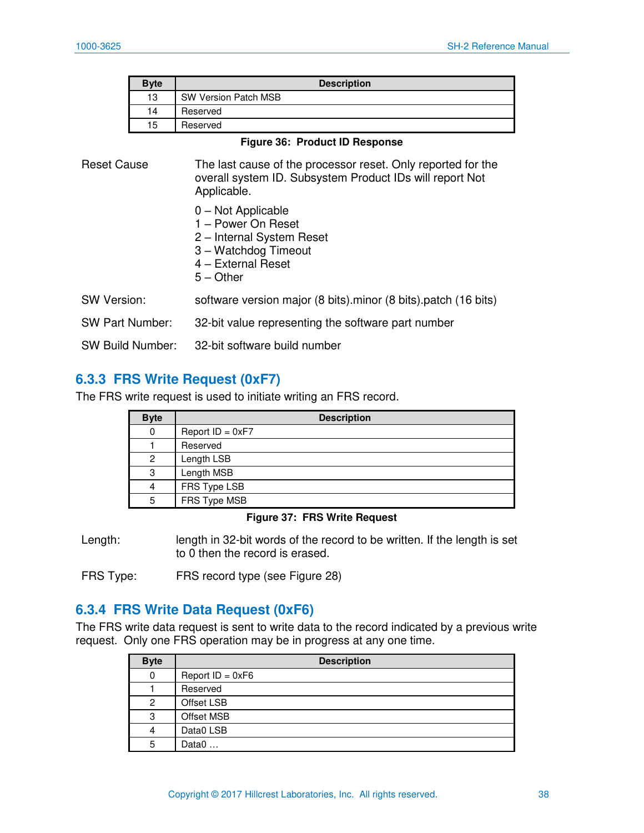| <b>Byte</b> | <b>Description</b>          |
|-------------|-----------------------------|
| 13          | <b>SW Version Patch MSB</b> |
| 14          | Reserved                    |
| 15          | Reserved                    |

**Figure 36: Product ID Response** 

| <b>Reset Cause</b>      | The last cause of the processor reset. Only reported for the<br>overall system ID. Subsystem Product IDs will report Not<br>Applicable. |  |
|-------------------------|-----------------------------------------------------------------------------------------------------------------------------------------|--|
|                         | $0$ – Not Applicable<br>1 – Power On Reset<br>2 - Internal System Reset<br>3 - Watchdog Timeout<br>4 - External Reset<br>$5 -$ Other    |  |
| <b>SW Version:</b>      | software version major (8 bits).minor (8 bits).patch (16 bits)                                                                          |  |
| <b>SW Part Number:</b>  | 32-bit value representing the software part number                                                                                      |  |
| <b>SW Build Number:</b> | 32-bit software build number                                                                                                            |  |

### <span id="page-38-0"></span>**6.3.3 FRS Write Request (0xF7)**

The FRS write request is used to initiate writing an FRS record.

| <b>Byte</b> | <b>Description</b> |
|-------------|--------------------|
| 0           | Report $ID = 0xF7$ |
|             | Reserved           |
|             | Length LSB         |
| 3           | Length MSB         |
|             | FRS Type LSB       |
| 5           | FRS Type MSB       |

#### **Figure 37: FRS Write Request**

Length: length in 32-bit words of the record to be written. If the length is set to 0 then the record is erased.

FRS Type: FRS record type (see [Figure 28\)](#page-28-0)

### **6.3.4 FRS Write Data Request (0xF6)**

The FRS write data request is sent to write data to the record indicated by a previous write request. Only one FRS operation may be in progress at any one time.

| <b>Byte</b> | <b>Description</b> |
|-------------|--------------------|
| 0           | Report $ID = 0xF6$ |
|             | Reserved           |
| 2           | Offset LSB         |
| 3           | Offset MSB         |
| 4           | Data0 LSB          |
| 5           | Data $0$           |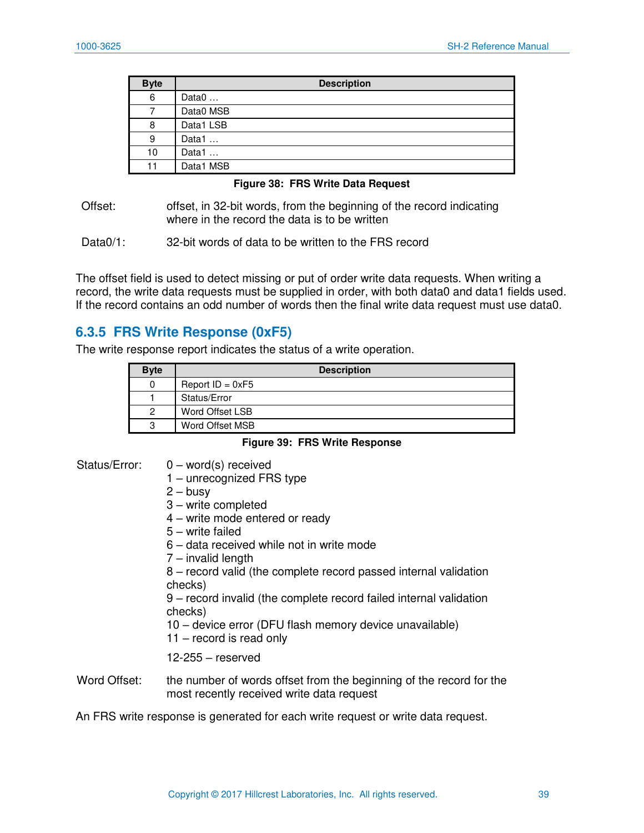| <b>Byte</b> | <b>Description</b> |
|-------------|--------------------|
| 6           | Data $0$           |
|             | Data0 MSB          |
| 8           | Data1 LSB          |
| 9           | Data1              |
| 10          | Data1              |
| 11          | Data1 MSB          |

#### **Figure 38: FRS Write Data Request**

Offset: offset, in 32-bit words, from the beginning of the record indicating where in the record the data is to be written

Data0/1: 32-bit words of data to be written to the FRS record

The offset field is used to detect missing or put of order write data requests. When writing a record, the write data requests must be supplied in order, with both data0 and data1 fields used. If the record contains an odd number of words then the final write data request must use data0.

### **6.3.5 FRS Write Response (0xF5)**

The write response report indicates the status of a write operation.

| <b>Byte</b> | <b>Description</b> |
|-------------|--------------------|
| 0           | Report $ID = 0xF5$ |
|             | Status/Error       |
| 2           | Word Offset LSB    |
| 3           | Word Offset MSB    |

#### **Figure 39: FRS Write Response**

#### Status/Error: 0 – word(s) received

- 1 unrecognized FRS type
- $2 -$ busy
- 3 write completed
- 4 write mode entered or ready
- 5 write failed
- 6 data received while not in write mode
- 7 invalid length

8 – record valid (the complete record passed internal validation checks)

9 – record invalid (the complete record failed internal validation checks)

- 10 device error (DFU flash memory device unavailable)
- 11 record is read only

#### 12-255 – reserved

Word Offset: the number of words offset from the beginning of the record for the most recently received write data request

An FRS write response is generated for each write request or write data request.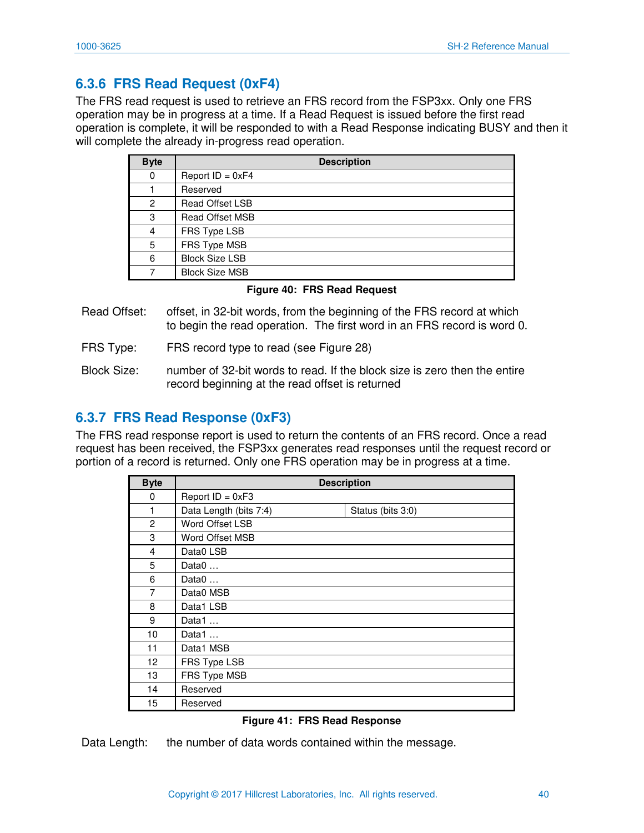## **6.3.6 FRS Read Request (0xF4)**

The FRS read request is used to retrieve an FRS record from the FSP3xx. Only one FRS operation may be in progress at a time. If a Read Request is issued before the first read operation is complete, it will be responded to with a Read Response indicating BUSY and then it will complete the already in-progress read operation.

| <b>Byte</b> | <b>Description</b>     |
|-------------|------------------------|
| 0           | Report $ID = 0xF4$     |
|             | Reserved               |
| 2           | <b>Read Offset LSB</b> |
| 3           | <b>Read Offset MSB</b> |
| 4           | FRS Type LSB           |
| 5           | FRS Type MSB           |
| 6           | <b>Block Size LSB</b>  |
|             | <b>Block Size MSB</b>  |

#### **Figure 40: FRS Read Request**

- Read Offset: offset, in 32-bit words, from the beginning of the FRS record at which to begin the read operation. The first word in an FRS record is word 0.
- FRS Type: FRS record type to read (see [Figure 28\)](#page-28-0)
- Block Size: number of 32-bit words to read. If the block size is zero then the entire record beginning at the read offset is returned

### **6.3.7 FRS Read Response (0xF3)**

The FRS read response report is used to return the contents of an FRS record. Once a read request has been received, the FSP3xx generates read responses until the request record or portion of a record is returned. Only one FRS operation may be in progress at a time.

| <b>Byte</b>    | <b>Description</b>     |                   |
|----------------|------------------------|-------------------|
| 0              | Report $ID = 0xF3$     |                   |
| 1              | Data Length (bits 7:4) | Status (bits 3:0) |
| 2              | Word Offset LSB        |                   |
| 3              | Word Offset MSB        |                   |
| $\overline{4}$ | Data0 LSB              |                   |
| 5              | Data $0$               |                   |
| 6              | Data $0$               |                   |
| 7              | Data0 MSB              |                   |
| 8              | Data1 LSB              |                   |
| 9              | Data1                  |                   |
| 10             | Data1                  |                   |
| 11             | Data1 MSB              |                   |
| 12             | FRS Type LSB           |                   |
| 13             | FRS Type MSB           |                   |
| 14             | Reserved               |                   |
| 15             | Reserved               |                   |

#### **Figure 41: FRS Read Response**

Data Length: the number of data words contained within the message.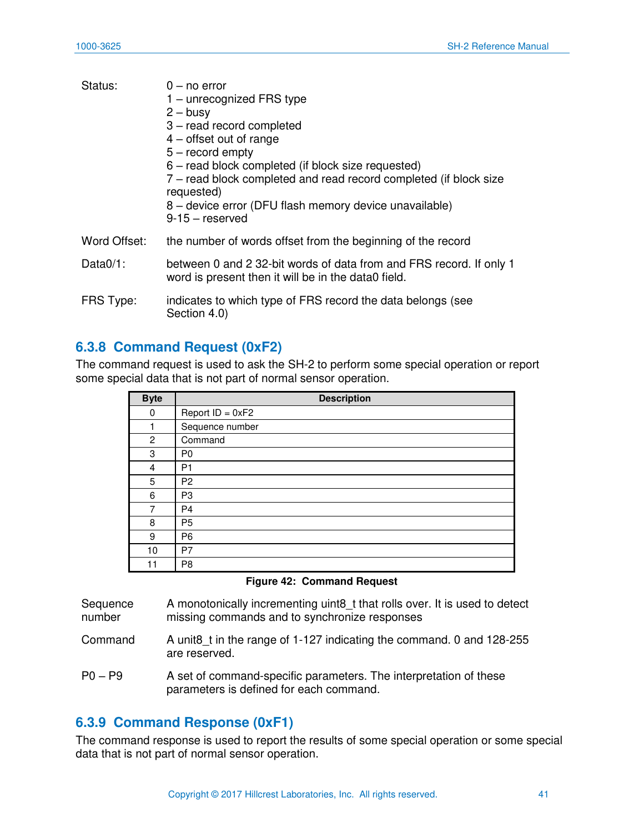| Status:      | 0 – no error<br>1 – unrecognized FRS type<br>$2 - \text{busy}$<br>3 - read record completed<br>$4$ – offset out of range<br>$5 -$ record empty<br>6 – read block completed (if block size requested)<br>7 – read block completed and read record completed (if block size<br>requested)<br>8 – device error (DFU flash memory device unavailable)<br>$9-15$ – reserved |
|--------------|------------------------------------------------------------------------------------------------------------------------------------------------------------------------------------------------------------------------------------------------------------------------------------------------------------------------------------------------------------------------|
| Word Offset: | the number of words offset from the beginning of the record                                                                                                                                                                                                                                                                                                            |
| Data $0/1$ : | between 0 and 2 32-bit words of data from and FRS record. If only 1<br>word is present then it will be in the data0 field.                                                                                                                                                                                                                                             |
| FRS Type:    | indicates to which type of FRS record the data belongs (see<br>Section 4.0)                                                                                                                                                                                                                                                                                            |

## <span id="page-41-0"></span>**6.3.8 Command Request (0xF2)**

The command request is used to ask the SH-2 to perform some special operation or report some special data that is not part of normal sensor operation.

| <b>Byte</b> | <b>Description</b> |  |  |
|-------------|--------------------|--|--|
| 0           | Report $ID = 0xF2$ |  |  |
|             | Sequence number    |  |  |
| 2           | Command            |  |  |
| 3           | P <sub>0</sub>     |  |  |
| 4           | P <sub>1</sub>     |  |  |
| 5           | P <sub>2</sub>     |  |  |
| 6           | P <sub>3</sub>     |  |  |
| 7           | P <sub>4</sub>     |  |  |
| 8           | P <sub>5</sub>     |  |  |
| 9           | P <sub>6</sub>     |  |  |
| 10          | P7                 |  |  |
| 11          | P <sub>8</sub>     |  |  |

|  |  | <b>Figure 42: Command Request</b> |  |
|--|--|-----------------------------------|--|
|--|--|-----------------------------------|--|

| Sequence | A monotonically incrementing uint8_t that rolls over. It is used to detect |
|----------|----------------------------------------------------------------------------|
| number   | missing commands and to synchronize responses                              |

- Command A unit8 t in the range of 1-127 indicating the command. 0 and 128-255 are reserved.
- P0 P9 A set of command-specific parameters. The interpretation of these parameters is defined for each command.

## <span id="page-41-1"></span>**6.3.9 Command Response (0xF1)**

The command response is used to report the results of some special operation or some special data that is not part of normal sensor operation.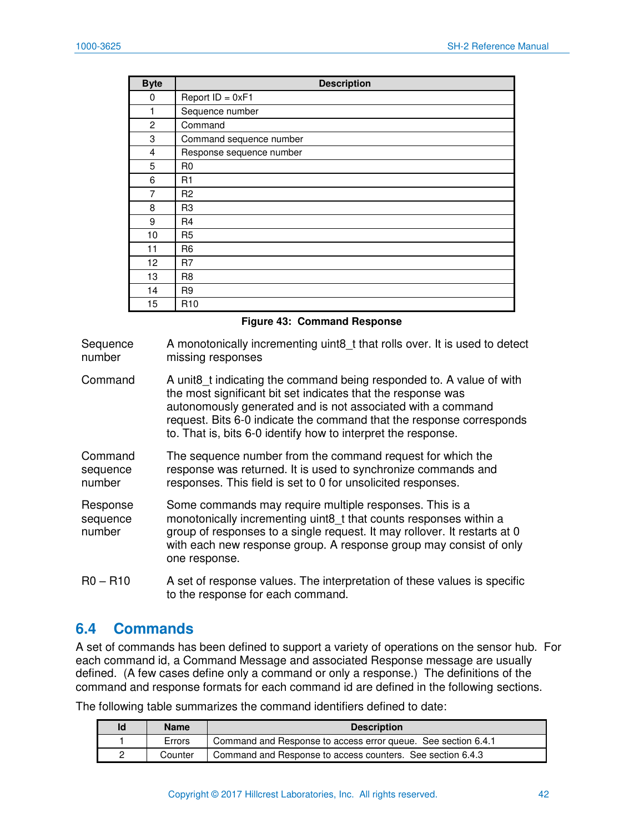| <b>Byte</b>    | <b>Description</b>       |  |  |
|----------------|--------------------------|--|--|
| 0              | Report $ID = 0xF1$       |  |  |
| 1              | Sequence number          |  |  |
| $\overline{c}$ | Command                  |  |  |
| 3              | Command sequence number  |  |  |
| 4              | Response sequence number |  |  |
| 5              | R <sub>0</sub>           |  |  |
| 6              | R1                       |  |  |
| 7              | R <sub>2</sub>           |  |  |
| 8              | R <sub>3</sub>           |  |  |
| 9              | R <sub>4</sub>           |  |  |
| 10             | R <sub>5</sub>           |  |  |
| 11             | R <sub>6</sub>           |  |  |
| 12             | R <sub>7</sub>           |  |  |
| 13             | R <sub>8</sub>           |  |  |
| 14             | R <sub>9</sub>           |  |  |
| 15             | R <sub>10</sub>          |  |  |

**Figure 43: Command Response** 

**Sequence** number A monotonically incrementing uint8\_t that rolls over. It is used to detect missing responses

Command A unit8\_t indicating the command being responded to. A value of with the most significant bit set indicates that the response was autonomously generated and is not associated with a command request. Bits 6-0 indicate the command that the response corresponds to. That is, bits 6-0 identify how to interpret the response.

Command sequence number The sequence number from the command request for which the response was returned. It is used to synchronize commands and responses. This field is set to 0 for unsolicited responses.

Response sequence number Some commands may require multiple responses. This is a monotonically incrementing uint8 t that counts responses within a group of responses to a single request. It may rollover. It restarts at 0 with each new response group. A response group may consist of only one response.

R0 – R10 A set of response values. The interpretation of these values is specific to the response for each command.

## **6.4 Commands**

A set of commands has been defined to support a variety of operations on the sensor hub. For each command id, a Command Message and associated Response message are usually defined. (A few cases define only a command or only a response.) The definitions of the command and response formats for each command id are defined in the following sections.

| Id | <b>Name</b> | <b>Description</b>                                            |
|----|-------------|---------------------------------------------------------------|
|    | Errors      | Command and Response to access error queue. See section 6.4.1 |
| 2  | Counter     | Command and Response to access counters. See section 6.4.3    |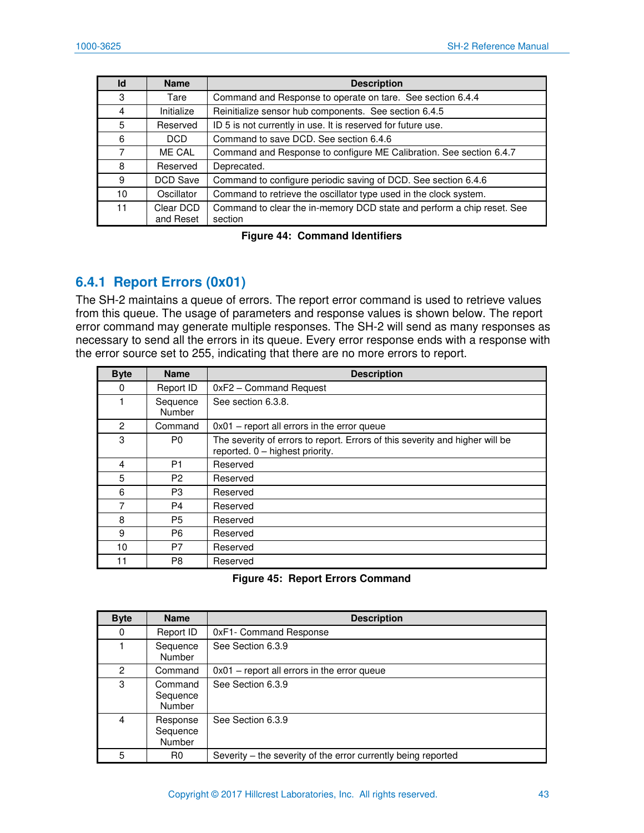| Id | <b>Name</b>            | <b>Description</b>                                                                |
|----|------------------------|-----------------------------------------------------------------------------------|
| 3  | Tare                   | Command and Response to operate on tare. See section 6.4.4                        |
| 4  | Initialize             | Reinitialize sensor hub components. See section 6.4.5                             |
| 5  | Reserved               | ID 5 is not currently in use. It is reserved for future use.                      |
| 6  | DCD.                   | Command to save DCD. See section 6.4.6                                            |
| 7  | ME CAL                 | Command and Response to configure ME Calibration. See section 6.4.7               |
| 8  | Reserved               | Deprecated.                                                                       |
| 9  | DCD Save               | Command to configure periodic saving of DCD. See section 6.4.6                    |
| 10 | Oscillator             | Command to retrieve the oscillator type used in the clock system.                 |
| 11 | Clear DCD<br>and Reset | Command to clear the in-memory DCD state and perform a chip reset. See<br>section |

**Figure 44: Command Identifiers** 

## <span id="page-43-0"></span>**6.4.1 Report Errors (0x01)**

The SH-2 maintains a queue of errors. The report error command is used to retrieve values from this queue. The usage of parameters and response values is shown below. The report error command may generate multiple responses. The SH-2 will send as many responses as necessary to send all the errors in its queue. Every error response ends with a response with the error source set to 255, indicating that there are no more errors to report.

| <b>Byte</b>    | <b>Name</b>               | <b>Description</b>                                                                                              |
|----------------|---------------------------|-----------------------------------------------------------------------------------------------------------------|
| 0              | Report ID                 | 0xF2 - Command Request                                                                                          |
|                | Sequence<br><b>Number</b> | See section 6.3.8.                                                                                              |
| $\overline{2}$ | Command                   | $0x01$ – report all errors in the error queue                                                                   |
| 3              | P0                        | The severity of errors to report. Errors of this severity and higher will be<br>reported. 0 - highest priority. |
| 4              | P <sub>1</sub>            | Reserved                                                                                                        |
| 5              | P2                        | Reserved                                                                                                        |
| 6              | P3                        | Reserved                                                                                                        |
|                | P4                        | Reserved                                                                                                        |
| 8              | P5                        | Reserved                                                                                                        |
| 9              | P6.                       | Reserved                                                                                                        |
| 10             | P7                        | Reserved                                                                                                        |
|                | P8                        | Reserved                                                                                                        |

**Figure 45: Report Errors Command** 

| <b>Byte</b>  | <b>Name</b>                          | <b>Description</b>                                            |
|--------------|--------------------------------------|---------------------------------------------------------------|
| 0            | Report ID                            | 0xF1- Command Response                                        |
|              | Sequence<br><b>Number</b>            | See Section 6.3.9                                             |
| $\mathbf{2}$ | Command                              | $0x01$ – report all errors in the error queue                 |
| 3            | Command<br>Sequence<br><b>Number</b> | See Section 6.3.9                                             |
| 4            | Response<br>Sequence<br>Number       | See Section 6.3.9                                             |
| 5            | R <sub>0</sub>                       | Severity – the severity of the error currently being reported |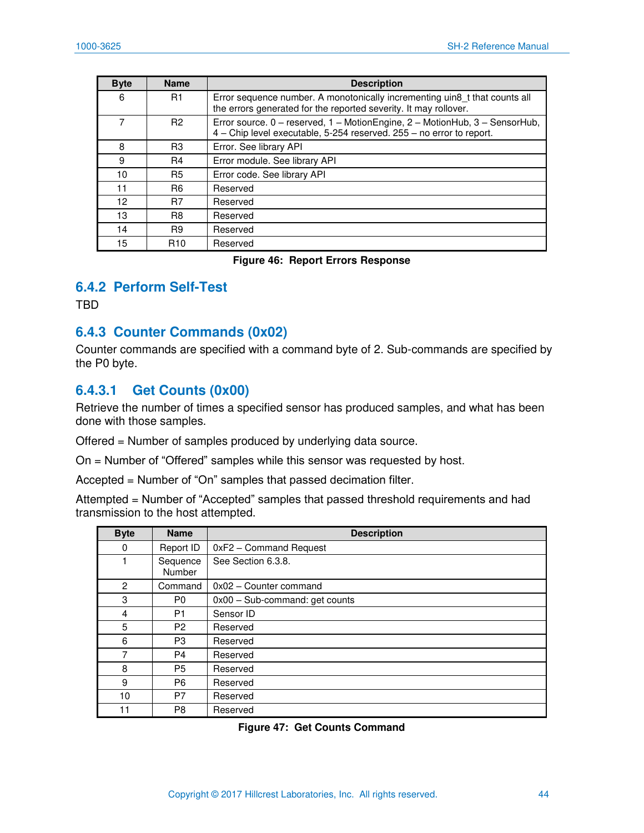| <b>Byte</b> | <b>Name</b>     | <b>Description</b>                                                                                                                                  |
|-------------|-----------------|-----------------------------------------------------------------------------------------------------------------------------------------------------|
| 6           | R1              | Error sequence number. A monotonically incrementing uin8 t that counts all<br>the errors generated for the reported severity. It may rollover.      |
|             | R <sub>2</sub>  | Error source. 0 - reserved, 1 - MotionEngine, 2 - MotionHub, 3 - SensorHub,<br>4 - Chip level executable, 5-254 reserved. 255 - no error to report. |
| 8           | R <sub>3</sub>  | Error. See library API                                                                                                                              |
| 9           | R4              | Error module. See library API                                                                                                                       |
| 10          | <b>R5</b>       | Error code. See library API                                                                                                                         |
| 11          | R <sub>6</sub>  | Reserved                                                                                                                                            |
| 12          | R7              | Reserved                                                                                                                                            |
| 13          | R <sub>8</sub>  | Reserved                                                                                                                                            |
| 14          | R <sub>9</sub>  | Reserved                                                                                                                                            |
| 15          | R <sub>10</sub> | Reserved                                                                                                                                            |

#### **Figure 46: Report Errors Response**

#### **6.4.2 Perform Self-Test**

TBD

### <span id="page-44-0"></span>**6.4.3 Counter Commands (0x02)**

Counter commands are specified with a command byte of 2. Sub-commands are specified by the P0 byte.

### **6.4.3.1 Get Counts (0x00)**

Retrieve the number of times a specified sensor has produced samples, and what has been done with those samples.

Offered = Number of samples produced by underlying data source.

On = Number of "Offered" samples while this sensor was requested by host.

Accepted = Number of "On" samples that passed decimation filter.

Attempted = Number of "Accepted" samples that passed threshold requirements and had transmission to the host attempted.

| <b>Byte</b>    | <b>Name</b>        | <b>Description</b>              |
|----------------|--------------------|---------------------------------|
| 0              | Report ID          | 0xF2 - Command Request          |
|                | Sequence<br>Number | See Section 6.3.8.              |
| $\overline{2}$ | Command            | 0x02 - Counter command          |
| 3              | P <sub>0</sub>     | $0x00 - Subcommand: get counts$ |
| 4              | P <sub>1</sub>     | Sensor ID                       |
| 5              | P <sub>2</sub>     | Reserved                        |
| 6              | P3                 | Reserved                        |
| 7              | P4                 | Reserved                        |
| 8              | P5                 | Reserved                        |
| 9              | P <sub>6</sub>     | Reserved                        |
| 10             | P7                 | Reserved                        |
| 11             | P8                 | Reserved                        |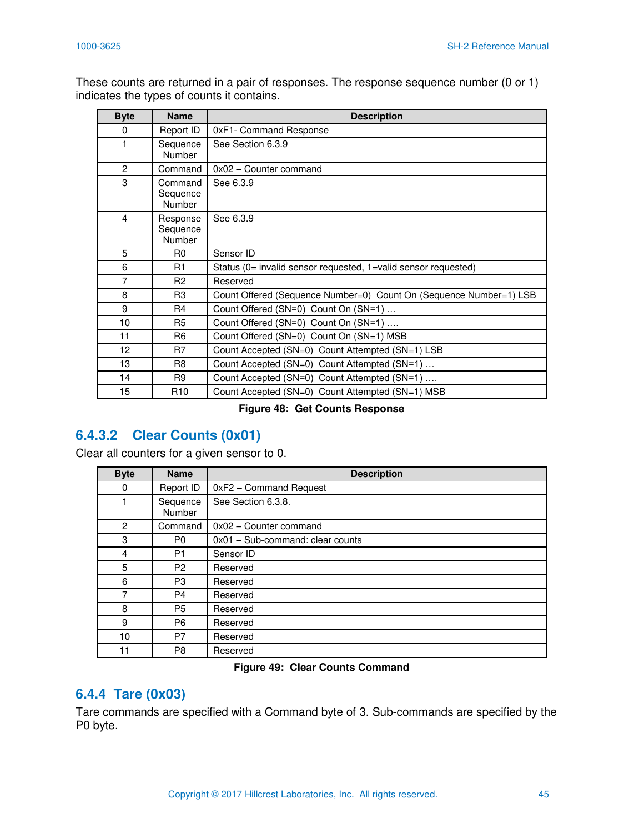These counts are returned in a pair of responses. The response sequence number (0 or 1) indicates the types of counts it contains.

| <b>Byte</b>    | <b>Name</b>                           | <b>Description</b>                                                 |
|----------------|---------------------------------------|--------------------------------------------------------------------|
| 0              | Report ID                             | 0xF1- Command Response                                             |
| $\mathbf 1$    | Sequence<br>Number                    | See Section 6.3.9                                                  |
| $\overline{2}$ | Command                               | 0x02 - Counter command                                             |
| 3              | Command<br>Sequence<br><b>Number</b>  | See 6.3.9                                                          |
| 4              | Response<br>Sequence<br><b>Number</b> | See 6.3.9                                                          |
| 5              | R <sub>0</sub>                        | Sensor ID                                                          |
| 6              | R <sub>1</sub>                        | Status (0= invalid sensor requested, 1=valid sensor requested)     |
| 7              | R <sub>2</sub>                        | Reserved                                                           |
| 8              | R <sub>3</sub>                        | Count Offered (Sequence Number=0) Count On (Sequence Number=1) LSB |
| 9              | R <sub>4</sub>                        | Count Offered (SN=0) Count On (SN=1)                               |
| 10             | R <sub>5</sub>                        | Count Offered (SN=0) Count On (SN=1)                               |
| 11             | R <sub>6</sub>                        | Count Offered (SN=0) Count On (SN=1) MSB                           |
| 12             | R7                                    | Count Accepted (SN=0) Count Attempted (SN=1) LSB                   |
| 13             | R <sub>8</sub>                        | Count Accepted (SN=0) Count Attempted (SN=1)                       |
| 14             | R9                                    | Count Accepted (SN=0) Count Attempted (SN=1)                       |
| 15             | R10                                   | Count Accepted (SN=0) Count Attempted (SN=1) MSB                   |

#### **Figure 48: Get Counts Response**

## **6.4.3.2 Clear Counts (0x01)**

Clear all counters for a given sensor to 0.

| <b>Byte</b> | <b>Name</b>        | <b>Description</b>               |
|-------------|--------------------|----------------------------------|
| 0           | Report ID          | 0xF2 - Command Request           |
| 1           | Sequence<br>Number | See Section 6.3.8.               |
| 2           | Command            | 0x02 - Counter command           |
| 3           | P <sub>0</sub>     | 0x01 - Sub-command: clear counts |
| 4           | P1                 | Sensor ID                        |
| 5           | P <sub>2</sub>     | Reserved                         |
| 6           | P <sub>3</sub>     | Reserved                         |
| 7           | P4                 | Reserved                         |
| 8           | <b>P5</b>          | Reserved                         |
| 9           | P <sub>6</sub>     | Reserved                         |
| 10          | P7                 | Reserved                         |
| 11          | P <sub>8</sub>     | Reserved                         |

#### **Figure 49: Clear Counts Command**

### <span id="page-45-0"></span>**6.4.4 Tare (0x03)**

Tare commands are specified with a Command byte of 3. Sub-commands are specified by the P0 byte.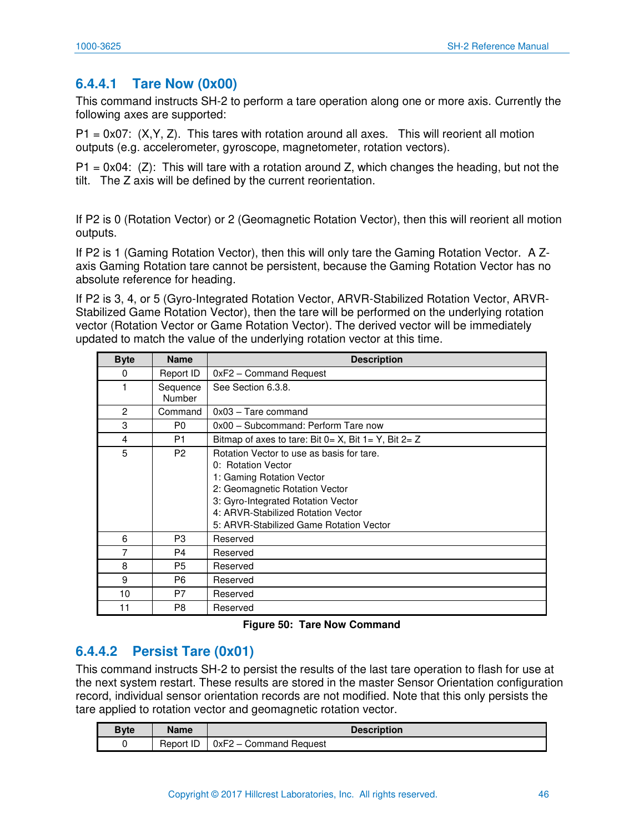### **6.4.4.1 Tare Now (0x00)**

This command instructs SH-2 to perform a tare operation along one or more axis. Currently the following axes are supported:

 $P1 = 0x07$ :  $(X, Y, Z)$ . This tares with rotation around all axes. This will reorient all motion outputs (e.g. accelerometer, gyroscope, magnetometer, rotation vectors).

 $P1 = 0x04$ : (Z): This will tare with a rotation around Z, which changes the heading, but not the tilt. The Z axis will be defined by the current reorientation.

If P2 is 0 (Rotation Vector) or 2 (Geomagnetic Rotation Vector), then this will reorient all motion outputs.

If P2 is 1 (Gaming Rotation Vector), then this will only tare the Gaming Rotation Vector. A Zaxis Gaming Rotation tare cannot be persistent, because the Gaming Rotation Vector has no absolute reference for heading.

If P2 is 3, 4, or 5 (Gyro-Integrated Rotation Vector, ARVR-Stabilized Rotation Vector, ARVR-Stabilized Game Rotation Vector), then the tare will be performed on the underlying rotation vector (Rotation Vector or Game Rotation Vector). The derived vector will be immediately updated to match the value of the underlying rotation vector at this time.

| <b>Byte</b> | <b>Name</b>               | <b>Description</b>                                                                                                                                                                                                                                    |
|-------------|---------------------------|-------------------------------------------------------------------------------------------------------------------------------------------------------------------------------------------------------------------------------------------------------|
| 0           | Report ID                 | 0xF2 - Command Request                                                                                                                                                                                                                                |
|             | Sequence<br><b>Number</b> | See Section 6.3.8.                                                                                                                                                                                                                                    |
| 2           | Command                   | $0x03 - T$ are command                                                                                                                                                                                                                                |
| 3           | P <sub>0</sub>            | 0x00 - Subcommand: Perform Tare now                                                                                                                                                                                                                   |
| 4           | P <sub>1</sub>            | Bitmap of axes to tare: Bit $0 = X$ , Bit $1 = Y$ , Bit $2 = Z$                                                                                                                                                                                       |
| 5           | P <sub>2</sub>            | Rotation Vector to use as basis for tare.<br>0: Rotation Vector<br>1: Gaming Rotation Vector<br>2: Geomagnetic Rotation Vector<br>3: Gyro-Integrated Rotation Vector<br>4: ARVR-Stabilized Rotation Vector<br>5: ARVR-Stabilized Game Rotation Vector |
| 6           | P <sub>3</sub>            | Reserved                                                                                                                                                                                                                                              |
| 7           | P4                        | Reserved                                                                                                                                                                                                                                              |
| 8           | P <sub>5</sub>            | Reserved                                                                                                                                                                                                                                              |
| 9           | P <sub>6</sub>            | Reserved                                                                                                                                                                                                                                              |
| 10          | P7                        | Reserved                                                                                                                                                                                                                                              |
| 11          | P8                        | Reserved                                                                                                                                                                                                                                              |

**Figure 50: Tare Now Command** 

### **6.4.4.2 Persist Tare (0x01)**

This command instructs SH-2 to persist the results of the last tare operation to flash for use at the next system restart. These results are stored in the master [Sensor Orientation](#page-14-0) configuration record, individual sensor orientation records are not modified. Note that this only persists the tare applied to rotation vector and geomagnetic rotation vector.

| <b>Byte</b> | <b>Name</b> | <b>Description</b>     |
|-------------|-------------|------------------------|
|             | Report ID   | 0xF2 - Command Request |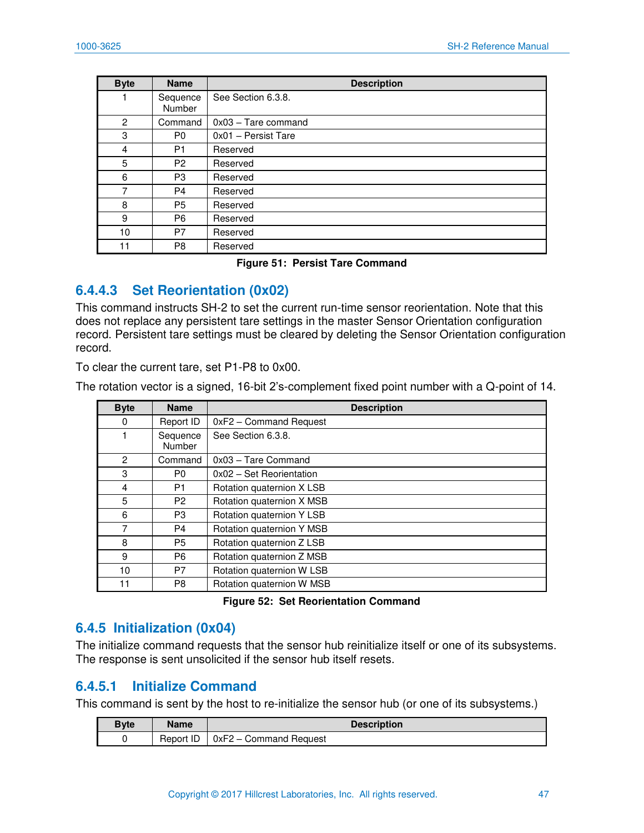| <b>Byte</b>    | <b>Name</b>        | <b>Description</b>     |
|----------------|--------------------|------------------------|
|                | Sequence<br>Number | See Section 6.3.8.     |
| $\overline{2}$ | Command            | $0x03 - T$ are command |
| 3              | P <sub>0</sub>     | 0x01 - Persist Tare    |
| 4              | P <sub>1</sub>     | Reserved               |
| 5              | P <sub>2</sub>     | Reserved               |
| 6              | P <sub>3</sub>     | Reserved               |
| 7              | P <sub>4</sub>     | Reserved               |
| 8              | P <sub>5</sub>     | Reserved               |
| 9              | P <sub>6</sub>     | Reserved               |
| 10             | P7                 | Reserved               |
| 11             | P8                 | Reserved               |

#### **Figure 51: Persist Tare Command**

### **6.4.4.3 Set Reorientation (0x02)**

This command instructs SH-2 to set the current run-time sensor reorientation. Note that this does not replace any persistent tare settings in the master [Sensor Orientation](#page-14-0) configuration record. Persistent tare settings must be cleared by deleting the [Sensor Orientation](#page-14-0) configuration record.

To clear the current tare, set P1-P8 to 0x00.

The rotation vector is a signed, 16-bit 2's-complement fixed point number with a Q-point of 14.

| <b>Byte</b>    | <b>Name</b>        | <b>Description</b>        |
|----------------|--------------------|---------------------------|
| 0              | Report ID          | 0xF2 - Command Request    |
|                | Sequence<br>Number | See Section 6.3.8.        |
| 2              | Command            | 0x03 - Tare Command       |
| 3              | P <sub>0</sub>     | 0x02 - Set Reorientation  |
| $\overline{4}$ | P1                 | Rotation quaternion X LSB |
| 5              | P <sub>2</sub>     | Rotation quaternion X MSB |
| 6              | P3                 | Rotation quaternion Y LSB |
| 7              | P4                 | Rotation quaternion Y MSB |
| 8              | P5                 | Rotation quaternion Z LSB |
| 9              | P <sub>6</sub>     | Rotation quaternion Z MSB |
| 10             | P7                 | Rotation quaternion W LSB |
| 11             | P8                 | Rotation quaternion W MSB |

#### **Figure 52: Set Reorientation Command**

### <span id="page-47-0"></span>**6.4.5 Initialization (0x04)**

The initialize command requests that the sensor hub reinitialize itself or one of its subsystems. The response is sent unsolicited if the sensor hub itself resets.

### **6.4.5.1 Initialize Command**

This command is sent by the host to re-initialize the sensor hub (or one of its subsystems.)

| Bvte | <b>Name</b> | <b>Description</b>     |
|------|-------------|------------------------|
|      | Report ID   | 0xF2 - Command Request |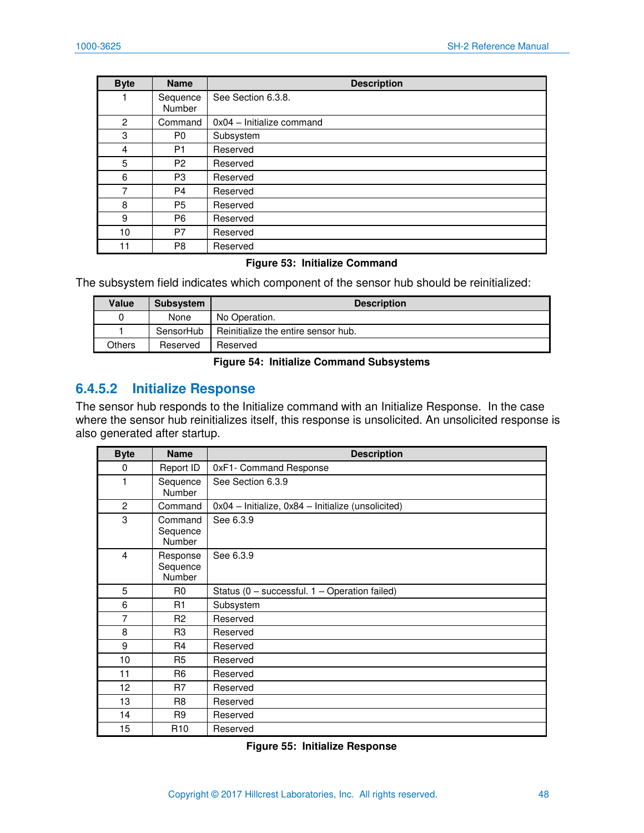| <b>Byte</b> | <b>Name</b>               | <b>Description</b>        |
|-------------|---------------------------|---------------------------|
|             | Sequence<br><b>Number</b> | See Section 6.3.8.        |
| 2           | Command                   | 0x04 - Initialize command |
| 3           | P <sub>0</sub>            | Subsystem                 |
| 4           | P <sub>1</sub>            | Reserved                  |
| 5           | P <sub>2</sub>            | Reserved                  |
| 6           | P <sub>3</sub>            | Reserved                  |
| 7           | P <sub>4</sub>            | Reserved                  |
| 8           | P5                        | Reserved                  |
| 9           | P <sub>6</sub>            | Reserved                  |
| 10          | P7                        | Reserved                  |
| 11          | P8                        | Reserved                  |

#### **Figure 53: Initialize Command**

The subsystem field indicates which component of the sensor hub should be reinitialized:

| <b>Value</b> | <b>Subsystem</b> | <b>Description</b>                  |
|--------------|------------------|-------------------------------------|
|              | None             | No Operation.                       |
|              | SensorHub        | Reinitialize the entire sensor hub. |
| Others       | Reserved         | Reserved                            |

#### **Figure 54: Initialize Command Subsystems**

### <span id="page-48-0"></span>**6.4.5.2 Initialize Response**

The sensor hub responds to the Initialize command with an Initialize Response. In the case where the sensor hub reinitializes itself, this response is unsolicited. An unsolicited response is also generated after startup.

| <b>Byte</b> | <b>Name</b>                          | <b>Description</b>                                 |
|-------------|--------------------------------------|----------------------------------------------------|
| 0           | Report ID                            | 0xF1- Command Response                             |
| 1           | Sequence<br>Number                   | See Section 6.3.9                                  |
| 2           | Command                              | 0x04 - Initialize, 0x84 - Initialize (unsolicited) |
| 3           | Command<br>Sequence<br><b>Number</b> | See 6.3.9                                          |
| 4           | Response<br>Sequence<br>Number       | See 6.3.9                                          |
| 5           | R0                                   | Status (0 - successful. 1 - Operation failed)      |
| 6           | R1                                   | Subsystem                                          |
| 7           | R <sub>2</sub>                       | Reserved                                           |
| 8           | R <sub>3</sub>                       | Reserved                                           |
| 9           | R <sub>4</sub>                       | Reserved                                           |
| 10          | R <sub>5</sub>                       | Reserved                                           |
| 11          | R <sub>6</sub>                       | Reserved                                           |
| 12          | R7                                   | Reserved                                           |
| 13          | R <sub>8</sub>                       | Reserved                                           |
| 14          | R <sub>9</sub>                       | Reserved                                           |
| 15          | R <sub>10</sub>                      | Reserved                                           |

**Figure 55: Initialize Response**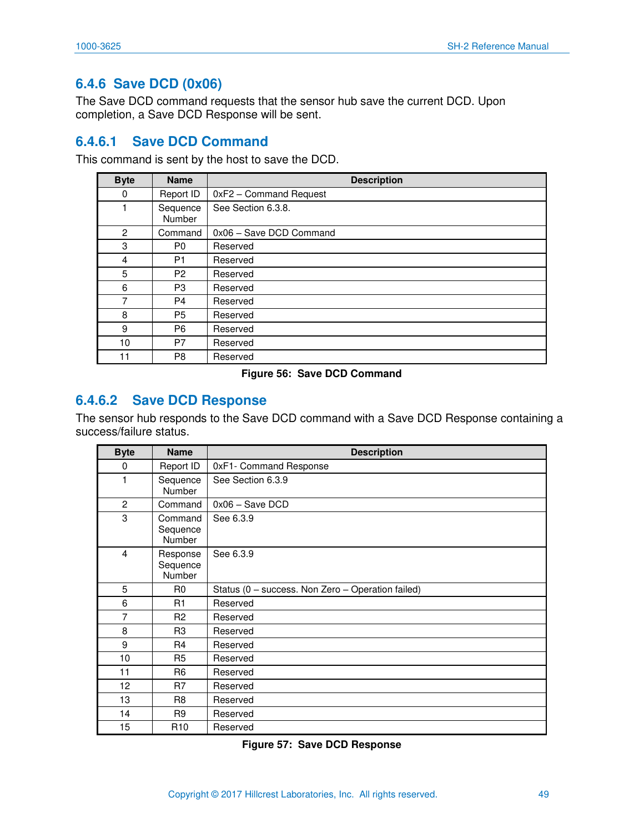## <span id="page-49-0"></span>**6.4.6 Save DCD (0x06)**

The Save DCD command requests that the sensor hub save the current DCD. Upon completion, a Save DCD Response will be sent.

### **6.4.6.1 Save DCD Command**

This command is sent by the host to save the DCD.

| <b>Byte</b>    | <b>Name</b>               | <b>Description</b>      |
|----------------|---------------------------|-------------------------|
| 0              | Report ID                 | 0xF2 - Command Request  |
|                | Sequence<br><b>Number</b> | See Section 6.3.8.      |
| $\overline{c}$ | Command                   | 0x06 - Save DCD Command |
| 3              | P <sub>0</sub>            | Reserved                |
| 4              | P1                        | Reserved                |
| 5              | P <sub>2</sub>            | Reserved                |
| 6              | P <sub>3</sub>            | Reserved                |
| 7              | P4                        | Reserved                |
| 8              | P5                        | Reserved                |
| 9              | P <sub>6</sub>            | Reserved                |
| 10             | P7                        | Reserved                |
| 11             | P8                        | Reserved                |

#### **Figure 56: Save DCD Command**

### **6.4.6.2 Save DCD Response**

The sensor hub responds to the Save DCD command with a Save DCD Response containing a success/failure status.

| <b>Byte</b>             | <b>Name</b>                    | <b>Description</b>                                |
|-------------------------|--------------------------------|---------------------------------------------------|
| 0                       | Report ID                      | 0xF1- Command Response                            |
| $\mathbf{1}$            | Sequence<br><b>Number</b>      | See Section 6.3.9                                 |
| $\overline{2}$          | Command                        | $0x06 -$ Save DCD                                 |
| 3                       | Command<br>Sequence<br>Number  | See 6.3.9                                         |
| $\overline{\mathbf{4}}$ | Response<br>Sequence<br>Number | See 6.3.9                                         |
| 5                       | R0                             | Status (0 - success. Non Zero - Operation failed) |
| 6                       | R <sub>1</sub>                 | Reserved                                          |
| 7                       | R <sub>2</sub>                 | Reserved                                          |
| 8                       | R <sub>3</sub>                 | Reserved                                          |
| 9                       | R <sub>4</sub>                 | Reserved                                          |
| 10                      | R <sub>5</sub>                 | Reserved                                          |
| 11                      | R <sub>6</sub>                 | Reserved                                          |
| 12                      | R7                             | Reserved                                          |
| 13                      | R <sub>8</sub>                 | Reserved                                          |
| 14                      | R <sub>9</sub>                 | Reserved                                          |
| 15                      | R <sub>10</sub>                | Reserved                                          |

**Figure 57: Save DCD Response**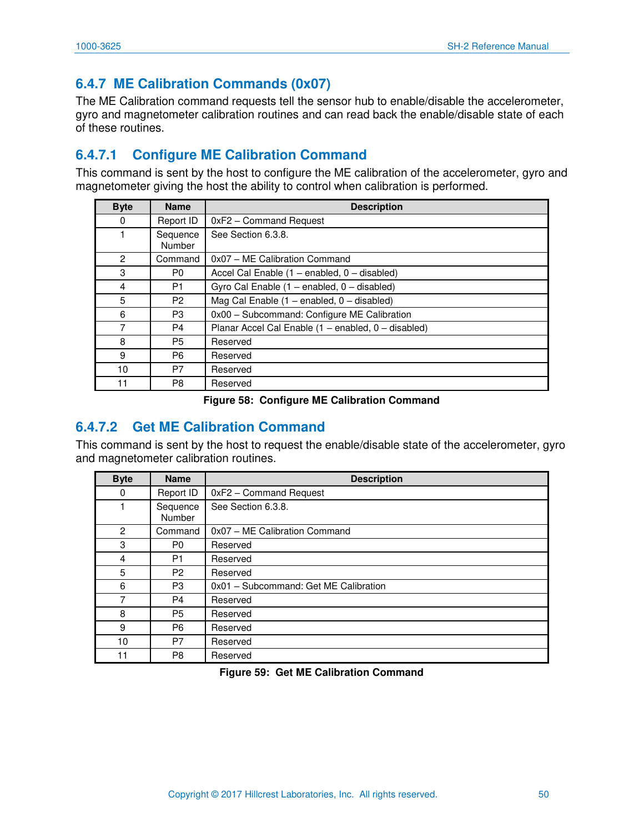## <span id="page-50-0"></span>**6.4.7 ME Calibration Commands (0x07)**

The ME Calibration command requests tell the sensor hub to enable/disable the accelerometer, gyro and magnetometer calibration routines and can read back the enable/disable state of each of these routines.

## **6.4.7.1 Configure ME Calibration Command**

This command is sent by the host to configure the ME calibration of the accelerometer, gyro and magnetometer giving the host the ability to control when calibration is performed.

| <b>Byte</b> | <b>Name</b>        | <b>Description</b>                                  |
|-------------|--------------------|-----------------------------------------------------|
| 0           | Report ID          | 0xF2 - Command Request                              |
|             | Sequence<br>Number | See Section 6.3.8.                                  |
| 2           | Command            | 0x07 - ME Calibration Command                       |
| 3           | P0                 | Accel Cal Enable (1 - enabled, 0 - disabled)        |
| 4           | P <sub>1</sub>     | Gyro Cal Enable (1 - enabled, 0 - disabled)         |
| 5           | P <sub>2</sub>     | Mag Cal Enable $(1 -$ enabled, $0 -$ disabled)      |
| 6           | P3                 | 0x00 - Subcommand: Configure ME Calibration         |
| 7           | P4                 | Planar Accel Cal Enable (1 - enabled, 0 - disabled) |
| 8           | P <sub>5</sub>     | Reserved                                            |
| 9           | P <sub>6</sub>     | Reserved                                            |
| 10          | P7                 | Reserved                                            |
| 11          | P <sub>8</sub>     | Reserved                                            |

**Figure 58: Configure ME Calibration Command** 

## **6.4.7.2 Get ME Calibration Command**

This command is sent by the host to request the enable/disable state of the accelerometer, gyro and magnetometer calibration routines.

| <b>Byte</b>    | <b>Name</b>        | <b>Description</b>                    |
|----------------|--------------------|---------------------------------------|
| 0              | Report ID          | 0xF2 - Command Request                |
| 1              | Sequence<br>Number | See Section 6.3.8.                    |
| $\overline{c}$ | Command            | 0x07 - ME Calibration Command         |
| 3              | P <sub>0</sub>     | Reserved                              |
| 4              | P1                 | Reserved                              |
| 5              | P <sub>2</sub>     | Reserved                              |
| 6              | P3                 | 0x01 - Subcommand: Get ME Calibration |
| 7              | P <sub>4</sub>     | Reserved                              |
| 8              | P5                 | Reserved                              |
| 9              | P <sub>6</sub>     | Reserved                              |
| 10             | P7                 | Reserved                              |
| 11             | P8                 | Reserved                              |

#### **Figure 59: Get ME Calibration Command**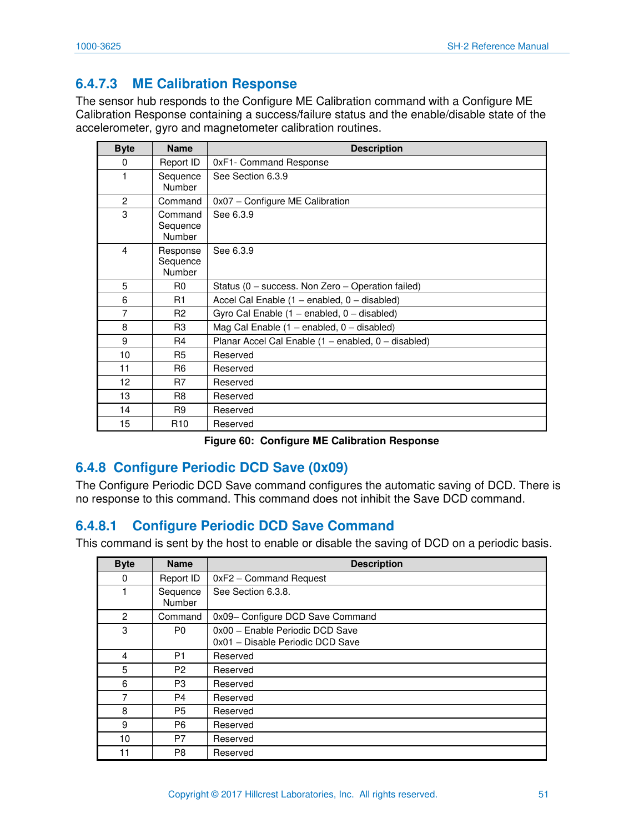## **6.4.7.3 ME Calibration Response**

The sensor hub responds to the Configure ME Calibration command with a Configure ME Calibration Response containing a success/failure status and the enable/disable state of the accelerometer, gyro and magnetometer calibration routines.

| <b>Byte</b>    | <b>Name</b>                    | <b>Description</b>                                  |
|----------------|--------------------------------|-----------------------------------------------------|
| 0              | Report ID                      | 0xF1- Command Response                              |
| 1              | Sequence<br>Number             | See Section 6.3.9                                   |
| $\overline{2}$ | Command                        | 0x07 - Configure ME Calibration                     |
| 3              | Command<br>Sequence<br>Number  | See 6.3.9                                           |
| 4              | Response<br>Sequence<br>Number | See 6.3.9                                           |
| 5              | R <sub>0</sub>                 | Status (0 – success. Non Zero – Operation failed)   |
| 6              | R <sub>1</sub>                 | Accel Cal Enable (1 - enabled, 0 - disabled)        |
| 7              | R <sub>2</sub>                 | Gyro Cal Enable (1 - enabled, 0 - disabled)         |
| 8              | R <sub>3</sub>                 | Mag Cal Enable (1 - enabled, 0 - disabled)          |
| 9              | R <sub>4</sub>                 | Planar Accel Cal Enable (1 - enabled, 0 - disabled) |
| 10             | R <sub>5</sub>                 | Reserved                                            |
| 11             | R <sub>6</sub>                 | Reserved                                            |
| 12             | R7                             | Reserved                                            |
| 13             | R <sub>8</sub>                 | Reserved                                            |
| 14             | R <sub>9</sub>                 | Reserved                                            |
| 15             | R <sub>10</sub>                | Reserved                                            |

**Figure 60: Configure ME Calibration Response** 

## **6.4.8 Configure Periodic DCD Save (0x09)**

The Configure Periodic DCD Save command configures the automatic saving of DCD. There is no response to this command. This command does not inhibit the Save DCD command.

## **6.4.8.1 Configure Periodic DCD Save Command**

This command is sent by the host to enable or disable the saving of DCD on a periodic basis.

| <b>Byte</b>    | <b>Name</b>        | <b>Description</b>               |
|----------------|--------------------|----------------------------------|
| 0              | Report ID          | 0xF2 - Command Request           |
|                | Sequence<br>Number | See Section 6.3.8.               |
| $\overline{2}$ | Command            | 0x09- Configure DCD Save Command |
| 3              | P0                 | 0x00 - Enable Periodic DCD Save  |
|                |                    | 0x01 - Disable Periodic DCD Save |
| 4              | P <sub>1</sub>     | Reserved                         |
| 5              | P <sub>2</sub>     | Reserved                         |
| 6              | P3                 | Reserved                         |
| 7              | P4                 | Reserved                         |
| 8              | P5                 | Reserved                         |
| 9              | P6                 | Reserved                         |
| 10             | P7                 | Reserved                         |
| 11             | P8                 | Reserved                         |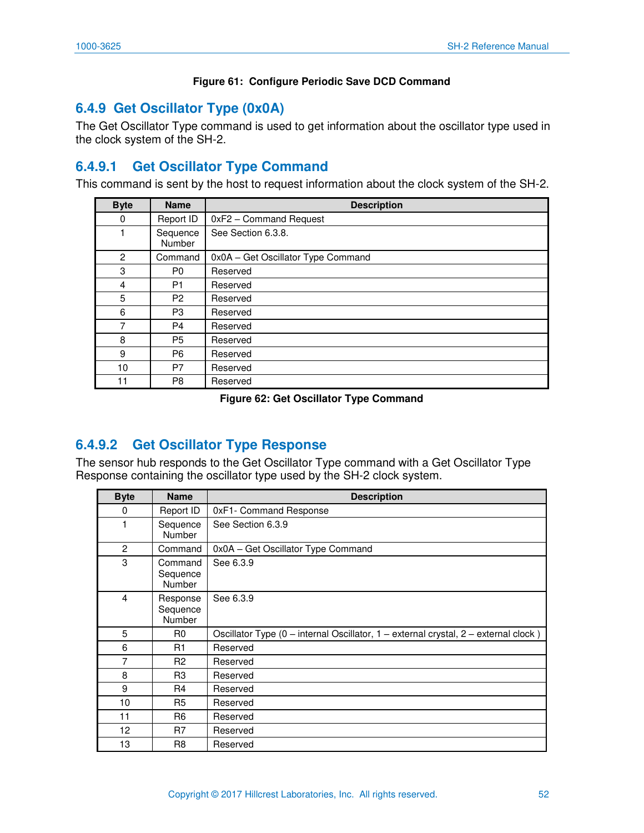### **Figure 61: Configure Periodic Save DCD Command**

## **6.4.9 Get Oscillator Type (0x0A)**

The Get Oscillator Type command is used to get information about the oscillator type used in the clock system of the SH-2.

## **6.4.9.1 Get Oscillator Type Command**

This command is sent by the host to request information about the clock system of the SH-2.

| <b>Byte</b> | <b>Name</b>        | <b>Description</b>                 |
|-------------|--------------------|------------------------------------|
| 0           | Report ID          | 0xF2 - Command Request             |
|             | Sequence<br>Number | See Section 6.3.8.                 |
| 2           | Command            | 0x0A - Get Oscillator Type Command |
| 3           | P <sub>0</sub>     | Reserved                           |
| 4           | P <sub>1</sub>     | Reserved                           |
| 5           | P <sub>2</sub>     | Reserved                           |
| 6           | P3                 | Reserved                           |
| 7           | P <sub>4</sub>     | Reserved                           |
| 8           | P <sub>5</sub>     | Reserved                           |
| 9           | P <sub>6</sub>     | Reserved                           |
| 10          | P7                 | Reserved                           |
| 11          | P8                 | Reserved                           |

#### **Figure 62: Get Oscillator Type Command**

## **6.4.9.2 Get Oscillator Type Response**

The sensor hub responds to the Get Oscillator Type command with a Get Oscillator Type Response containing the oscillator type used by the SH-2 clock system.

| <b>Byte</b>    | <b>Name</b>                          | <b>Description</b>                                                                  |
|----------------|--------------------------------------|-------------------------------------------------------------------------------------|
| 0              | Report ID                            | 0xF1- Command Response                                                              |
| 1              | Sequence<br><b>Number</b>            | See Section 6.3.9                                                                   |
| 2              | Command                              | 0x0A - Get Oscillator Type Command                                                  |
| 3              | Command<br>Sequence<br><b>Number</b> | See 6.3.9                                                                           |
| $\overline{4}$ | Response<br>Sequence<br>Number       | See 6.3.9                                                                           |
| 5              | R <sub>0</sub>                       | Oscillator Type (0 - internal Oscillator, 1 - external crystal, 2 - external clock) |
| 6              | R1                                   | Reserved                                                                            |
| $\overline{7}$ | R <sub>2</sub>                       | Reserved                                                                            |
| 8              | R <sub>3</sub>                       | Reserved                                                                            |
| 9              | R4                                   | Reserved                                                                            |
| 10             | R <sub>5</sub>                       | Reserved                                                                            |
| 11             | R <sub>6</sub>                       | Reserved                                                                            |
| 12             | R7                                   | Reserved                                                                            |
| 13             | R <sub>8</sub>                       | Reserved                                                                            |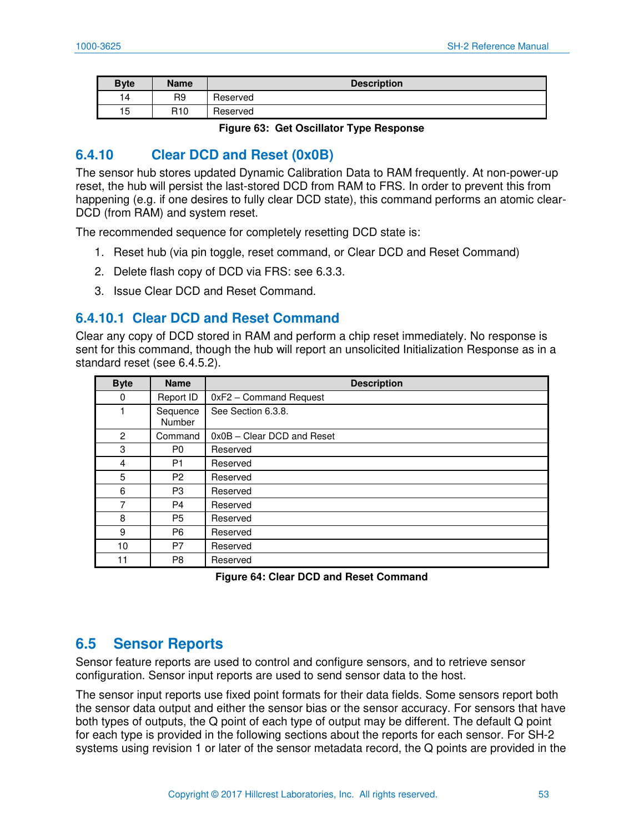| <b>Byte</b> | <b>Name</b>     | <b>Description</b> |
|-------------|-----------------|--------------------|
| ۱4          | R <sub>9</sub>  | Reserved           |
| 15          | R <sub>10</sub> | Reserved           |

**Figure 63: Get Oscillator Type Response** 

## **6.4.10 Clear DCD and Reset (0x0B)**

The sensor hub stores updated Dynamic Calibration Data to RAM frequently. At non-power-up reset, the hub will persist the last-stored DCD from RAM to FRS. In order to prevent this from happening (e.g. if one desires to fully clear DCD state), this command performs an atomic clear-DCD (from RAM) and system reset.

The recommended sequence for completely resetting DCD state is:

- 1. Reset hub (via pin toggle, reset command, or Clear DCD and Reset Command)
- 2. Delete flash copy of DCD via FRS: see [6.3.3.](#page-38-0)
- 3. Issue Clear DCD and Reset Command.

### **6.4.10.1 Clear DCD and Reset Command**

Clear any copy of DCD stored in RAM and perform a chip reset immediately. No response is sent for this command, though the hub will report an unsolicited Initialization Response as in a standard reset (see [6.4.5.2\)](#page-48-0).

| <b>Byte</b> | <b>Name</b>        | <b>Description</b>         |
|-------------|--------------------|----------------------------|
| 0           | Report ID          | 0xF2 - Command Request     |
|             | Sequence<br>Number | See Section 6.3.8.         |
| 2           | Command            | 0x0B - Clear DCD and Reset |
| 3           | P0                 | Reserved                   |
| 4           | P1                 | Reserved                   |
| 5           | P <sub>2</sub>     | Reserved                   |
| 6           | P <sub>3</sub>     | Reserved                   |
| 7           | P4                 | Reserved                   |
| 8           | P <sub>5</sub>     | Reserved                   |
| 9           | P <sub>6</sub>     | Reserved                   |
| 10          | P7                 | Reserved                   |
| 11          | P8                 | Reserved                   |

**Figure 64: Clear DCD and Reset Command** 

### **6.5 Sensor Reports**

Sensor feature reports are used to control and configure sensors, and to retrieve sensor configuration. Sensor input reports are used to send sensor data to the host.

The sensor input reports use fixed point formats for their data fields. Some sensors report both the sensor data output and either the sensor bias or the sensor accuracy. For sensors that have both types of outputs, the Q point of each type of output may be different. The default Q point for each type is provided in the following sections about the reports for each sensor. For SH-2 systems using revision 1 or later of the sensor metadata record, the Q points are provided in the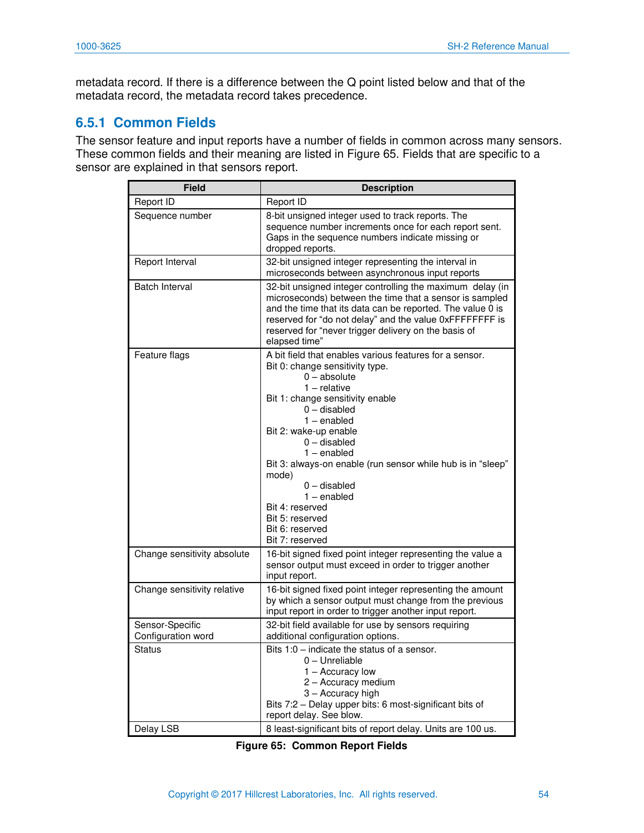metadata record. If there is a difference between the Q point listed below and that of the metadata record, the metadata record takes precedence.

### **6.5.1 Common Fields**

The sensor feature and input reports have a number of fields in common across many sensors. These common fields and their meaning are listed in [Figure 65.](#page-54-0) Fields that are specific to a sensor are explained in that sensors report.

| <b>Field</b>                          | <b>Description</b>                                                                                                                                                                                                                                                                                                                                                                                                                                     |
|---------------------------------------|--------------------------------------------------------------------------------------------------------------------------------------------------------------------------------------------------------------------------------------------------------------------------------------------------------------------------------------------------------------------------------------------------------------------------------------------------------|
| Report ID                             | Report ID                                                                                                                                                                                                                                                                                                                                                                                                                                              |
| Sequence number                       | 8-bit unsigned integer used to track reports. The<br>sequence number increments once for each report sent.<br>Gaps in the sequence numbers indicate missing or<br>dropped reports.                                                                                                                                                                                                                                                                     |
| Report Interval                       | 32-bit unsigned integer representing the interval in<br>microseconds between asynchronous input reports                                                                                                                                                                                                                                                                                                                                                |
| <b>Batch Interval</b>                 | 32-bit unsigned integer controlling the maximum delay (in<br>microseconds) between the time that a sensor is sampled<br>and the time that its data can be reported. The value 0 is<br>reserved for "do not delay" and the value 0xFFFFFFFF is<br>reserved for "never trigger delivery on the basis of<br>elapsed time"                                                                                                                                 |
| Feature flags                         | A bit field that enables various features for a sensor.<br>Bit 0: change sensitivity type.<br>$0 - absolute$<br>$1 -$ relative<br>Bit 1: change sensitivity enable<br>$0$ – disabled<br>$1$ – enabled<br>Bit 2: wake-up enable<br>$0$ – disabled<br>1 – enabled<br>Bit 3: always-on enable (run sensor while hub is in "sleep"<br>mode)<br>$0$ – disabled<br>$1$ – enabled<br>Bit 4: reserved<br>Bit 5: reserved<br>Bit 6: reserved<br>Bit 7: reserved |
| Change sensitivity absolute           | 16-bit signed fixed point integer representing the value a<br>sensor output must exceed in order to trigger another<br>input report.                                                                                                                                                                                                                                                                                                                   |
| Change sensitivity relative           | 16-bit signed fixed point integer representing the amount<br>by which a sensor output must change from the previous<br>input report in order to trigger another input report.                                                                                                                                                                                                                                                                          |
| Sensor-Specific<br>Configuration word | 32-bit field available for use by sensors requiring<br>additional configuration options.                                                                                                                                                                                                                                                                                                                                                               |
| Status                                | Bits 1:0 – indicate the status of a sensor.<br>0 - Unreliable<br>1 – Accuracy low<br>2 - Accuracy medium<br>3 - Accuracy high<br>Bits 7:2 - Delay upper bits: 6 most-significant bits of<br>report delay. See blow.                                                                                                                                                                                                                                    |
| Delay LSB                             | 8 least-significant bits of report delay. Units are 100 us.                                                                                                                                                                                                                                                                                                                                                                                            |

<span id="page-54-0"></span>**Figure 65: Common Report Fields**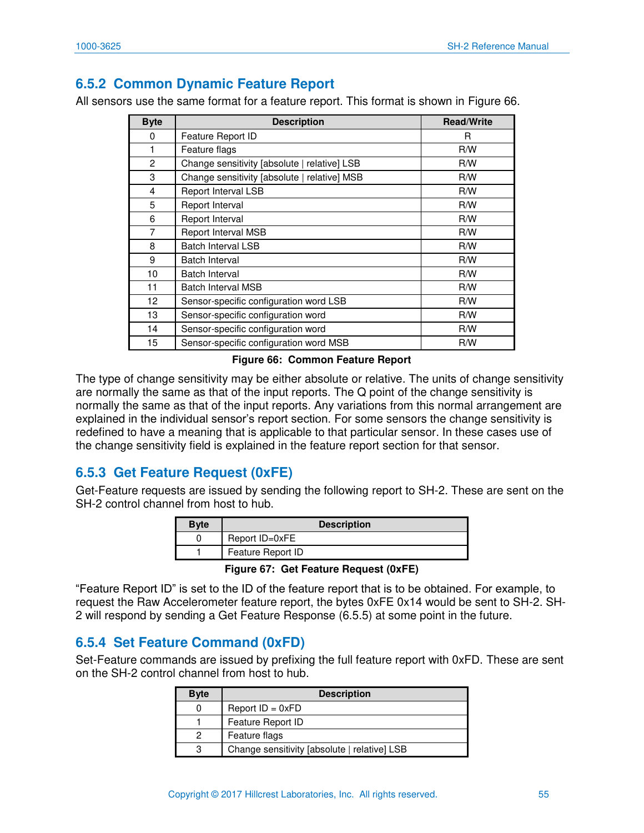## **6.5.2 Common Dynamic Feature Report**

All sensors use the same format for a feature report. This format is shown in [Figure 66.](#page-55-0)

| <b>Byte</b>    | <b>Description</b>                           | <b>Read/Write</b> |
|----------------|----------------------------------------------|-------------------|
| 0              | Feature Report ID                            | R                 |
|                | Feature flags                                | R/W               |
| 2              | Change sensitivity [absolute   relative] LSB | R/W               |
| 3              | Change sensitivity [absolute   relative] MSB | R/W               |
| $\overline{4}$ | Report Interval LSB                          | R/W               |
| 5              | Report Interval                              | R/W               |
| 6              | Report Interval                              | R/W               |
| 7              | Report Interval MSB                          | R/W               |
| 8              | <b>Batch Interval LSB</b>                    | R/W               |
| 9              | Batch Interval                               | R/W               |
| 10             | Batch Interval                               | R/W               |
| 11             | <b>Batch Interval MSB</b>                    | R/W               |
| 12             | Sensor-specific configuration word LSB       | R/W               |
| 13             | Sensor-specific configuration word           | R/W               |
| 14             | Sensor-specific configuration word           | R/W               |
| 15             | Sensor-specific configuration word MSB       | R/W               |

#### **Figure 66: Common Feature Report**

<span id="page-55-0"></span>The type of change sensitivity may be either absolute or relative. The units of change sensitivity are normally the same as that of the input reports. The Q point of the change sensitivity is normally the same as that of the input reports. Any variations from this normal arrangement are explained in the individual sensor's report section. For some sensors the change sensitivity is redefined to have a meaning that is applicable to that particular sensor. In these cases use of the change sensitivity field is explained in the feature report section for that sensor.

## <span id="page-55-1"></span>**6.5.3 Get Feature Request (0xFE)**

Get-Feature requests are issued by sending the following report to SH-2. These are sent on the SH-2 control channel from host to hub.

| Bvte | <b>Description</b> |  |
|------|--------------------|--|
|      | Report ID=0xFE     |  |
|      | Feature Report ID  |  |

**Figure 67: Get Feature Request (0xFE)** 

"Feature Report ID" is set to the ID of the feature report that is to be obtained. For example, to request the Raw Accelerometer feature report, the bytes 0xFE 0x14 would be sent to SH-2. SH-2 will respond by sending a Get Feature Response [\(6.5.5\)](#page-56-0) at some point in the future.

### **6.5.4 Set Feature Command (0xFD)**

Set-Feature commands are issued by prefixing the full feature report with 0xFD. These are sent on the SH-2 control channel from host to hub.

| <b>Byte</b> | <b>Description</b>                           |
|-------------|----------------------------------------------|
| 0           | Report $ID = 0xFD$                           |
|             | Feature Report ID                            |
| 2           | Feature flags                                |
| 3           | Change sensitivity [absolute   relative] LSB |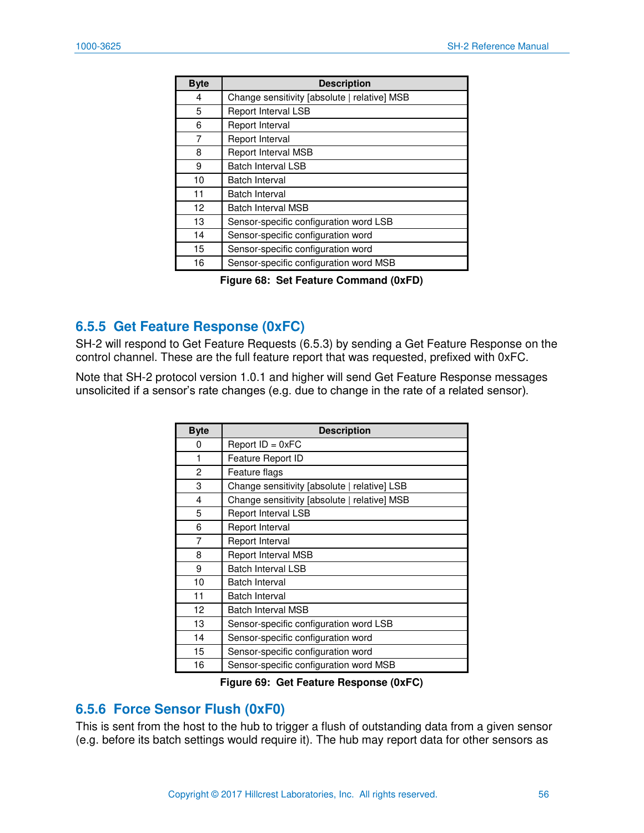| <b>Byte</b> | <b>Description</b>                           |
|-------------|----------------------------------------------|
| 4           | Change sensitivity [absolute   relative] MSB |
| 5           | Report Interval LSB                          |
| 6           | Report Interval                              |
| 7           | Report Interval                              |
| 8           | Report Interval MSB                          |
| 9           | <b>Batch Interval LSB</b>                    |
| 10          | Batch Interval                               |
| 11          | <b>Batch Interval</b>                        |
| 12          | <b>Batch Interval MSB</b>                    |
| 13          | Sensor-specific configuration word LSB       |
| 14          | Sensor-specific configuration word           |
| 15          | Sensor-specific configuration word           |
| 16          | Sensor-specific configuration word MSB       |

**Figure 68: Set Feature Command (0xFD)** 

## <span id="page-56-0"></span>**6.5.5 Get Feature Response (0xFC)**

SH-2 will respond to Get Feature Requests [\(6.5.3\)](#page-55-1) by sending a Get Feature Response on the control channel. These are the full feature report that was requested, prefixed with 0xFC.

Note that SH-2 protocol version 1.0.1 and higher will send Get Feature Response messages unsolicited if a sensor's rate changes (e.g. due to change in the rate of a related sensor).

| <b>Byte</b> | <b>Description</b>                           |
|-------------|----------------------------------------------|
| 0           | Report $ID = 0xFC$                           |
| 1           | Feature Report ID                            |
| 2           | Feature flags                                |
| 3           | Change sensitivity [absolute   relative] LSB |
| 4           | Change sensitivity [absolute   relative] MSB |
| 5           | Report Interval LSB                          |
| 6           | Report Interval                              |
| 7           | Report Interval                              |
| 8           | <b>Report Interval MSB</b>                   |
| 9           | <b>Batch Interval LSB</b>                    |
| 10          | <b>Batch Interval</b>                        |
| 11          | Batch Interval                               |
| 12          | <b>Batch Interval MSB</b>                    |
| 13          | Sensor-specific configuration word LSB       |
| 14          | Sensor-specific configuration word           |
| 15          | Sensor-specific configuration word           |
| 16          | Sensor-specific configuration word MSB       |

**Figure 69: Get Feature Response (0xFC)** 

### **6.5.6 Force Sensor Flush (0xF0)**

This is sent from the host to the hub to trigger a flush of outstanding data from a given sensor (e.g. before its batch settings would require it). The hub may report data for other sensors as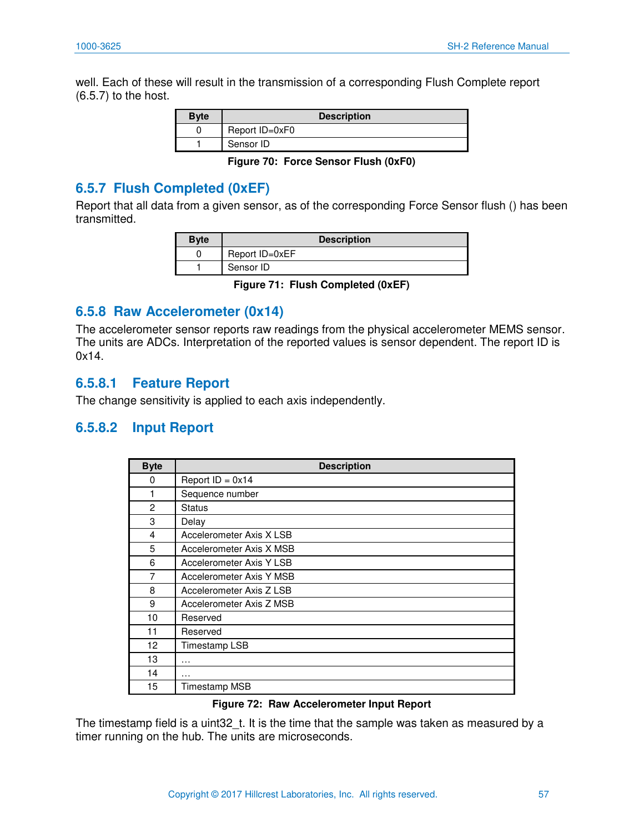well. Each of these will result in the transmission of a corresponding Flush Complete report [\(6.5.7\)](#page-57-0) to the host.

| <b>Byte</b> | <b>Description</b> |  |
|-------------|--------------------|--|
|             | Report ID=0xF0     |  |
|             | Sensor ID          |  |

**Figure 70: Force Sensor Flush (0xF0)** 

## <span id="page-57-0"></span>**6.5.7 Flush Completed (0xEF)**

Report that all data from a given sensor, as of the corresponding Force Sensor flush () has been transmitted.

| <b>Byte</b> | <b>Description</b> |
|-------------|--------------------|
|             | Report ID=0xEF     |
|             | Sensor ID          |

**Figure 71: Flush Completed (0xEF)** 

### **6.5.8 Raw Accelerometer (0x14)**

The accelerometer sensor reports raw readings from the physical accelerometer MEMS sensor. The units are ADCs. Interpretation of the reported values is sensor dependent. The report ID is 0x14.

### **6.5.8.1 Feature Report**

The change sensitivity is applied to each axis independently.

### **6.5.8.2 Input Report**

| <b>Byte</b>    | <b>Description</b>       |
|----------------|--------------------------|
| 0              | Report $ID = 0x14$       |
|                | Sequence number          |
| $\overline{2}$ | <b>Status</b>            |
| 3              | Delay                    |
| 4              | Accelerometer Axis X LSB |
| 5              | Accelerometer Axis X MSB |
| 6              | Accelerometer Axis Y LSB |
| 7              | Accelerometer Axis Y MSB |
| 8              | Accelerometer Axis Z LSB |
| 9              | Accelerometer Axis Z MSB |
| 10             | Reserved                 |
| 11             | Reserved                 |
| 12             | Timestamp LSB            |
| 13             | $\cdots$                 |
| 14             | $\cdots$                 |
| 15             | Timestamp MSB            |

#### **Figure 72: Raw Accelerometer Input Report**

The timestamp field is a uint32\_t. It is the time that the sample was taken as measured by a timer running on the hub. The units are microseconds.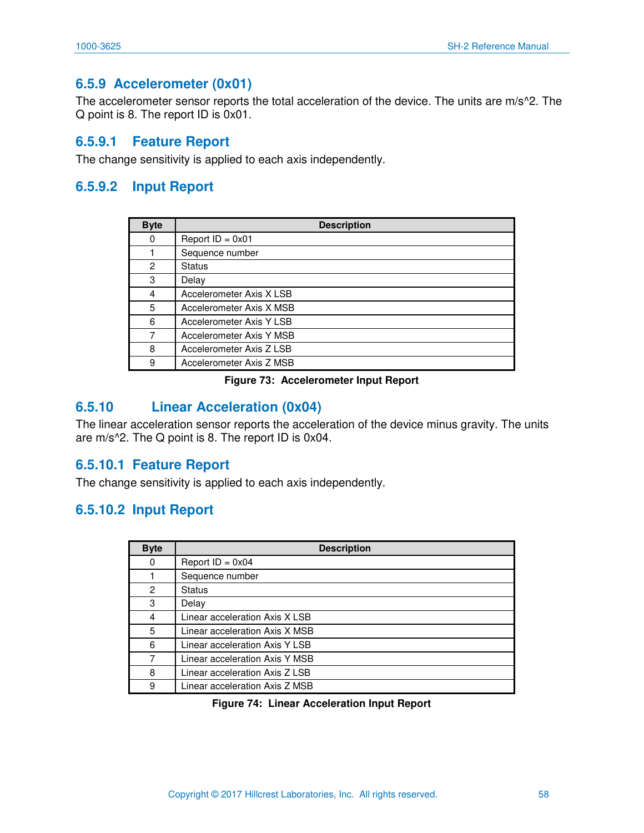## **6.5.9 Accelerometer (0x01)**

The accelerometer sensor reports the total acceleration of the device. The units are m/s^2. The Q point is 8. The report ID is 0x01.

### **6.5.9.1 Feature Report**

The change sensitivity is applied to each axis independently.

### **6.5.9.2 Input Report**

| <b>Byte</b> | <b>Description</b>       |
|-------------|--------------------------|
| 0           | Report $ID = 0x01$       |
|             | Sequence number          |
| 2           | <b>Status</b>            |
| 3           | Delay                    |
| 4           | Accelerometer Axis X LSB |
| 5           | Accelerometer Axis X MSB |
| 6           | Accelerometer Axis Y LSB |
|             | Accelerometer Axis Y MSB |
| 8           | Accelerometer Axis Z LSB |
| 9           | Accelerometer Axis Z MSB |

#### **Figure 73: Accelerometer Input Report**

## **6.5.10 Linear Acceleration (0x04)**

The linear acceleration sensor reports the acceleration of the device minus gravity. The units are m/s^2. The Q point is 8. The report ID is 0x04.

### **6.5.10.1 Feature Report**

The change sensitivity is applied to each axis independently.

### **6.5.10.2 Input Report**

| <b>Byte</b> | <b>Description</b>             |
|-------------|--------------------------------|
| 0           | Report $ID = 0x04$             |
|             | Sequence number                |
| 2           | <b>Status</b>                  |
| 3           | Delay                          |
| 4           | Linear acceleration Axis X LSB |
| 5           | Linear acceleration Axis X MSB |
| 6           | Linear acceleration Axis Y LSB |
| 7           | Linear acceleration Axis Y MSB |
| 8           | Linear acceleration Axis Z LSB |
| 9           | Linear acceleration Axis Z MSB |

**Figure 74: Linear Acceleration Input Report**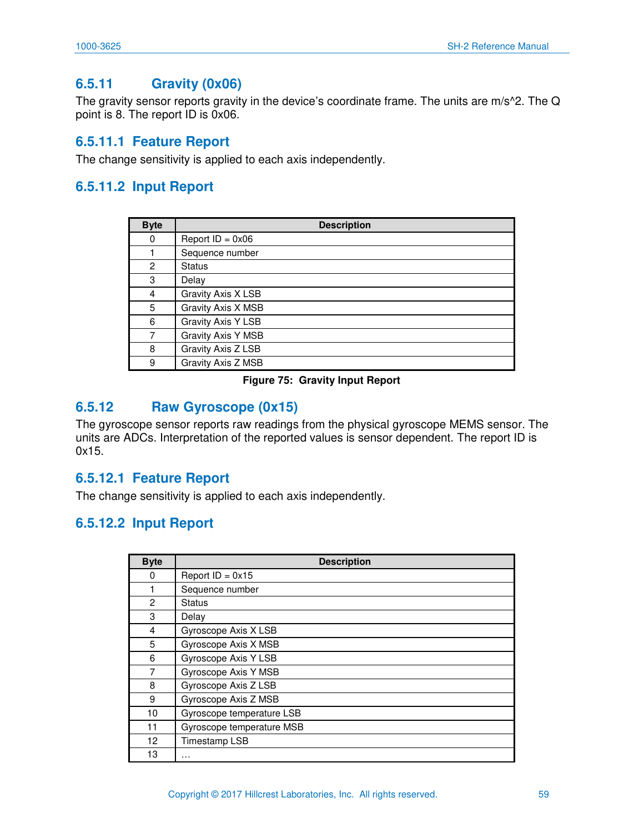## **6.5.11 Gravity (0x06)**

The gravity sensor reports gravity in the device's coordinate frame. The units are m/s^2. The Q point is 8. The report ID is 0x06.

### **6.5.11.1 Feature Report**

The change sensitivity is applied to each axis independently.

## **6.5.11.2 Input Report**

| <b>Byte</b> | <b>Description</b> |
|-------------|--------------------|
| 0           | Report $ID = 0x06$ |
|             | Sequence number    |
| 2           | <b>Status</b>      |
| 3           | Delay              |
| 4           | Gravity Axis X LSB |
| 5           | Gravity Axis X MSB |
| 6           | Gravity Axis Y LSB |
| 7           | Gravity Axis Y MSB |
| 8           | Gravity Axis Z LSB |
| 9           | Gravity Axis Z MSB |

#### **Figure 75: Gravity Input Report**

## **6.5.12 Raw Gyroscope (0x15)**

The gyroscope sensor reports raw readings from the physical gyroscope MEMS sensor. The units are ADCs. Interpretation of the reported values is sensor dependent. The report ID is 0x15.

### **6.5.12.1 Feature Report**

The change sensitivity is applied to each axis independently.

### **6.5.12.2 Input Report**

| <b>Byte</b> | <b>Description</b>        |
|-------------|---------------------------|
| 0           | Report $ID = 0x15$        |
|             | Sequence number           |
| 2           | Status                    |
| 3           | Delay                     |
| 4           | Gyroscope Axis X LSB      |
| 5           | Gyroscope Axis X MSB      |
| 6           | Gyroscope Axis Y LSB      |
| 7           | Gyroscope Axis Y MSB      |
| 8           | Gyroscope Axis Z LSB      |
| 9           | Gyroscope Axis Z MSB      |
| 10          | Gyroscope temperature LSB |
| 11          | Gyroscope temperature MSB |
| 12          | Timestamp LSB             |
| 13          | $\cdots$                  |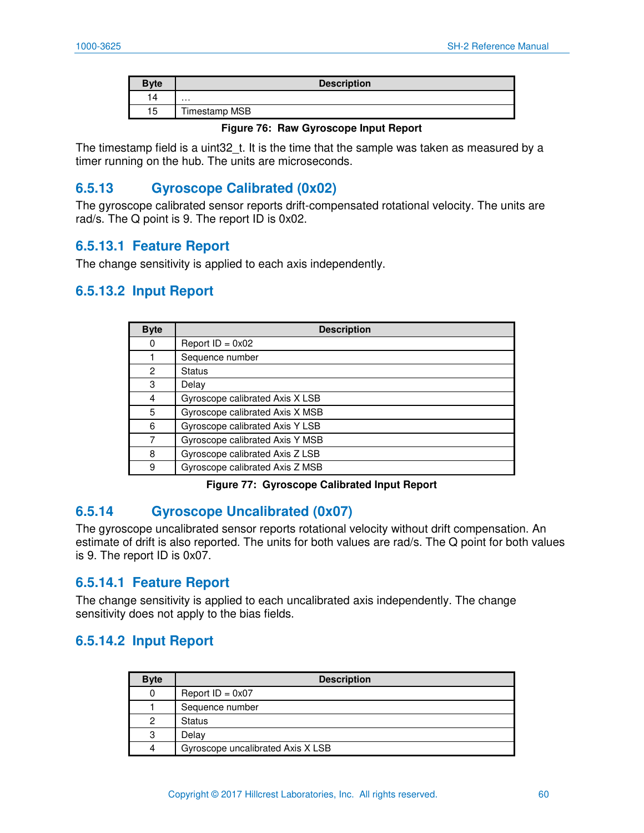| <b>Byte</b> | <b>Description</b> |
|-------------|--------------------|
| 14          | $\cdots$           |
| 15          | Timestamp MSB      |

#### **Figure 76: Raw Gyroscope Input Report**

The timestamp field is a uint 32 t. It is the time that the sample was taken as measured by a timer running on the hub. The units are microseconds.

## **6.5.13 Gyroscope Calibrated (0x02)**

The gyroscope calibrated sensor reports drift-compensated rotational velocity. The units are rad/s. The Q point is 9. The report ID is 0x02.

### **6.5.13.1 Feature Report**

The change sensitivity is applied to each axis independently.

## **6.5.13.2 Input Report**

| <b>Byte</b> | <b>Description</b>              |
|-------------|---------------------------------|
| 0           | Report $ID = 0x02$              |
|             | Sequence number                 |
| 2           | <b>Status</b>                   |
| 3           | Delay                           |
| 4           | Gyroscope calibrated Axis X LSB |
| 5           | Gyroscope calibrated Axis X MSB |
| 6           | Gyroscope calibrated Axis Y LSB |
| 7           | Gyroscope calibrated Axis Y MSB |
| 8           | Gyroscope calibrated Axis Z LSB |
| 9           | Gyroscope calibrated Axis Z MSB |

**Figure 77: Gyroscope Calibrated Input Report** 

### **6.5.14 Gyroscope Uncalibrated (0x07)**

The gyroscope uncalibrated sensor reports rotational velocity without drift compensation. An estimate of drift is also reported. The units for both values are rad/s. The Q point for both values is 9. The report ID is 0x07.

### **6.5.14.1 Feature Report**

The change sensitivity is applied to each uncalibrated axis independently. The change sensitivity does not apply to the bias fields.

### **6.5.14.2 Input Report**

| <b>Byte</b> | <b>Description</b>                |
|-------------|-----------------------------------|
|             | Report $ID = 0x07$                |
|             | Sequence number                   |
| 2           | <b>Status</b>                     |
| 3           | Delay                             |
| Δ           | Gyroscope uncalibrated Axis X LSB |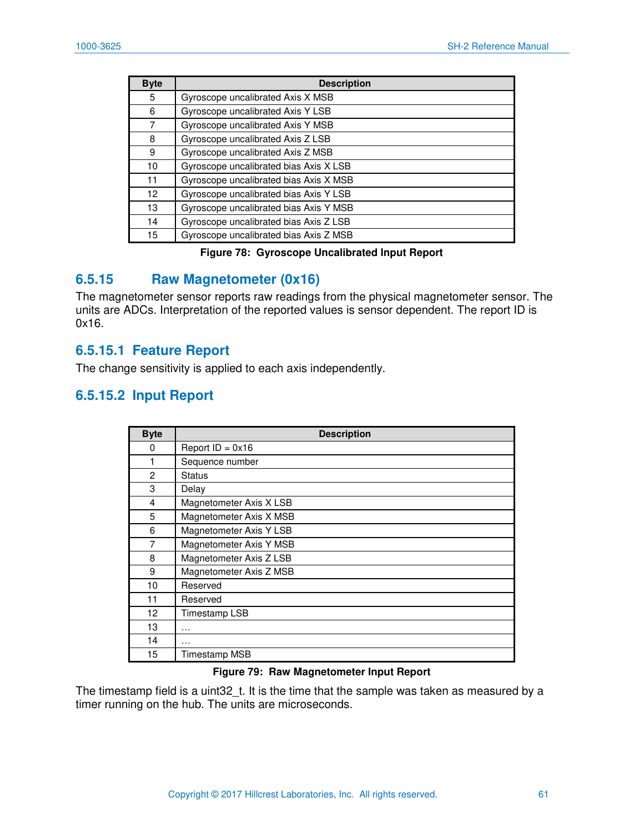| <b>Byte</b> | <b>Description</b>                     |
|-------------|----------------------------------------|
| 5           | Gyroscope uncalibrated Axis X MSB      |
| 6           | Gyroscope uncalibrated Axis Y LSB      |
| 7           | Gyroscope uncalibrated Axis Y MSB      |
| 8           | Gyroscope uncalibrated Axis Z LSB      |
| 9           | Gyroscope uncalibrated Axis Z MSB      |
| 10          | Gyroscope uncalibrated bias Axis X LSB |
| 11          | Gyroscope uncalibrated bias Axis X MSB |
| 12          | Gyroscope uncalibrated bias Axis Y LSB |
| 13          | Gyroscope uncalibrated bias Axis Y MSB |
| 14          | Gyroscope uncalibrated bias Axis Z LSB |
| 15          | Gyroscope uncalibrated bias Axis Z MSB |

#### **Figure 78: Gyroscope Uncalibrated Input Report**

### **6.5.15 Raw Magnetometer (0x16)**

The magnetometer sensor reports raw readings from the physical magnetometer sensor. The units are ADCs. Interpretation of the reported values is sensor dependent. The report ID is 0x16.

### **6.5.15.1 Feature Report**

The change sensitivity is applied to each axis independently.

### **6.5.15.2 Input Report**

| <b>Byte</b> | <b>Description</b>      |
|-------------|-------------------------|
| $\Omega$    | Report $ID = 0x16$      |
|             | Sequence number         |
| 2           | <b>Status</b>           |
| 3           | Delay                   |
| 4           | Magnetometer Axis X LSB |
| 5           | Magnetometer Axis X MSB |
| 6           | Magnetometer Axis Y LSB |
| 7           | Magnetometer Axis Y MSB |
| 8           | Magnetometer Axis Z LSB |
| 9           | Magnetometer Axis Z MSB |
| 10          | Reserved                |
| 11          | Reserved                |
| 12          | Timestamp LSB           |
| 13          | .                       |
| 14          | .                       |
| 15          | Timestamp MSB           |

#### **Figure 79: Raw Magnetometer Input Report**

The timestamp field is a uint32\_t. It is the time that the sample was taken as measured by a timer running on the hub. The units are microseconds.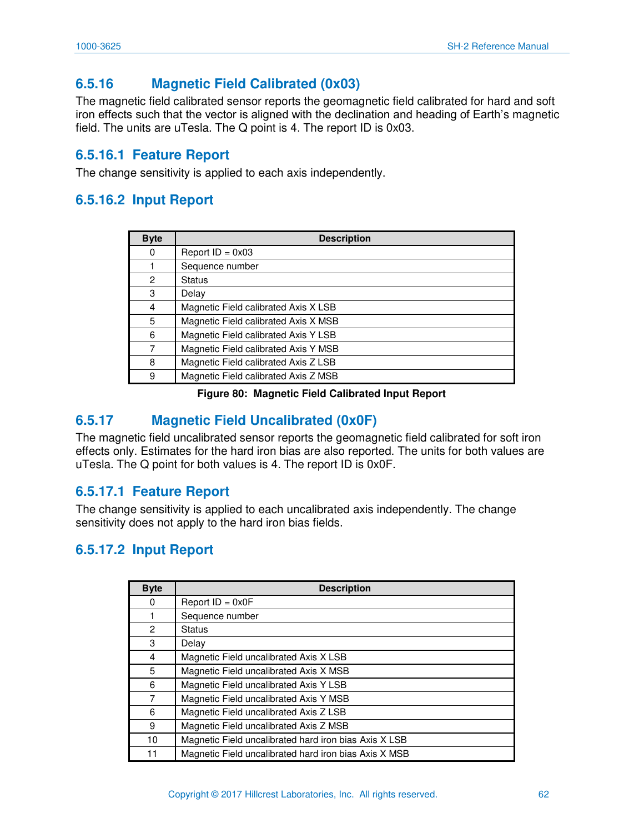## **6.5.16 Magnetic Field Calibrated (0x03)**

The magnetic field calibrated sensor reports the geomagnetic field calibrated for hard and soft iron effects such that the vector is aligned with the declination and heading of Earth's magnetic field. The units are uTesla. The Q point is 4. The report ID is 0x03.

## **6.5.16.1 Feature Report**

The change sensitivity is applied to each axis independently.

## **6.5.16.2 Input Report**

| <b>Byte</b>    | <b>Description</b>                   |
|----------------|--------------------------------------|
| 0              | Report $ID = 0x03$                   |
|                | Sequence number                      |
| $\overline{c}$ | <b>Status</b>                        |
| 3              | Delay                                |
| 4              | Magnetic Field calibrated Axis X LSB |
| 5              | Magnetic Field calibrated Axis X MSB |
| 6              | Magnetic Field calibrated Axis Y LSB |
| 7              | Magnetic Field calibrated Axis Y MSB |
| 8              | Magnetic Field calibrated Axis Z LSB |
| 9              | Magnetic Field calibrated Axis Z MSB |

#### **Figure 80: Magnetic Field Calibrated Input Report**

## **6.5.17 Magnetic Field Uncalibrated (0x0F)**

The magnetic field uncalibrated sensor reports the geomagnetic field calibrated for soft iron effects only. Estimates for the hard iron bias are also reported. The units for both values are uTesla. The Q point for both values is 4. The report ID is 0x0F.

### **6.5.17.1 Feature Report**

The change sensitivity is applied to each uncalibrated axis independently. The change sensitivity does not apply to the hard iron bias fields.

## **6.5.17.2 Input Report**

| <b>Byte</b> | <b>Description</b>                                    |
|-------------|-------------------------------------------------------|
| 0           | Report $ID = 0x0F$                                    |
|             | Sequence number                                       |
| 2           | <b>Status</b>                                         |
| 3           | Delay                                                 |
| 4           | Magnetic Field uncalibrated Axis X LSB                |
| 5           | Magnetic Field uncalibrated Axis X MSB                |
| 6           | Magnetic Field uncalibrated Axis Y LSB                |
| 7           | Magnetic Field uncalibrated Axis Y MSB                |
| 6           | Magnetic Field uncalibrated Axis Z LSB                |
| 9           | Magnetic Field uncalibrated Axis Z MSB                |
| 10          | Magnetic Field uncalibrated hard iron bias Axis X LSB |
| 11          | Magnetic Field uncalibrated hard iron bias Axis X MSB |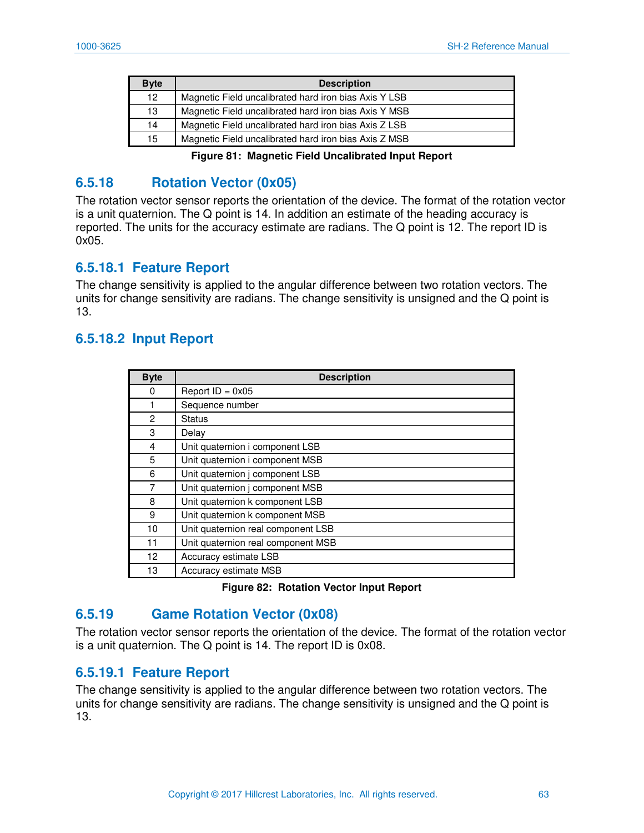| <b>Byte</b> | <b>Description</b>                                    |
|-------------|-------------------------------------------------------|
| 12          | Magnetic Field uncalibrated hard iron bias Axis Y LSB |
| 13          | Magnetic Field uncalibrated hard iron bias Axis Y MSB |
| 14          | Magnetic Field uncalibrated hard iron bias Axis Z LSB |
| 15          | Magnetic Field uncalibrated hard iron bias Axis Z MSB |

**Figure 81: Magnetic Field Uncalibrated Input Report** 

## **6.5.18 Rotation Vector (0x05)**

The rotation vector sensor reports the orientation of the device. The format of the rotation vector is a unit quaternion. The Q point is 14. In addition an estimate of the heading accuracy is reported. The units for the accuracy estimate are radians. The Q point is 12. The report ID is 0x05.

### **6.5.18.1 Feature Report**

The change sensitivity is applied to the angular difference between two rotation vectors. The units for change sensitivity are radians. The change sensitivity is unsigned and the Q point is 13.

### **6.5.18.2 Input Report**

| <b>Byte</b>     | <b>Description</b>                 |
|-----------------|------------------------------------|
| 0               | Report $ID = 0x05$                 |
|                 | Sequence number                    |
| 2               | <b>Status</b>                      |
| 3               | Delay                              |
| 4               | Unit quaternion i component LSB    |
| 5               | Unit quaternion i component MSB    |
| 6               | Unit quaternion j component LSB    |
| 7               | Unit quaternion j component MSB    |
| 8               | Unit quaternion k component LSB    |
| 9               | Unit quaternion k component MSB    |
| 10              | Unit quaternion real component LSB |
| 11              | Unit quaternion real component MSB |
| 12 <sup>2</sup> | Accuracy estimate LSB              |
| 13              | Accuracy estimate MSB              |

#### **Figure 82: Rotation Vector Input Report**

### **6.5.19 Game Rotation Vector (0x08)**

The rotation vector sensor reports the orientation of the device. The format of the rotation vector is a unit quaternion. The Q point is 14. The report ID is 0x08.

### **6.5.19.1 Feature Report**

The change sensitivity is applied to the angular difference between two rotation vectors. The units for change sensitivity are radians. The change sensitivity is unsigned and the Q point is 13.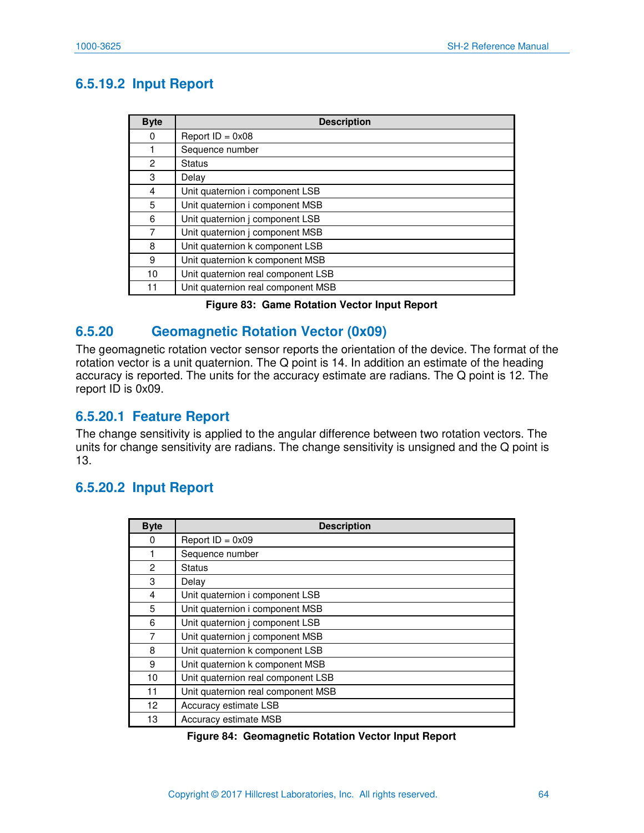## **6.5.19.2 Input Report**

| <b>Byte</b> | <b>Description</b>                 |
|-------------|------------------------------------|
| 0           | Report $ID = 0x08$                 |
|             | Sequence number                    |
| 2           | <b>Status</b>                      |
| 3           | Delay                              |
| 4           | Unit quaternion i component LSB    |
| 5           | Unit quaternion i component MSB    |
| 6           | Unit quaternion j component LSB    |
| 7           | Unit quaternion j component MSB    |
| 8           | Unit quaternion k component LSB    |
| 9           | Unit quaternion k component MSB    |
| 10          | Unit quaternion real component LSB |
| 11          | Unit quaternion real component MSB |

### **6.5.20 Geomagnetic Rotation Vector (0x09)**

The geomagnetic rotation vector sensor reports the orientation of the device. The format of the rotation vector is a unit quaternion. The Q point is 14. In addition an estimate of the heading accuracy is reported. The units for the accuracy estimate are radians. The Q point is 12. The report ID is 0x09.

### **6.5.20.1 Feature Report**

The change sensitivity is applied to the angular difference between two rotation vectors. The units for change sensitivity are radians. The change sensitivity is unsigned and the Q point is 13.

## **6.5.20.2 Input Report**

| <b>Byte</b> | <b>Description</b>                 |
|-------------|------------------------------------|
| 0           | Report $ID = 0x09$                 |
|             | Sequence number                    |
| 2           | Status                             |
| 3           | Delay                              |
| 4           | Unit quaternion i component LSB    |
| 5           | Unit quaternion i component MSB    |
| 6           | Unit quaternion j component LSB    |
| 7           | Unit quaternion j component MSB    |
| 8           | Unit quaternion k component LSB    |
| 9           | Unit quaternion k component MSB    |
| 10          | Unit quaternion real component LSB |
| 11          | Unit quaternion real component MSB |
| 12          | Accuracy estimate LSB              |
| 13          | Accuracy estimate MSB              |

#### **Figure 84: Geomagnetic Rotation Vector Input Report**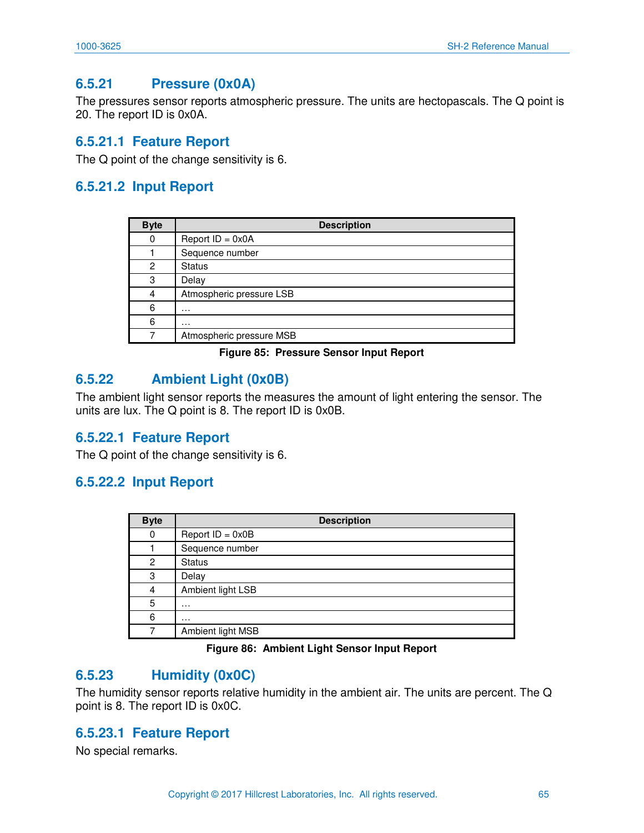## **6.5.21 Pressure (0x0A)**

The pressures sensor reports atmospheric pressure. The units are hectopascals. The Q point is 20. The report ID is 0x0A.

### **6.5.21.1 Feature Report**

The Q point of the change sensitivity is 6.

### **6.5.21.2 Input Report**

| <b>Byte</b> | <b>Description</b>       |
|-------------|--------------------------|
| 0           | Report $ID = 0x0A$       |
|             | Sequence number          |
| 2           | <b>Status</b>            |
| 3           | Delay                    |
| 4           | Atmospheric pressure LSB |
| 6           | .                        |
| 6           | .                        |
| 7           | Atmospheric pressure MSB |

#### **Figure 85: Pressure Sensor Input Report**

### **6.5.22 Ambient Light (0x0B)**

The ambient light sensor reports the measures the amount of light entering the sensor. The units are lux. The Q point is 8. The report ID is 0x0B.

### **6.5.22.1 Feature Report**

The Q point of the change sensitivity is 6.

### **6.5.22.2 Input Report**

| <b>Byte</b> | <b>Description</b> |
|-------------|--------------------|
| 0           | Report $ID = 0x0B$ |
|             | Sequence number    |
| 2           | <b>Status</b>      |
| 3           | Delay              |
| 4           | Ambient light LSB  |
| 5           | .                  |
| 6           | .                  |
|             | Ambient light MSB  |

#### **Figure 86: Ambient Light Sensor Input Report**

### **6.5.23 Humidity (0x0C)**

The humidity sensor reports relative humidity in the ambient air. The units are percent. The Q point is 8. The report ID is 0x0C.

### **6.5.23.1 Feature Report**

No special remarks.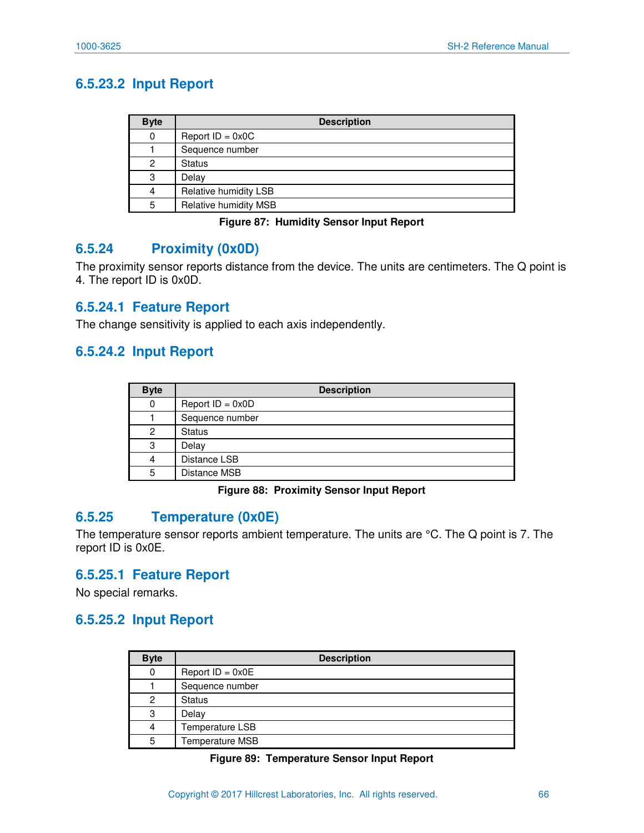## **6.5.23.2 Input Report**

| <b>Byte</b> | <b>Description</b>    |
|-------------|-----------------------|
| 0           | Report $ID = 0x0C$    |
|             | Sequence number       |
| 2           | <b>Status</b>         |
| 3           | Delay                 |
| 4           | Relative humidity LSB |
| 5           | Relative humidity MSB |

#### **Figure 87: Humidity Sensor Input Report**

### **6.5.24 Proximity (0x0D)**

The proximity sensor reports distance from the device. The units are centimeters. The Q point is 4. The report ID is 0x0D.

### **6.5.24.1 Feature Report**

The change sensitivity is applied to each axis independently.

### **6.5.24.2 Input Report**

| <b>Byte</b> | <b>Description</b> |
|-------------|--------------------|
| 0           | Report $ID = 0x0D$ |
|             | Sequence number    |
| 2           | <b>Status</b>      |
| 3           | Delay              |
| 4           | Distance LSB       |
| 5           | Distance MSB       |

#### **Figure 88: Proximity Sensor Input Report**

### **6.5.25 Temperature (0x0E)**

The temperature sensor reports ambient temperature. The units are °C. The Q point is 7. The report ID is 0x0E.

### **6.5.25.1 Feature Report**

No special remarks.

### **6.5.25.2 Input Report**

| <b>Byte</b> | <b>Description</b> |
|-------------|--------------------|
| 0           | Report $ID = 0x0E$ |
|             | Sequence number    |
| 2           | <b>Status</b>      |
| 3           | Delay              |
| 4           | Temperature LSB    |
| 5           | Temperature MSB    |

#### **Figure 89: Temperature Sensor Input Report**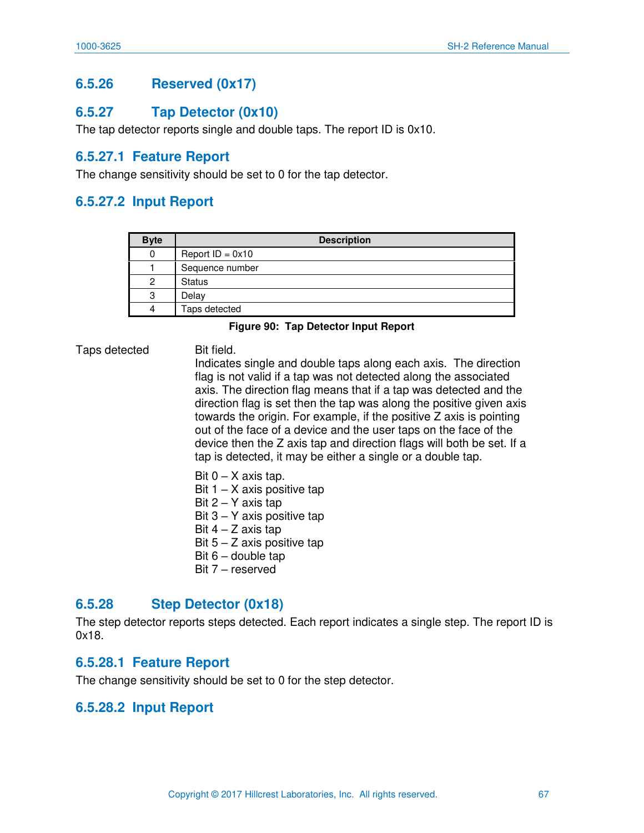## **6.5.26 Reserved (0x17)**

### **6.5.27 Tap Detector (0x10)**

The tap detector reports single and double taps. The report ID is 0x10.

### **6.5.27.1 Feature Report**

The change sensitivity should be set to 0 for the tap detector.

### **6.5.27.2 Input Report**

| <b>Byte</b> | <b>Description</b> |
|-------------|--------------------|
| 0           | Report $ID = 0x10$ |
|             | Sequence number    |
| 2           | <b>Status</b>      |
| 3           | Delay              |
| 4           | Taps detected      |

#### **Figure 90: Tap Detector Input Report**

Taps detected Bit field.

Indicates single and double taps along each axis. The direction flag is not valid if a tap was not detected along the associated axis. The direction flag means that if a tap was detected and the direction flag is set then the tap was along the positive given axis towards the origin. For example, if the positive Z axis is pointing out of the face of a device and the user taps on the face of the device then the Z axis tap and direction flags will both be set. If a tap is detected, it may be either a single or a double tap.

- Bit  $0 X$  axis tap. Bit  $1 - X$  axis positive tap Bit  $2 - Y$  axis tap Bit  $3 - Y$  axis positive tap Bit  $4 - Z$  axis tap Bit  $5 - Z$  axis positive tap Bit  $6$  – double tap
- Bit 7 reserved

### **6.5.28 Step Detector (0x18)**

The step detector reports steps detected. Each report indicates a single step. The report ID is 0x18.

### **6.5.28.1 Feature Report**

The change sensitivity should be set to 0 for the step detector.

### **6.5.28.2 Input Report**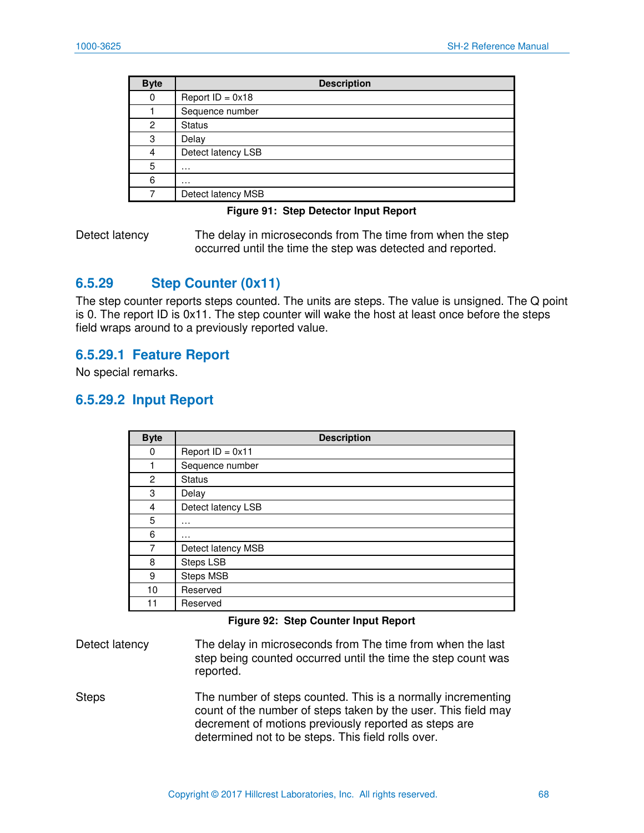| <b>Byte</b>    | <b>Description</b> |
|----------------|--------------------|
| 0              | Report $ID = 0x18$ |
|                | Sequence number    |
| $\overline{c}$ | <b>Status</b>      |
| 3              | Delay              |
| 4              | Detect latency LSB |
| 5              | $\cdot$            |
| 6              | .                  |
|                | Detect latency MSB |

#### **Figure 91: Step Detector Input Report**

Detect latency The delay in microseconds from The time from when the step occurred until the time the step was detected and reported.

### **6.5.29 Step Counter (0x11)**

The step counter reports steps counted. The units are steps. The value is unsigned. The Q point is 0. The report ID is 0x11. The step counter will wake the host at least once before the steps field wraps around to a previously reported value.

### **6.5.29.1 Feature Report**

No special remarks.

### **6.5.29.2 Input Report**

| <b>Byte</b> | <b>Description</b> |
|-------------|--------------------|
| 0           | Report $ID = 0x11$ |
| 1           | Sequence number    |
| 2           | <b>Status</b>      |
| 3           | Delay              |
| 4           | Detect latency LSB |
| 5           | $\cdots$           |
| 6           | $\cdots$           |
| 7           | Detect latency MSB |
| 8           | Steps LSB          |
| 9           | Steps MSB          |
| 10          | Reserved           |
| 11          | Reserved           |

#### **Figure 92: Step Counter Input Report**

Detect latency The delay in microseconds from The time from when the last step being counted occurred until the time the step count was reported.

Steps The number of steps counted. This is a normally incrementing count of the number of steps taken by the user. This field may decrement of motions previously reported as steps are determined not to be steps. This field rolls over.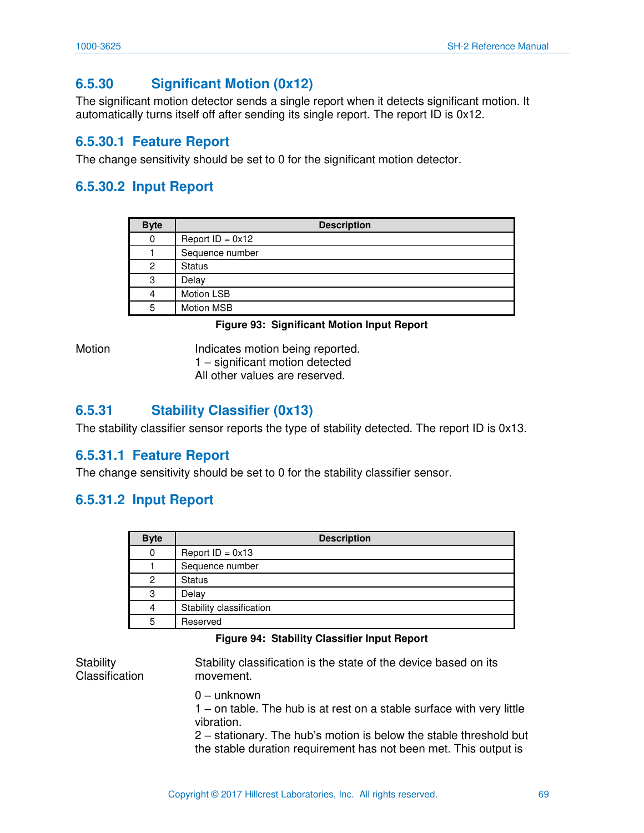## **6.5.30 Significant Motion (0x12)**

The significant motion detector sends a single report when it detects significant motion. It automatically turns itself off after sending its single report. The report ID is 0x12.

## **6.5.30.1 Feature Report**

The change sensitivity should be set to 0 for the significant motion detector.

## **6.5.30.2 Input Report**

| <b>Byte</b> | <b>Description</b> |
|-------------|--------------------|
| 0           | Report $ID = 0x12$ |
|             | Sequence number    |
| 2           | <b>Status</b>      |
| 3           | Delay              |
| 4           | Motion LSB         |
| 5           | Motion MSB         |

#### **Figure 93: Significant Motion Input Report**

Motion **Indicates motion being reported.** 1 – significant motion detected All other values are reserved.

## **6.5.31 Stability Classifier (0x13)**

The stability classifier sensor reports the type of stability detected. The report ID is 0x13.

### **6.5.31.1 Feature Report**

The change sensitivity should be set to 0 for the stability classifier sensor.

### **6.5.31.2 Input Report**

| <b>Byte</b> | <b>Description</b>       |
|-------------|--------------------------|
|             | Report $ID = 0x13$       |
|             | Sequence number          |
| 2           | <b>Status</b>            |
| 3           | Delay                    |
|             | Stability classification |
| 5           | Reserved                 |

#### **Figure 94: Stability Classifier Input Report**

**Stability** Classification Stability classification is the state of the device based on its movement. 0 – unknown 1 – on table. The hub is at rest on a stable surface with very little vibration. 2 – stationary. The hub's motion is below the stable threshold but the stable duration requirement has not been met. This output is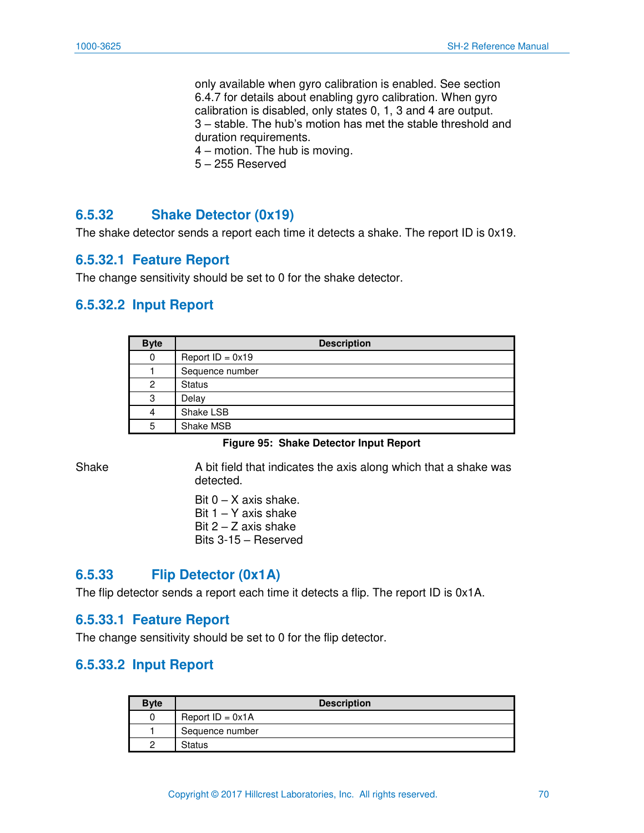only available when gyro calibration is enabled. See section 6.4.7 for details about enabling gyro calibration. When gyro calibration is disabled, only states 0, 1, 3 and 4 are output. 3 – stable. The hub's motion has met the stable threshold and duration requirements. 4 – motion. The hub is moving.

5 – 255 Reserved

### **6.5.32 Shake Detector (0x19)**

The shake detector sends a report each time it detects a shake. The report ID is 0x19.

### **6.5.32.1 Feature Report**

The change sensitivity should be set to 0 for the shake detector.

### **6.5.32.2 Input Report**

| <b>Byte</b> | <b>Description</b> |
|-------------|--------------------|
| 0           | Report $ID = 0x19$ |
|             | Sequence number    |
| 2           | <b>Status</b>      |
| 3           | Delay              |
| 4           | Shake LSB          |
| 5           | Shake MSB          |

#### **Figure 95: Shake Detector Input Report**

Shake A bit field that indicates the axis along which that a shake was detected.

> Bit  $0 - X$  axis shake. Bit  $1 - Y$  axis shake Bit  $2 - Z$  axis shake Bits 3-15 – Reserved

### **6.5.33 Flip Detector (0x1A)**

The flip detector sends a report each time it detects a flip. The report ID is 0x1A.

### **6.5.33.1 Feature Report**

The change sensitivity should be set to 0 for the flip detector.

### **6.5.33.2 Input Report**

| <b>Byte</b> | <b>Description</b> |
|-------------|--------------------|
|             | Report $ID = 0x1A$ |
|             | Sequence number    |
|             | Status             |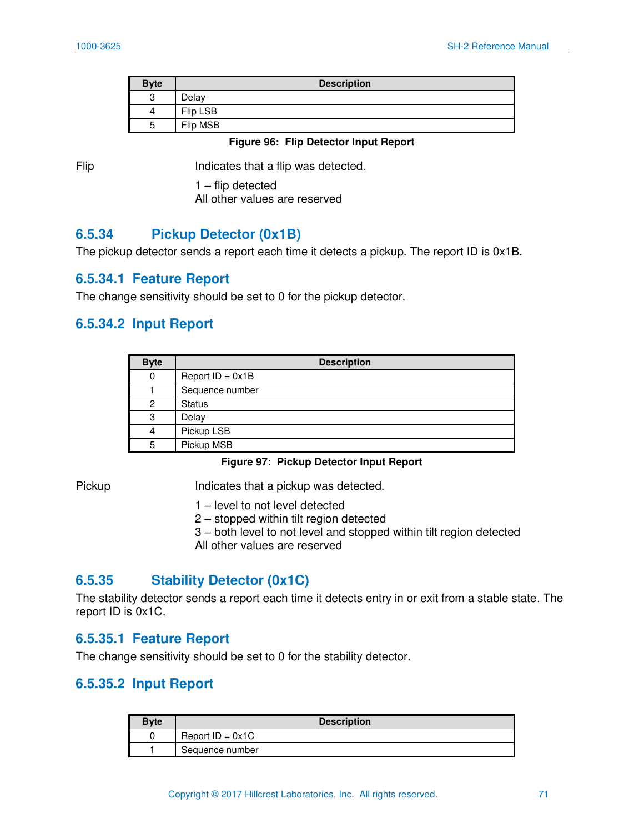| <b>Byte</b> | <b>Description</b> |
|-------------|--------------------|
| ≏<br>J      | Delay              |
| 4           | Flip LSB           |
| ∽<br>J      | Flip MSB           |

#### **Figure 96: Flip Detector Input Report**

Flip Indicates that a flip was detected.

1 – flip detected All other values are reserved

### **6.5.34 Pickup Detector (0x1B)**

The pickup detector sends a report each time it detects a pickup. The report ID is 0x1B.

### **6.5.34.1 Feature Report**

The change sensitivity should be set to 0 for the pickup detector.

### **6.5.34.2 Input Report**

| <b>Byte</b> | <b>Description</b> |
|-------------|--------------------|
| 0           | Report $ID = 0x1B$ |
|             | Sequence number    |
| 2           | <b>Status</b>      |
| 3           | Delay              |
| 4           | Pickup LSB         |
| 5           | Pickup MSB         |

**Figure 97: Pickup Detector Input Report** 

Pickup Indicates that a pickup was detected.

- 1 level to not level detected
- 2 stopped within tilt region detected
- 3 both level to not level and stopped within tilt region detected All other values are reserved

### **6.5.35 Stability Detector (0x1C)**

The stability detector sends a report each time it detects entry in or exit from a stable state. The report ID is 0x1C.

### **6.5.35.1 Feature Report**

The change sensitivity should be set to 0 for the stability detector.

### **6.5.35.2 Input Report**

| <b>Byte</b> | <b>Description</b> |
|-------------|--------------------|
|             | Report $ID = 0x1C$ |
|             | Sequence number    |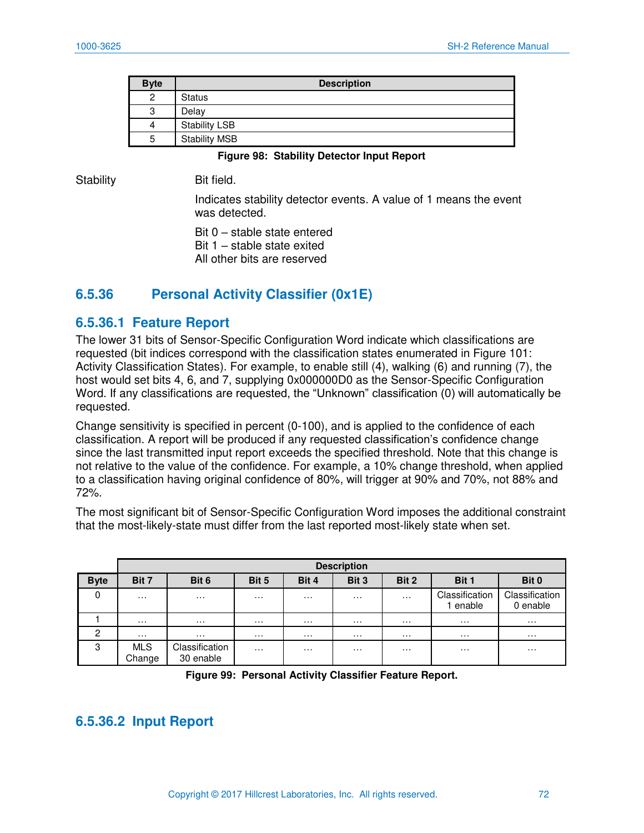| <b>Byte</b> | <b>Description</b>   |
|-------------|----------------------|
| 2           | <b>Status</b>        |
| 3           | Delay                |
| 4           | <b>Stability LSB</b> |
| 5           | <b>Stability MSB</b> |

#### **Figure 98: Stability Detector Input Report**

Stability **Bit field.** 

Indicates stability detector events. A value of 1 means the event was detected.

Bit 0 – stable state entered Bit 1 – stable state exited All other bits are reserved

# **6.5.36 Personal Activity Classifier (0x1E)**

#### **6.5.36.1 Feature Report**

The lower 31 bits of Sensor-Specific Configuration Word indicate which classifications are requested (bit indices correspond with the classification states enumerated in [Figure 101:](#page-74-0)  [Activity Classification States\)](#page-74-0). For example, to enable still (4), walking (6) and running (7), the host would set bits 4, 6, and 7, supplying 0x000000D0 as the Sensor-Specific Configuration Word. If any classifications are requested, the "Unknown" classification (0) will automatically be requested.

Change sensitivity is specified in percent (0-100), and is applied to the confidence of each classification. A report will be produced if any requested classification's confidence change since the last transmitted input report exceeds the specified threshold. Note that this change is not relative to the value of the confidence. For example, a 10% change threshold, when applied to a classification having original confidence of 80%, will trigger at 90% and 70%, not 88% and 72%.

The most significant bit of Sensor-Specific Configuration Word imposes the additional constraint that the most-likely-state must differ from the last reported most-likely state when set.

|             |                      | <b>Description</b>          |          |          |          |          |                            |                            |
|-------------|----------------------|-----------------------------|----------|----------|----------|----------|----------------------------|----------------------------|
| <b>Byte</b> | Bit 7                | Bit 6                       | Bit 5    | Bit 4    | Bit 3    | Bit 2    | Bit 1                      | Bit 0                      |
| 0           | .                    | $\cdots$                    | .        | $\cdots$ | .        | $\cdots$ | Classification<br>1 enable | Classification<br>0 enable |
|             | .                    | $\cdots$                    | .        | $\cdots$ | $\cdots$ | $\cdots$ | .                          | $\cdots$                   |
| 2           | .                    | $\cdots$                    | $\cdots$ | $\cdots$ | .        | $\cdots$ | .                          | $\cdots$                   |
| 3           | <b>MLS</b><br>Change | Classification<br>30 enable | $\cdots$ | $\cdots$ | .        | $\cdots$ | $\cdots$                   | $\cdots$                   |

**Figure 99: Personal Activity Classifier Feature Report.** 

### **6.5.36.2 Input Report**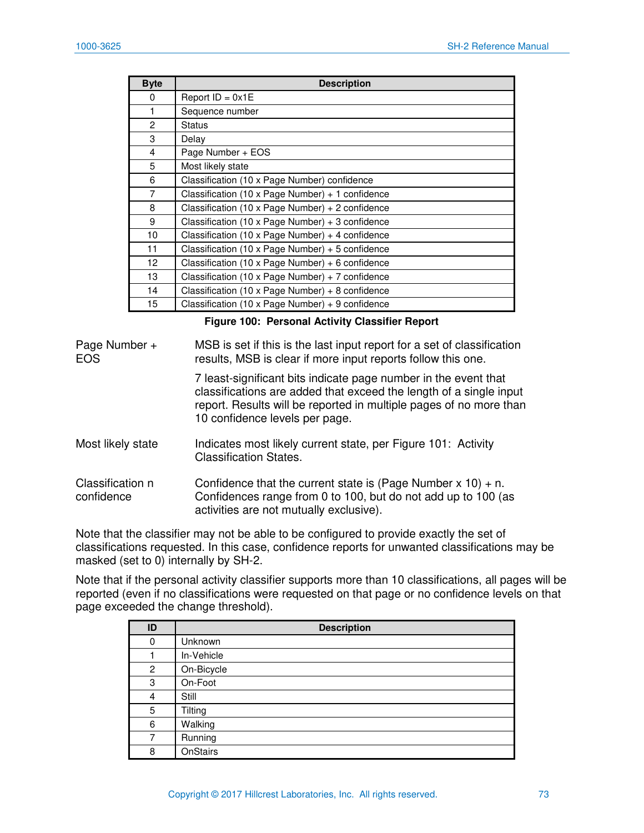| <b>Byte</b>     | <b>Description</b>                               |
|-----------------|--------------------------------------------------|
| $\Omega$        | Report $ID = 0x1E$                               |
| 1               | Sequence number                                  |
| $\overline{2}$  | <b>Status</b>                                    |
| 3               | Delay                                            |
| $\overline{4}$  | Page Number + EOS                                |
| 5               | Most likely state                                |
| 6               | Classification (10 x Page Number) confidence     |
| 7               | Classification (10 x Page Number) + 1 confidence |
| 8               | Classification (10 x Page Number) + 2 confidence |
| 9               | Classification (10 x Page Number) + 3 confidence |
| 10              | Classification (10 x Page Number) + 4 confidence |
| 11              | Classification (10 x Page Number) + 5 confidence |
| 12 <sup>2</sup> | Classification (10 x Page Number) + 6 confidence |
| 13              | Classification (10 x Page Number) + 7 confidence |
| 14              | Classification (10 x Page Number) + 8 confidence |
| 15              | Classification (10 x Page Number) + 9 confidence |

#### **Figure 100: Personal Activity Classifier Report**

| Page Number +<br><b>EOS</b>    | MSB is set if this is the last input report for a set of classification<br>results, MSB is clear if more input reports follow this one.                                                                                                       |
|--------------------------------|-----------------------------------------------------------------------------------------------------------------------------------------------------------------------------------------------------------------------------------------------|
|                                | 7 least-significant bits indicate page number in the event that<br>classifications are added that exceed the length of a single input<br>report. Results will be reported in multiple pages of no more than<br>10 confidence levels per page. |
| Most likely state              | Indicates most likely current state, per Figure 101: Activity<br><b>Classification States.</b>                                                                                                                                                |
| Classification n<br>confidence | Confidence that the current state is (Page Number $x 10$ ) + n.<br>Confidences range from 0 to 100, but do not add up to 100 (as<br>activities are not mutually exclusive).                                                                   |

Note that the classifier may not be able to be configured to provide exactly the set of classifications requested. In this case, confidence reports for unwanted classifications may be masked (set to 0) internally by SH-2.

Note that if the personal activity classifier supports more than 10 classifications, all pages will be reported (even if no classifications were requested on that page or no confidence levels on that page exceeded the change threshold).

| ID             | <b>Description</b> |
|----------------|--------------------|
| 0              | Unknown            |
|                | In-Vehicle         |
| $\overline{c}$ | On-Bicycle         |
| 3              | On-Foot            |
| 4              | Still              |
| 5              | Tilting            |
| 6              | Walking            |
| 7              | Running            |
| 8              | <b>OnStairs</b>    |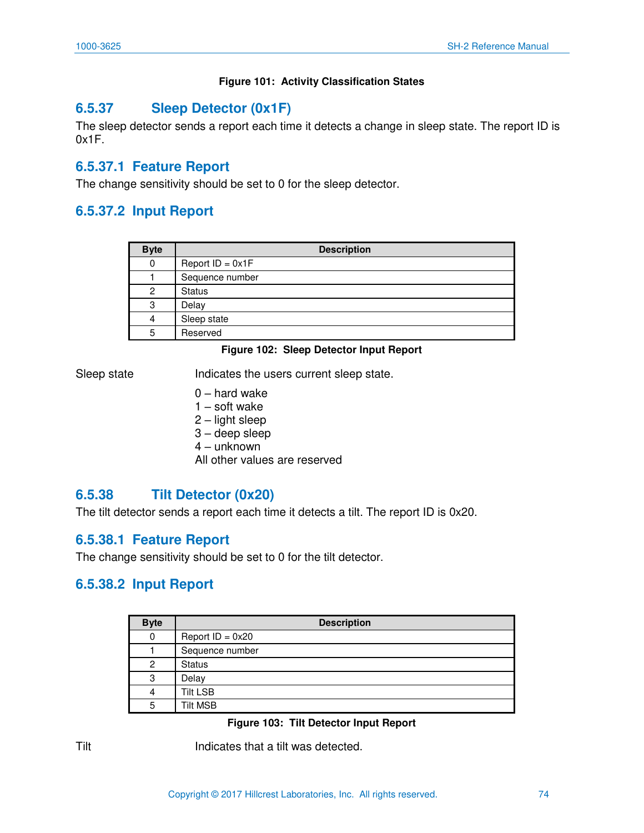#### **Figure 101: Activity Classification States**

# <span id="page-74-0"></span>**6.5.37 Sleep Detector (0x1F)**

The sleep detector sends a report each time it detects a change in sleep state. The report ID is 0x1F.

# **6.5.37.1 Feature Report**

The change sensitivity should be set to 0 for the sleep detector.

# **6.5.37.2 Input Report**

| <b>Byte</b> | <b>Description</b> |
|-------------|--------------------|
| 0           | Report $ID = 0x1F$ |
|             | Sequence number    |
| 2           | <b>Status</b>      |
| 3           | Delay              |
| 4           | Sleep state        |
| 5           | Reserved           |

#### **Figure 102: Sleep Detector Input Report**

Sleep state **Indicates the users current sleep state.** 

- 0 hard wake
- 1 soft wake
- 2 light sleep
- 3 deep sleep
- 4 unknown

All other values are reserved

# **6.5.38 Tilt Detector (0x20)**

The tilt detector sends a report each time it detects a tilt. The report ID is 0x20.

# **6.5.38.1 Feature Report**

The change sensitivity should be set to 0 for the tilt detector.

# **6.5.38.2 Input Report**

| <b>Byte</b> | <b>Description</b> |
|-------------|--------------------|
| 0           | Report $ID = 0x20$ |
|             | Sequence number    |
| 2           | <b>Status</b>      |
| 3           | Delay              |
| 4           | <b>Tilt LSB</b>    |
| 5           | <b>Tilt MSB</b>    |

#### **Figure 103: Tilt Detector Input Report**

Tilt **Indicates that a tilt was detected.**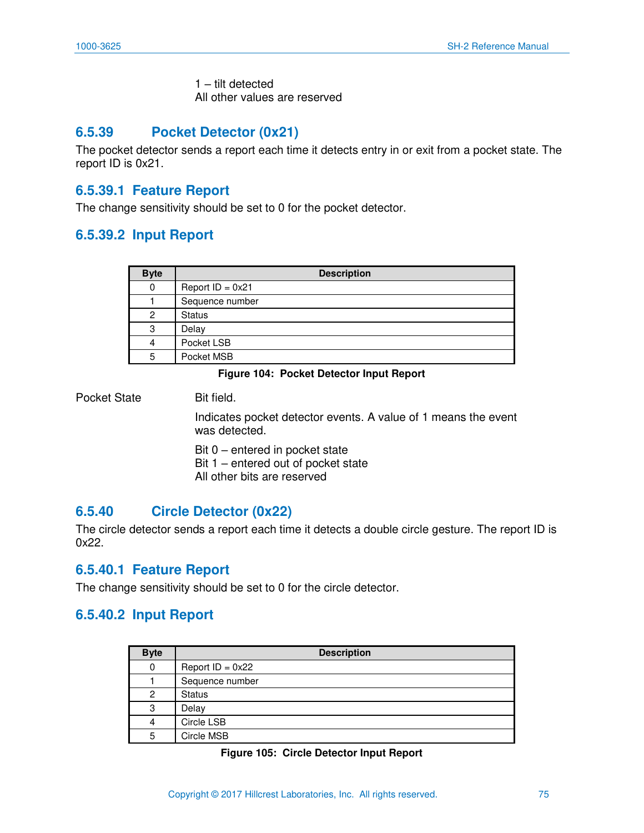1 – tilt detected All other values are reserved

# **6.5.39 Pocket Detector (0x21)**

The pocket detector sends a report each time it detects entry in or exit from a pocket state. The report ID is 0x21.

## **6.5.39.1 Feature Report**

The change sensitivity should be set to 0 for the pocket detector.

### **6.5.39.2 Input Report**

| <b>Byte</b> | <b>Description</b> |
|-------------|--------------------|
| 0           | Report $ID = 0x21$ |
|             | Sequence number    |
| 2           | <b>Status</b>      |
| 3           | Delay              |
| 4           | Pocket LSB         |
| 5           | Pocket MSB         |

#### **Figure 104: Pocket Detector Input Report**

Pocket State Bit field.

Indicates pocket detector events. A value of 1 means the event was detected.

Bit 0 – entered in pocket state Bit 1 – entered out of pocket state All other bits are reserved

# **6.5.40 Circle Detector (0x22)**

The circle detector sends a report each time it detects a double circle gesture. The report ID is 0x22.

### **6.5.40.1 Feature Report**

The change sensitivity should be set to 0 for the circle detector.

# **6.5.40.2 Input Report**

| <b>Byte</b> | <b>Description</b> |
|-------------|--------------------|
| 0           | Report $ID = 0x22$ |
|             | Sequence number    |
| 2           | <b>Status</b>      |
| 3           | Delay              |
| 4           | Circle LSB         |
| 5           | Circle MSB         |

#### **Figure 105: Circle Detector Input Report**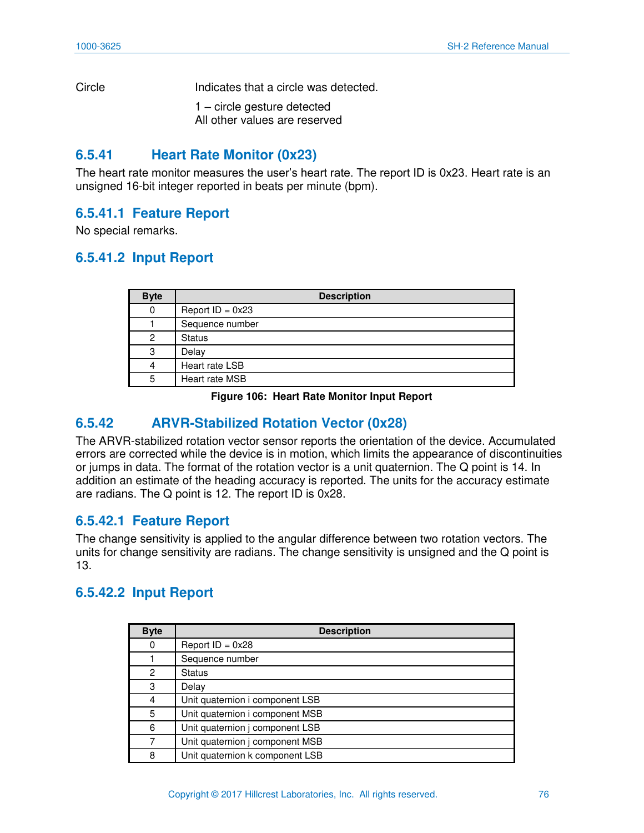Circle Indicates that a circle was detected.

1 – circle gesture detected All other values are reserved

# **6.5.41 Heart Rate Monitor (0x23)**

The heart rate monitor measures the user's heart rate. The report ID is 0x23. Heart rate is an unsigned 16-bit integer reported in beats per minute (bpm).

# **6.5.41.1 Feature Report**

No special remarks.

# **6.5.41.2 Input Report**

| <b>Byte</b> | <b>Description</b> |
|-------------|--------------------|
| 0           | Report $ID = 0x23$ |
|             | Sequence number    |
| 2           | <b>Status</b>      |
| 3           | Delay              |
| 4           | Heart rate LSB     |
| 5           | Heart rate MSB     |

#### **Figure 106: Heart Rate Monitor Input Report**

# **6.5.42 ARVR-Stabilized Rotation Vector (0x28)**

The ARVR-stabilized rotation vector sensor reports the orientation of the device. Accumulated errors are corrected while the device is in motion, which limits the appearance of discontinuities or jumps in data. The format of the rotation vector is a unit quaternion. The Q point is 14. In addition an estimate of the heading accuracy is reported. The units for the accuracy estimate are radians. The Q point is 12. The report ID is 0x28.

# **6.5.42.1 Feature Report**

The change sensitivity is applied to the angular difference between two rotation vectors. The units for change sensitivity are radians. The change sensitivity is unsigned and the Q point is 13.

# **6.5.42.2 Input Report**

| <b>Byte</b> | <b>Description</b>              |
|-------------|---------------------------------|
| 0           | Report $ID = 0x28$              |
|             | Sequence number                 |
| 2           | <b>Status</b>                   |
| 3           | Delay                           |
| 4           | Unit quaternion i component LSB |
| 5           | Unit quaternion i component MSB |
| 6           | Unit quaternion j component LSB |
| 7           | Unit quaternion j component MSB |
| 8           | Unit quaternion k component LSB |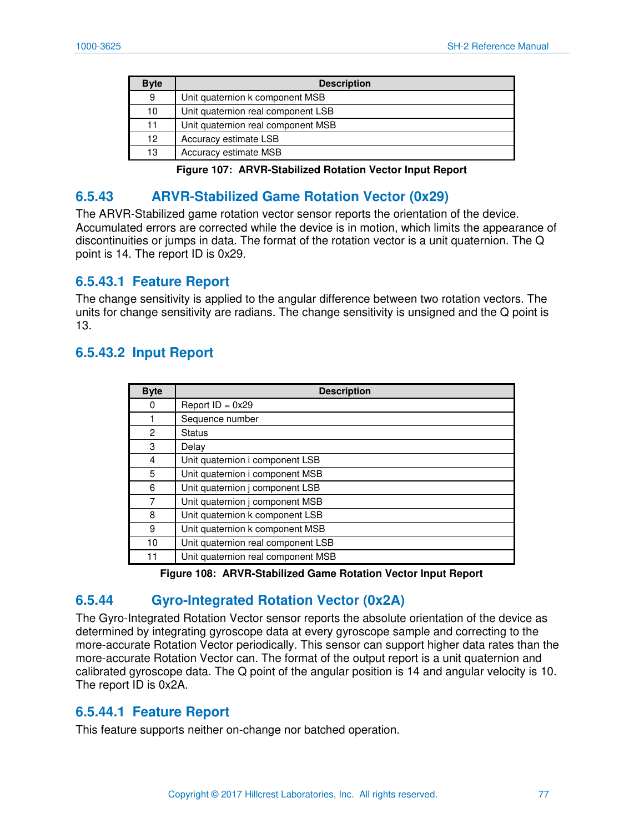| <b>Byte</b> | <b>Description</b>                 |
|-------------|------------------------------------|
| 9           | Unit quaternion k component MSB    |
| 10          | Unit quaternion real component LSB |
| 11          | Unit quaternion real component MSB |
| 12          | Accuracy estimate LSB              |
| 13          | Accuracy estimate MSB              |

**Figure 107: ARVR-Stabilized Rotation Vector Input Report** 

# **6.5.43 ARVR-Stabilized Game Rotation Vector (0x29)**

The ARVR-Stabilized game rotation vector sensor reports the orientation of the device. Accumulated errors are corrected while the device is in motion, which limits the appearance of discontinuities or jumps in data. The format of the rotation vector is a unit quaternion. The Q point is 14. The report ID is 0x29.

### **6.5.43.1 Feature Report**

The change sensitivity is applied to the angular difference between two rotation vectors. The units for change sensitivity are radians. The change sensitivity is unsigned and the Q point is 13.

# **6.5.43.2 Input Report**

| <b>Byte</b> | <b>Description</b>                 |
|-------------|------------------------------------|
| 0           | Report $ID = 0x29$                 |
|             | Sequence number                    |
| 2           | <b>Status</b>                      |
| 3           | Delay                              |
| 4           | Unit quaternion i component LSB    |
| 5           | Unit quaternion i component MSB    |
| 6           | Unit quaternion j component LSB    |
| 7           | Unit quaternion j component MSB    |
| 8           | Unit quaternion k component LSB    |
| 9           | Unit quaternion k component MSB    |
| 10          | Unit quaternion real component LSB |
| 11          | Unit quaternion real component MSB |

|  | Figure 108: ARVR-Stabilized Game Rotation Vector Input Report |  |  |  |
|--|---------------------------------------------------------------|--|--|--|
|--|---------------------------------------------------------------|--|--|--|

# **6.5.44 Gyro-Integrated Rotation Vector (0x2A)**

The Gyro-Integrated Rotation Vector sensor reports the absolute orientation of the device as determined by integrating gyroscope data at every gyroscope sample and correcting to the more-accurate Rotation Vector periodically. This sensor can support higher data rates than the more-accurate Rotation Vector can. The format of the output report is a unit quaternion and calibrated gyroscope data. The Q point of the angular position is 14 and angular velocity is 10. The report ID is 0x2A.

### **6.5.44.1 Feature Report**

This feature supports neither on-change nor batched operation.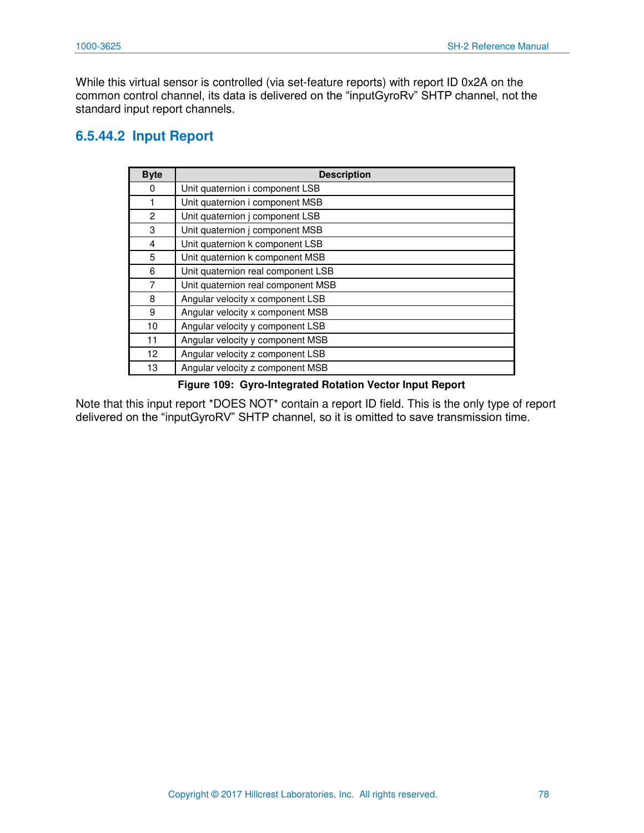While this virtual sensor is controlled (via set-feature reports) with report ID 0x2A on the common control channel, its data is delivered on the "inputGyroRv" SHTP channel, not the standard input report channels.

# **6.5.44.2 Input Report**

| <b>Byte</b>     | <b>Description</b>                 |  |
|-----------------|------------------------------------|--|
| 0               | Unit quaternion i component LSB    |  |
| 1               | Unit quaternion i component MSB    |  |
| 2               | Unit quaternion j component LSB    |  |
| 3               | Unit quaternion j component MSB    |  |
| 4               | Unit quaternion k component LSB    |  |
| 5               | Unit quaternion k component MSB    |  |
| 6               | Unit quaternion real component LSB |  |
| 7               | Unit quaternion real component MSB |  |
| 8               | Angular velocity x component LSB   |  |
| 9               | Angular velocity x component MSB   |  |
| 10              | Angular velocity y component LSB   |  |
| 11              | Angular velocity y component MSB   |  |
| 12 <sup>2</sup> | Angular velocity z component LSB   |  |
| 13              | Angular velocity z component MSB   |  |

#### **Figure 109: Gyro-Integrated Rotation Vector Input Report**

Note that this input report \*DOES NOT\* contain a report ID field. This is the only type of report delivered on the "inputGyroRV" SHTP channel, so it is omitted to save transmission time.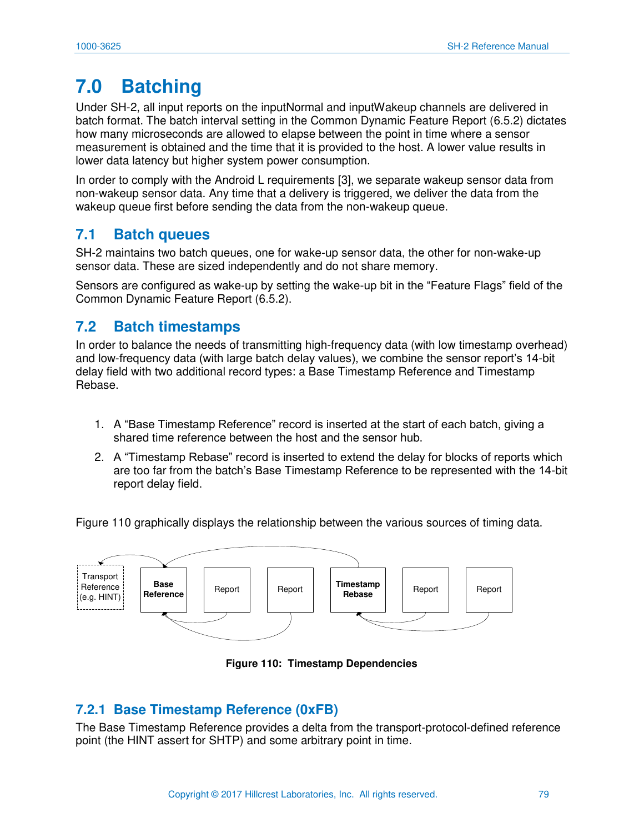# **7.0 Batching**

Under SH-2, all input reports on the inputNormal and inputWakeup channels are delivered in batch format. The batch interval setting in the Common Dynamic Feature Report [\(6.5.2\)](#page-55-0) dictates how many microseconds are allowed to elapse between the point in time where a sensor measurement is obtained and the time that it is provided to the host. A lower value results in lower data latency but higher system power consumption.

In order to comply with the Android L requirements [\[3\]](#page-81-0), we separate wakeup sensor data from non-wakeup sensor data. Any time that a delivery is triggered, we deliver the data from the wakeup queue first before sending the data from the non-wakeup queue.

# **7.1 Batch queues**

SH-2 maintains two batch queues, one for wake-up sensor data, the other for non-wake-up sensor data. These are sized independently and do not share memory.

Sensors are configured as wake-up by setting the wake-up bit in the "Feature Flags" field of the Common Dynamic Feature Report [\(6.5.2\)](#page-55-0).

# **7.2 Batch timestamps**

In order to balance the needs of transmitting high-frequency data (with low timestamp overhead) and low-frequency data (with large batch delay values), we combine the sensor report's 14-bit delay field with two additional record types: a Base Timestamp Reference and Timestamp Rebase.

- 1. A "Base Timestamp Reference" record is inserted at the start of each batch, giving a shared time reference between the host and the sensor hub.
- 2. A "Timestamp Rebase" record is inserted to extend the delay for blocks of reports which are too far from the batch's Base Timestamp Reference to be represented with the 14-bit report delay field.

[Figure 110](#page-79-0) graphically displays the relationship between the various sources of timing data.



**Figure 110: Timestamp Dependencies** 

# <span id="page-79-0"></span>**7.2.1 Base Timestamp Reference (0xFB)**

The Base Timestamp Reference provides a delta from the transport-protocol-defined reference point (the HINT assert for SHTP) and some arbitrary point in time.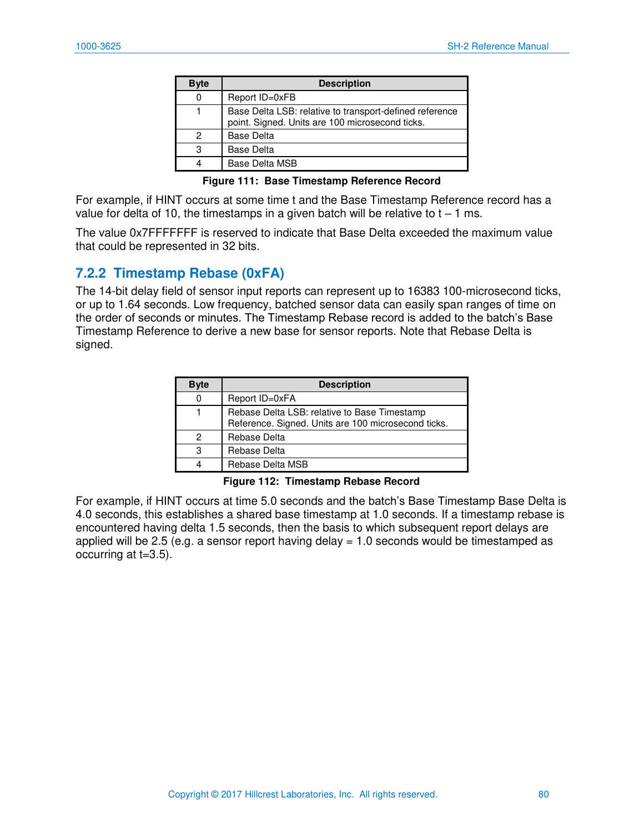| <b>Byte</b> | <b>Description</b>                                                                                         |
|-------------|------------------------------------------------------------------------------------------------------------|
| 0           | Report ID=0xFB                                                                                             |
|             | Base Delta LSB: relative to transport-defined reference<br>point. Signed. Units are 100 microsecond ticks. |
| 2           | <b>Base Delta</b>                                                                                          |
| 3           | <b>Base Delta</b>                                                                                          |
|             | Base Delta MSB                                                                                             |

**Figure 111: Base Timestamp Reference Record** 

For example, if HINT occurs at some time t and the Base Timestamp Reference record has a value for delta of 10, the timestamps in a given batch will be relative to  $t - 1$  ms.

The value 0x7FFFFFFF is reserved to indicate that Base Delta exceeded the maximum value that could be represented in 32 bits.

## **7.2.2 Timestamp Rebase (0xFA)**

The 14-bit delay field of sensor input reports can represent up to 16383 100-microsecond ticks, or up to 1.64 seconds. Low frequency, batched sensor data can easily span ranges of time on the order of seconds or minutes. The Timestamp Rebase record is added to the batch's Base Timestamp Reference to derive a new base for sensor reports. Note that Rebase Delta is signed.

| <b>Byte</b> | <b>Description</b>                                                                                  |
|-------------|-----------------------------------------------------------------------------------------------------|
| 0           | Report ID=0xFA                                                                                      |
|             | Rebase Delta LSB: relative to Base Timestamp<br>Reference. Signed. Units are 100 microsecond ticks. |
| 2           | Rebase Delta                                                                                        |
| З           | Rebase Delta                                                                                        |
|             | Rebase Delta MSB                                                                                    |

#### **Figure 112: Timestamp Rebase Record**

For example, if HINT occurs at time 5.0 seconds and the batch's Base Timestamp Base Delta is 4.0 seconds, this establishes a shared base timestamp at 1.0 seconds. If a timestamp rebase is encountered having delta 1.5 seconds, then the basis to which subsequent report delays are applied will be 2.5 (e.g. a sensor report having delay  $= 1.0$  seconds would be timestamped as occurring at t=3.5).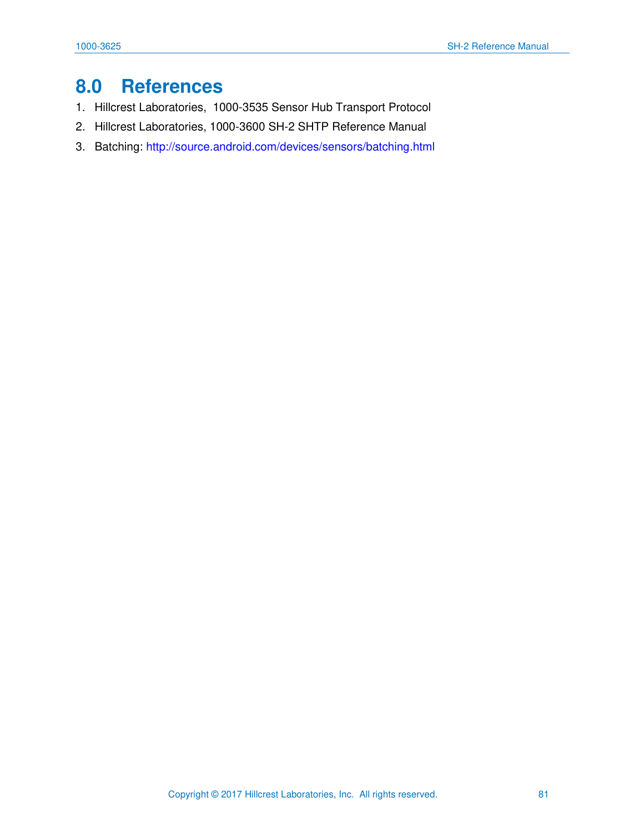# **8.0 References**

- 1. Hillcrest Laboratories, 1000-3535 Sensor Hub Transport Protocol
- 2. Hillcrest Laboratories, 1000-3600 SH-2 SHTP Reference Manual
- <span id="page-81-0"></span>3. Batching:<http://source.android.com/devices/sensors/batching.html>